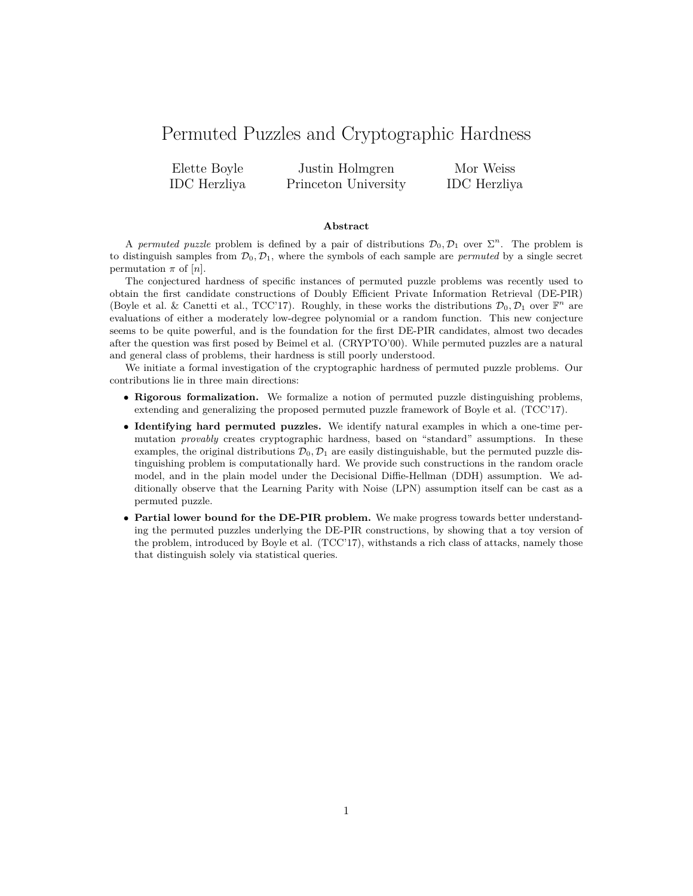# Permuted Puzzles and Cryptographic Hardness

Elette Boyle IDC Herzliya Justin Holmgren Princeton University Mor Weiss IDC Herzliya

#### **Abstract**

A *permuted puzzle* problem is defined by a pair of distributions  $\mathcal{D}_0, \mathcal{D}_1$  over  $\Sigma^n$ . The problem is to distinguish samples from  $\mathcal{D}_0$ ,  $\mathcal{D}_1$ , where the symbols of each sample are *permuted* by a single secret permutation  $\pi$  of  $[n]$ .

The conjectured hardness of specific instances of permuted puzzle problems was recently used to obtain the first candidate constructions of Doubly Efficient Private Information Retrieval (DE-PIR) (Boyle et al. & Canetti et al., TCC'17). Roughly, in these works the distributions  $\mathcal{D}_0, \mathcal{D}_1$  over  $\mathbb{F}^n$  are evaluations of either a moderately low-degree polynomial or a random function. This new conjecture seems to be quite powerful, and is the foundation for the first DE-PIR candidates, almost two decades after the question was first posed by Beimel et al. (CRYPTO'00). While permuted puzzles are a natural and general class of problems, their hardness is still poorly understood.

We initiate a formal investigation of the cryptographic hardness of permuted puzzle problems. Our contributions lie in three main directions:

- ∙ **Rigorous formalization.** We formalize a notion of permuted puzzle distinguishing problems, extending and generalizing the proposed permuted puzzle framework of Boyle et al. (TCC'17).
- ∙ **Identifying hard permuted puzzles.** We identify natural examples in which a one-time permutation *provably* creates cryptographic hardness, based on "standard" assumptions. In these examples, the original distributions  $\mathcal{D}_0$ ,  $\mathcal{D}_1$  are easily distinguishable, but the permuted puzzle distinguishing problem is computationally hard. We provide such constructions in the random oracle model, and in the plain model under the Decisional Diffie-Hellman (DDH) assumption. We additionally observe that the Learning Parity with Noise (LPN) assumption itself can be cast as a permuted puzzle.
- ∙ **Partial lower bound for the DE-PIR problem.** We make progress towards better understanding the permuted puzzles underlying the DE-PIR constructions, by showing that a toy version of the problem, introduced by Boyle et al. (TCC'17), withstands a rich class of attacks, namely those that distinguish solely via statistical queries.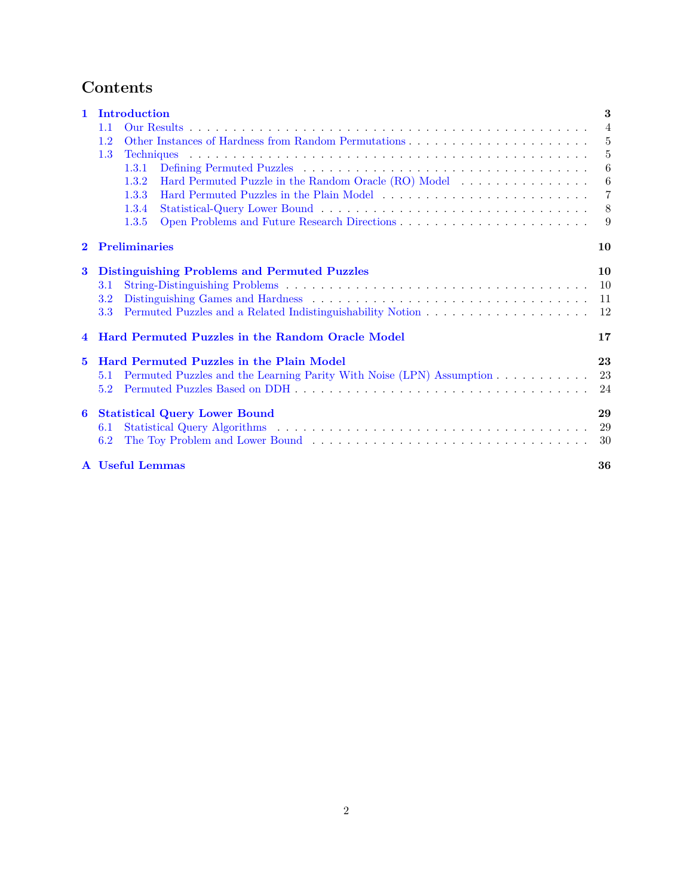# **Contents**

| $\mathbf{1}$                      | <b>Introduction</b>                                                         | 3              |  |  |  |  |  |
|-----------------------------------|-----------------------------------------------------------------------------|----------------|--|--|--|--|--|
|                                   | 1.1                                                                         | $\overline{4}$ |  |  |  |  |  |
|                                   | 1.2                                                                         | $\frac{5}{2}$  |  |  |  |  |  |
|                                   | 1.3                                                                         | 5              |  |  |  |  |  |
|                                   | 1.3.1                                                                       | 6              |  |  |  |  |  |
|                                   | 1.3.2                                                                       | 6              |  |  |  |  |  |
|                                   | 1.3.3                                                                       | $\overline{7}$ |  |  |  |  |  |
|                                   | 1.3.4                                                                       | 8              |  |  |  |  |  |
|                                   | 1.3.5                                                                       | -9             |  |  |  |  |  |
| $\overline{2}$                    | <b>Preliminaries</b>                                                        | 10             |  |  |  |  |  |
| 3<br>4<br>$\overline{\mathbf{5}}$ | <b>Distinguishing Problems and Permuted Puzzles</b>                         |                |  |  |  |  |  |
|                                   | $3.1\,$                                                                     |                |  |  |  |  |  |
|                                   | $3.2\,$                                                                     | 11             |  |  |  |  |  |
|                                   | 3.3                                                                         | 12             |  |  |  |  |  |
|                                   | <b>Hard Permuted Puzzles in the Random Oracle Model</b><br>17               |                |  |  |  |  |  |
|                                   | <b>Hard Permuted Puzzles in the Plain Model</b>                             |                |  |  |  |  |  |
|                                   | Permuted Puzzles and the Learning Parity With Noise (LPN) Assumption<br>5.1 | 23             |  |  |  |  |  |
|                                   | 5.2                                                                         | 24             |  |  |  |  |  |
| 6                                 | <b>Statistical Query Lower Bound</b>                                        | 29             |  |  |  |  |  |
|                                   | 6.1                                                                         | 29             |  |  |  |  |  |
|                                   | 6.2                                                                         | 30             |  |  |  |  |  |
|                                   | A Useful Lemmas                                                             | 36             |  |  |  |  |  |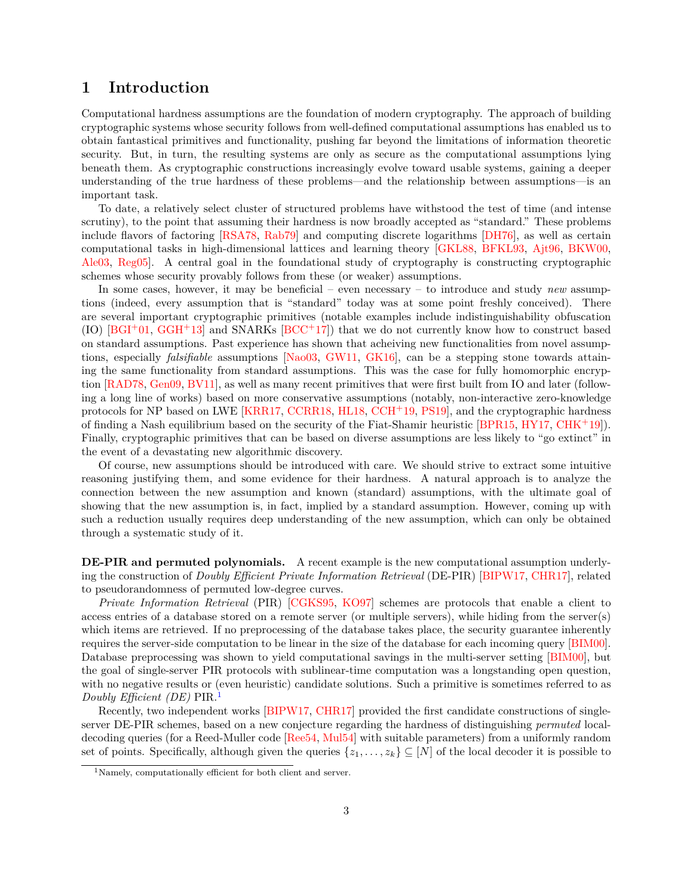# <span id="page-2-0"></span>**1 Introduction**

Computational hardness assumptions are the foundation of modern cryptography. The approach of building cryptographic systems whose security follows from well-defined computational assumptions has enabled us to obtain fantastical primitives and functionality, pushing far beyond the limitations of information theoretic security. But, in turn, the resulting systems are only as secure as the computational assumptions lying beneath them. As cryptographic constructions increasingly evolve toward usable systems, gaining a deeper understanding of the true hardness of these problems—and the relationship between assumptions—is an important task.

To date, a relatively select cluster of structured problems have withstood the test of time (and intense scrutiny), to the point that assuming their hardness is now broadly accepted as "standard." These problems include flavors of factoring [\[RSA78,](#page-35-1) [Rab79\]](#page-35-2) and computing discrete logarithms [\[DH76\]](#page-34-0), as well as certain computational tasks in high-dimensional lattices and learning theory [\[GKL88,](#page-34-1) [BFKL93,](#page-33-0) [Ajt96,](#page-32-0) [BKW00,](#page-33-1) [Ale03,](#page-33-2) [Reg05\]](#page-35-3). A central goal in the foundational study of cryptography is constructing cryptographic schemes whose security provably follows from these (or weaker) assumptions.

In some cases, however, it may be beneficial – even necessary – to introduce and study *new* assumptions (indeed, every assumption that is "standard" today was at some point freshly conceived). There are several important cryptographic primitives (notable examples include indistinguishability obfuscation (IO)  $[BGI^+01, GGH^+13]$  $[BGI^+01, GGH^+13]$  $[BGI^+01, GGH^+13]$  $[BGI^+01, GGH^+13]$  and SNARKs  $[BCC^+17]$  $[BCC^+17]$ ) that we do not currently know how to construct based on standard assumptions. Past experience has shown that acheiving new functionalities from novel assumptions, especially *falsifiable* assumptions [\[Nao03,](#page-35-4) [GW11,](#page-34-3) [GK16\]](#page-34-4), can be a stepping stone towards attaining the same functionality from standard assumptions. This was the case for fully homomorphic encryption [\[RAD78,](#page-35-5) [Gen09,](#page-34-5) [BV11\]](#page-33-5), as well as many recent primitives that were first built from IO and later (following a long line of works) based on more conservative assumptions (notably, non-interactive zero-knowledge protocols for NP based on LWE [\[KRR17,](#page-34-6) [CCRR18,](#page-33-6) [HL18,](#page-34-7) [CCH](#page-33-7)<sup>+</sup>19, [PS19\]](#page-35-6), and the cryptographic hardness of finding a Nash equilibrium based on the security of the Fiat-Shamir heuristic [\[BPR15,](#page-33-8) [HY17,](#page-34-8) [CHK](#page-33-9)<sup>+</sup>19]). Finally, cryptographic primitives that can be based on diverse assumptions are less likely to "go extinct" in the event of a devastating new algorithmic discovery.

Of course, new assumptions should be introduced with care. We should strive to extract some intuitive reasoning justifying them, and some evidence for their hardness. A natural approach is to analyze the connection between the new assumption and known (standard) assumptions, with the ultimate goal of showing that the new assumption is, in fact, implied by a standard assumption. However, coming up with such a reduction usually requires deep understanding of the new assumption, which can only be obtained through a systematic study of it.

**DE-PIR and permuted polynomials.** A recent example is the new computational assumption underlying the construction of *Doubly Efficient Private Information Retrieval* (DE-PIR) [\[BIPW17,](#page-33-10) [CHR17\]](#page-34-9), related to pseudorandomness of permuted low-degree curves.

*Private Information Retrieval* (PIR) [\[CGKS95,](#page-33-11) [KO97\]](#page-34-10) schemes are protocols that enable a client to access entries of a database stored on a remote server (or multiple servers), while hiding from the server(s) which items are retrieved. If no preprocessing of the database takes place, the security guarantee inherently requires the server-side computation to be linear in the size of the database for each incoming query [\[BIM00\]](#page-33-12). Database preprocessing was shown to yield computational savings in the multi-server setting [\[BIM00\]](#page-33-12), but the goal of single-server PIR protocols with sublinear-time computation was a longstanding open question, with no negative results or (even heuristic) candidate solutions. Such a primitive is sometimes referred to as *Doubly Efficient (DE)* PIR.[1](#page-2-1)

Recently, two independent works [\[BIPW17,](#page-33-10) [CHR17\]](#page-34-9) provided the first candidate constructions of singleserver DE-PIR schemes, based on a new conjecture regarding the hardness of distinguishing *permuted* localdecoding queries (for a Reed-Muller code [\[Ree54,](#page-35-7) [Mul54\]](#page-35-8) with suitable parameters) from a uniformly random set of points. Specifically, although given the queries  $\{z_1, \ldots, z_k\} \subseteq [N]$  of the local decoder it is possible to

<span id="page-2-1"></span><sup>&</sup>lt;sup>1</sup>Namely, computationally efficient for both client and server.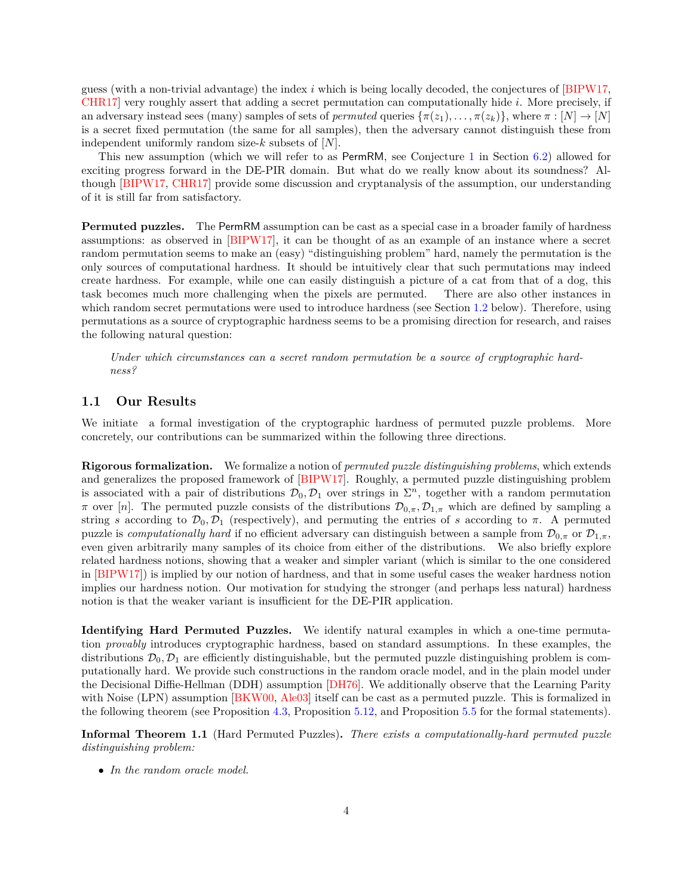guess (with a non-trivial advantage) the index  $i$  which is being locally decoded, the conjectures of [\[BIPW17,](#page-33-10) [CHR17\]](#page-34-9) very roughly assert that adding a secret permutation can computationally hide i. More precisely, if an adversary instead sees (many) samples of sets of *permuted* queries  $\{\pi(z_1), \ldots, \pi(z_k)\}\,$ , where  $\pi : [N] \to [N]$ is a secret fixed permutation (the same for all samples), then the adversary cannot distinguish these from independent uniformly random size- $k$  subsets of  $[N]$ .

This new assumption (which we will refer to as PermRM, see Conjecture [1](#page-29-1) in Section [6.2\)](#page-29-0) allowed for exciting progress forward in the DE-PIR domain. But what do we really know about its soundness? Although [\[BIPW17,](#page-33-10) [CHR17\]](#page-34-9) provide some discussion and cryptanalysis of the assumption, our understanding of it is still far from satisfactory.

**Permuted puzzles.** The PermRM assumption can be cast as a special case in a broader family of hardness assumptions: as observed in [\[BIPW17\]](#page-33-10), it can be thought of as an example of an instance where a secret random permutation seems to make an (easy) "distinguishing problem" hard, namely the permutation is the only sources of computational hardness. It should be intuitively clear that such permutations may indeed create hardness. For example, while one can easily distinguish a picture of a cat from that of a dog, this task becomes much more challenging when the pixels are permuted. There are also other instances in which random secret permutations were used to introduce hardness (see Section [1.2](#page-4-0) below). Therefore, using permutations as a source of cryptographic hardness seems to be a promising direction for research, and raises the following natural question:

*Under which circumstances can a secret random permutation be a source of cryptographic hardness?*

### <span id="page-3-0"></span>**1.1 Our Results**

We initiate a formal investigation of the cryptographic hardness of permuted puzzle problems. More concretely, our contributions can be summarized within the following three directions.

**Rigorous formalization.** We formalize a notion of *permuted puzzle distinguishing problems*, which extends and generalizes the proposed framework of [\[BIPW17\]](#page-33-10). Roughly, a permuted puzzle distinguishing problem is associated with a pair of distributions  $\mathcal{D}_0, \mathcal{D}_1$  over strings in  $\Sigma^n$ , together with a random permutation  $\pi$  over [n]. The permuted puzzle consists of the distributions  $\mathcal{D}_{0,\pi}, \mathcal{D}_{1,\pi}$  which are defined by sampling a string *s* according to  $\mathcal{D}_0$ ,  $\mathcal{D}_1$  (respectively), and permuting the entries of *s* according to  $\pi$ . A permuted puzzle is *computationally hard* if no efficient adversary can distinguish between a sample from  $\mathcal{D}_{0,\pi}$  or  $\mathcal{D}_{1,\pi}$ , even given arbitrarily many samples of its choice from either of the distributions. We also briefly explore related hardness notions, showing that a weaker and simpler variant (which is similar to the one considered in [\[BIPW17\]](#page-33-10)) is implied by our notion of hardness, and that in some useful cases the weaker hardness notion implies our hardness notion. Our motivation for studying the stronger (and perhaps less natural) hardness notion is that the weaker variant is insufficient for the DE-PIR application.

**Identifying Hard Permuted Puzzles.** We identify natural examples in which a one-time permutation *provably* introduces cryptographic hardness, based on standard assumptions. In these examples, the distributions  $\mathcal{D}_0$ ,  $\mathcal{D}_1$  are efficiently distinguishable, but the permuted puzzle distinguishing problem is computationally hard. We provide such constructions in the random oracle model, and in the plain model under the Decisional Diffie-Hellman (DDH) assumption [\[DH76\]](#page-34-0). We additionally observe that the Learning Parity with Noise (LPN) assumption [\[BKW00,](#page-33-1) [Ale03\]](#page-33-2) itself can be cast as a permuted puzzle. This is formalized in the following theorem (see Proposition [4.3,](#page-17-0) Proposition [5.12,](#page-24-0) and Proposition [5.5](#page-23-1) for the formal statements).

**Informal Theorem 1.1** (Hard Permuted Puzzles)**.** *There exists a computationally-hard permuted puzzle distinguishing problem:*

∙ *In the random oracle model.*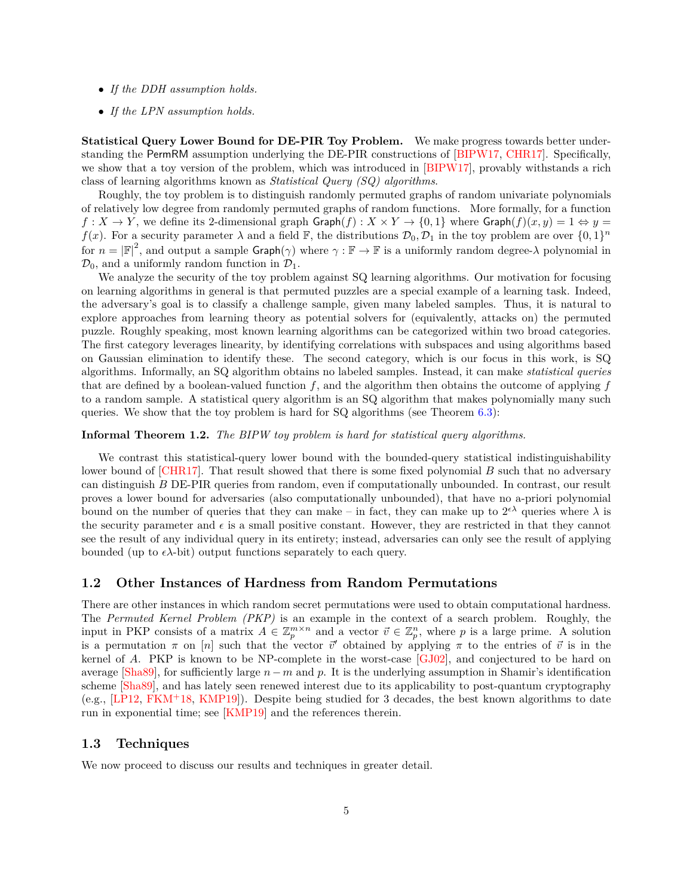- ∙ *If the DDH assumption holds.*
- ∙ *If the LPN assumption holds.*

**Statistical Query Lower Bound for DE-PIR Toy Problem.** We make progress towards better understanding the PermRM assumption underlying the DE-PIR constructions of [\[BIPW17,](#page-33-10) [CHR17\]](#page-34-9). Specifically, we show that a toy version of the problem, which was introduced in [\[BIPW17\]](#page-33-10), provably withstands a rich class of learning algorithms known as *Statistical Query (SQ) algorithms*.

Roughly, the toy problem is to distinguish randomly permuted graphs of random univariate polynomials of relatively low degree from randomly permuted graphs of random functions. More formally, for a function  $f: X \to Y$ , we define its 2-dimensional graph  $\text{Graph}(f): X \times Y \to \{0,1\}$  where  $\text{Graph}(f)(x, y) = 1 \Leftrightarrow y = 1$  $f(x)$ . For a security parameter  $\lambda$  and a field F, the distributions  $\mathcal{D}_0, \mathcal{D}_1$  in the toy problem are over  $\{0, 1\}^n$ for  $n = |\mathbb{F}|^2$ , and output a sample  $\mathsf{Graph}(\gamma)$  where  $\gamma : \mathbb{F} \to \mathbb{F}$  is a uniformly random degree- $\lambda$  polynomial in  $\mathcal{D}_0$ , and a uniformly random function in  $\mathcal{D}_1$ .

We analyze the security of the toy problem against SQ learning algorithms. Our motivation for focusing on learning algorithms in general is that permuted puzzles are a special example of a learning task. Indeed, the adversary's goal is to classify a challenge sample, given many labeled samples. Thus, it is natural to explore approaches from learning theory as potential solvers for (equivalently, attacks on) the permuted puzzle. Roughly speaking, most known learning algorithms can be categorized within two broad categories. The first category leverages linearity, by identifying correlations with subspaces and using algorithms based on Gaussian elimination to identify these. The second category, which is our focus in this work, is SQ algorithms. Informally, an SQ algorithm obtains no labeled samples. Instead, it can make *statistical queries* that are defined by a boolean-valued function  $f$ , and the algorithm then obtains the outcome of applying  $f$ to a random sample. A statistical query algorithm is an SQ algorithm that makes polynomially many such queries. We show that the toy problem is hard for SQ algorithms (see Theorem [6.3\)](#page-30-0):

#### **Informal Theorem 1.2.** *The BIPW toy problem is hard for statistical query algorithms.*

We contrast this statistical-query lower bound with the bounded-query statistical indistinguishability lower bound of  $[CHR17]$ . That result showed that there is some fixed polynomial  $B$  such that no adversary can distinguish DE-PIR queries from random, even if computationally unbounded. In contrast, our result proves a lower bound for adversaries (also computationally unbounded), that have no a-priori polynomial bound on the number of queries that they can make – in fact, they can make up to  $2^{\epsilon\lambda}$  queries where  $\lambda$  is the security parameter and  $\epsilon$  is a small positive constant. However, they are restricted in that they cannot see the result of any individual query in its entirety; instead, adversaries can only see the result of applying bounded (up to  $\epsilon \lambda$ -bit) output functions separately to each query.

### <span id="page-4-0"></span>**1.2 Other Instances of Hardness from Random Permutations**

There are other instances in which random secret permutations were used to obtain computational hardness. The *Permuted Kernel Problem (PKP)* is an example in the context of a search problem. Roughly, the input in PKP consists of a matrix  $A \in \mathbb{Z}_p^{m \times n}$  and a vector  $\vec{v} \in \mathbb{Z}_p^n$ , where p is a large prime. A solution is a permutation  $\pi$  on [n] such that the vector  $\vec{v}'$  obtained by applying  $\pi$  to the entries of  $\vec{v}$  is in the kernel of  $A$ . PKP is known to be NP-complete in the worst-case [\[GJ02\]](#page-34-11), and conjectured to be hard on average [\[Sha89\]](#page-35-9), for sufficiently large  $n - m$  and p. It is the underlying assumption in Shamir's identification scheme [\[Sha89\]](#page-35-9), and has lately seen renewed interest due to its applicability to post-quantum cryptography (e.g., [\[LP12,](#page-35-10) [FKM](#page-34-12)<sup>+</sup>18, [KMP19\]](#page-34-13)). Despite being studied for 3 decades, the best known algorithms to date run in exponential time; see [\[KMP19\]](#page-34-13) and the references therein.

#### <span id="page-4-1"></span>**1.3 Techniques**

We now proceed to discuss our results and techniques in greater detail.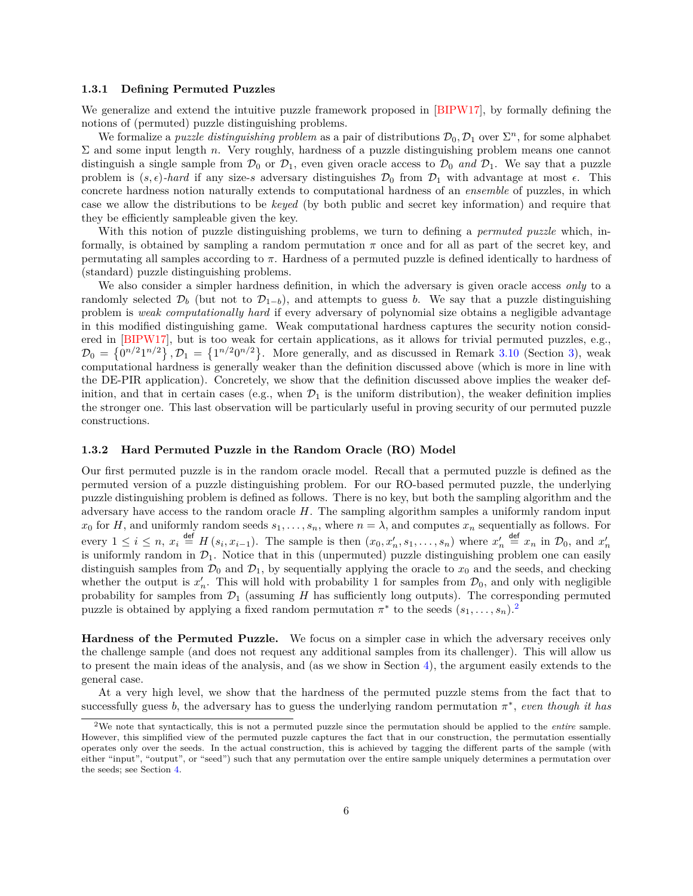#### <span id="page-5-0"></span>**1.3.1 Defining Permuted Puzzles**

We generalize and extend the intuitive puzzle framework proposed in [\[BIPW17\]](#page-33-10), by formally defining the notions of (permuted) puzzle distinguishing problems.

We formalize a *puzzle distinguishing problem* as a pair of distributions  $\mathcal{D}_0, \mathcal{D}_1$  over  $\Sigma^n$ , for some alphabet  $\Sigma$  and some input length n. Very roughly, hardness of a puzzle distinguishing problem means one cannot distinguish a single sample from  $\mathcal{D}_0$  or  $\mathcal{D}_1$ , even given oracle access to  $\mathcal{D}_0$  and  $\mathcal{D}_1$ . We say that a puzzle problem is  $(s, \epsilon)$ -hard if any size-s adversary distinguishes  $\mathcal{D}_0$  from  $\mathcal{D}_1$  with advantage at most  $\epsilon$ . This concrete hardness notion naturally extends to computational hardness of an *ensemble* of puzzles, in which case we allow the distributions to be *keyed* (by both public and secret key information) and require that they be efficiently sampleable given the key.

With this notion of puzzle distinguishing problems, we turn to defining a *permuted puzzle* which, informally, is obtained by sampling a random permutation  $\pi$  once and for all as part of the secret key, and permutating all samples according to  $\pi$ . Hardness of a permuted puzzle is defined identically to hardness of (standard) puzzle distinguishing problems.

We also consider a simpler hardness definition, in which the adversary is given oracle access *only* to a randomly selected  $\mathcal{D}_b$  (but not to  $\mathcal{D}_{1-b}$ ), and attempts to guess b. We say that a puzzle distinguishing problem is *weak computationally hard* if every adversary of polynomial size obtains a negligible advantage in this modified distinguishing game. Weak computational hardness captures the security notion considered in [\[BIPW17\]](#page-33-10), but is too weak for certain applications, as it allows for trivial permuted puzzles, e.g.,  $\mathcal{D}_0 = \{0^{n/2}1^{n/2}\}, \mathcal{D}_1 = \{1^{n/2}0^{n/2}\}.$  More generally, and as discussed in Remark [3.10](#page-11-1) (Section [3\)](#page-9-1), weak computational hardness is generally weaker than the definition discussed above (which is more in line with the DE-PIR application). Concretely, we show that the definition discussed above implies the weaker definition, and that in certain cases (e.g., when  $\mathcal{D}_1$  is the uniform distribution), the weaker definition implies the stronger one. This last observation will be particularly useful in proving security of our permuted puzzle constructions.

#### <span id="page-5-1"></span>**1.3.2 Hard Permuted Puzzle in the Random Oracle (RO) Model**

Our first permuted puzzle is in the random oracle model. Recall that a permuted puzzle is defined as the permuted version of a puzzle distinguishing problem. For our RO-based permuted puzzle, the underlying puzzle distinguishing problem is defined as follows. There is no key, but both the sampling algorithm and the adversary have access to the random oracle  $H$ . The sampling algorithm samples a uniformly random input  $x_0$  for H, and uniformly random seeds  $s_1, \ldots, s_n$ , where  $n = \lambda$ , and computes  $x_n$  sequentially as follows. For every  $1 \leq i \leq n$ ,  $x_i \stackrel{\text{def}}{=} H(s_i, x_{i-1})$ . The sample is then  $(x_0, x'_n, s_1, \ldots, s_n)$  where  $x'_n \stackrel{\text{def}}{=} x_n$  in  $\mathcal{D}_0$ , and  $x'_n$  is uniformly random in  $\mathcal{D}_1$ . Notice that in this (unpermuted) puzzle distinguishin distinguish samples from  $\mathcal{D}_0$  and  $\mathcal{D}_1$ , by sequentially applying the oracle to  $x_0$  and the seeds, and checking whether the output is  $x'_n$ . This will hold with probability 1 for samples from  $\mathcal{D}_0$ , and only with negligible probability for samples from  $\mathcal{D}_1$  (assuming  $H$  has sufficiently long outputs). The corresponding permuted puzzle is obtained by applying a fixed random permutation  $\pi^*$  to the seeds  $(s_1, \ldots, s_n)$ .<sup>[2](#page-5-2)</sup>

**Hardness of the Permuted Puzzle.** We focus on a simpler case in which the adversary receives only the challenge sample (and does not request any additional samples from its challenger). This will allow us to present the main ideas of the analysis, and (as we show in Section [4\)](#page-16-0), the argument easily extends to the general case.

At a very high level, we show that the hardness of the permuted puzzle stems from the fact that to successfully guess b, the adversary has to guess the underlying random permutation  $\pi^*$ , *even though it has* 

<span id="page-5-2"></span><sup>2</sup>We note that syntactically, this is not a permuted puzzle since the permutation should be applied to the *entire* sample. However, this simplified view of the permuted puzzle captures the fact that in our construction, the permutation essentially operates only over the seeds. In the actual construction, this is achieved by tagging the different parts of the sample (with either "input", "output", or "seed") such that any permutation over the entire sample uniquely determines a permutation over the seeds; see Section [4.](#page-16-0)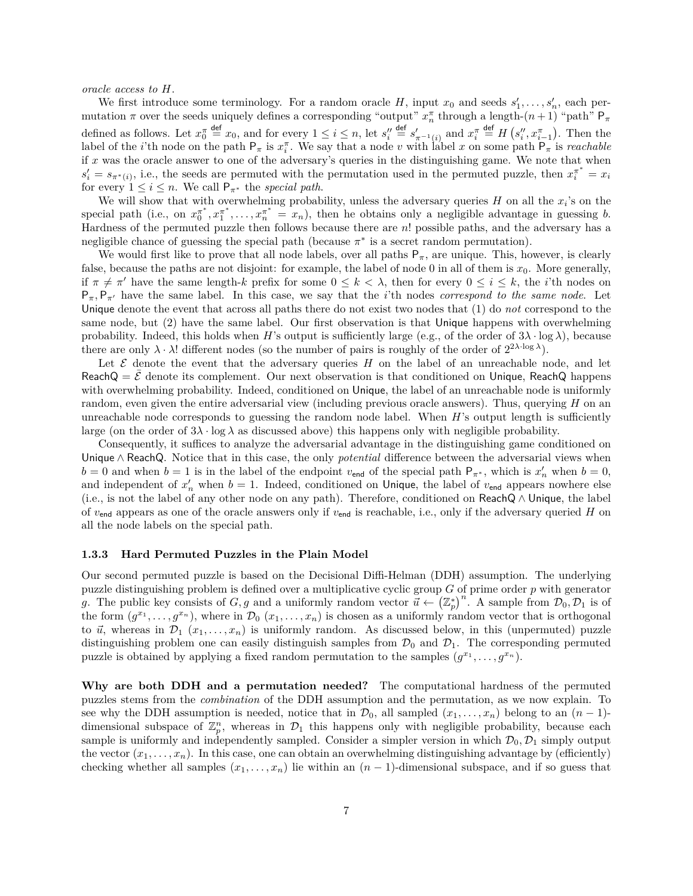*oracle access to H.* 

We first introduce some terminology. For a random oracle H, input  $x_0$  and seeds  $s'_1, \ldots, s'_n$ , each permutation  $\pi$  over the seeds uniquely defines a corresponding "output"  $x_n^{\pi}$  through a length- $(n+1)$  "path"  $P_{\pi}$ defined as follows. Let  $x_0^{\pi} \stackrel{\text{def}}{=} x_0$ , and for every  $1 \leq i \leq n$ , let  $s_i'' \stackrel{\text{def}}{=} s'_{\pi^{-1}(i)}$  and  $x_i^{\pi} \stackrel{\text{def}}{=} H(s_i'', x_{i-1}^{\pi})$ . Then the label of the *i*'th node on the path  $P_{\pi}$  is  $x_i^{\pi}$ . We say that a node v with label x on some path  $P_{\pi}$  is *reachable* if  $x$  was the oracle answer to one of the adversary's queries in the distinguishing game. We note that when  $s'_i = s_{\pi^*(i)}$ , i.e., the seeds are permuted with the permutation used in the permuted puzzle, then  $x_i^{\pi^*} = x_i$ for every  $1 \leq i \leq n$ . We call  $P_{\pi^*}$  the *special path*.

We will show that with overwhelming probability, unless the adversary queries  $H$  on all the  $x_i$ 's on the special path (i.e., on  $x_0^{\pi^*}, x_1^{\pi^*}, \ldots, x_n^{\pi^*} = x_n$ ), then he obtains only a negligible advantage in guessing b. Hardness of the permuted puzzle then follows because there are  $n!$  possible paths, and the adversary has a negligible chance of guessing the special path (because  $\pi^*$  is a secret random permutation).

We would first like to prove that all node labels, over all paths  $P_{\pi}$ , are unique. This, however, is clearly false, because the paths are not disjoint: for example, the label of node 0 in all of them is  $x_0$ . More generally, if  $\pi \neq \pi'$  have the same length-k prefix for some  $0 \leq k < \lambda$ , then for every  $0 \leq i \leq k$ , the *i*'th nodes on  $P_{\pi}$ ,  $P_{\pi'}$  have the same label. In this case, we say that the *i*'th nodes *correspond to the same node*. Let Unique denote the event that across all paths there do not exist two nodes that (1) do *not* correspond to the same node, but (2) have the same label. Our first observation is that Unique happens with overwhelming probability. Indeed, this holds when H's output is sufficiently large (e.g., of the order of  $3\lambda \cdot \log \lambda$ ), because there are only  $\lambda \cdot \lambda!$  different nodes (so the number of pairs is roughly of the order of  $2^{2\lambda \cdot \log \lambda}$ ).

Let  $\mathcal E$  denote the event that the adversary queries  $H$  on the label of an unreachable node, and let  $ReachQ = E$  denote its complement. Our next observation is that conditioned on Unique, ReachQ happens with overwhelming probability. Indeed, conditioned on Unique, the label of an unreachable node is uniformly random, even given the entire adversarial view (including previous oracle answers). Thus, querying  $H$  on an unreachable node corresponds to guessing the random node label. When  $H$ 's output length is sufficiently large (on the order of  $3\lambda \cdot \log \lambda$  as discussed above) this happens only with negligible probability.

Consequently, it suffices to analyze the adversarial advantage in the distinguishing game conditioned on Unique ∧ ReachQ. Notice that in this case, the only *potential* difference between the adversarial views when  $b = 0$  and when  $b = 1$  is in the label of the endpoint  $v_{\text{end}}$  of the special path  $P_{\pi^*}$ , which is  $x'_n$  when  $b = 0$ , and independent of  $x'_n$  when  $b = 1$ . Indeed, conditioned on Unique, the label of  $v_{\text{end}}$  appears nowhere else (i.e., is not the label of any other node on any path). Therefore, conditioned on ReachQ ∧ Unique, the label of  $v_{\text{end}}$  appears as one of the oracle answers only if  $v_{\text{end}}$  is reachable, i.e., only if the adversary queried H on all the node labels on the special path.

#### <span id="page-6-0"></span>**1.3.3 Hard Permuted Puzzles in the Plain Model**

Our second permuted puzzle is based on the Decisional Diffi-Helman (DDH) assumption. The underlying puzzle distinguishing problem is defined over a multiplicative cyclic group  $G$  of prime order  $p$  with generator g. The public key consists of  $G, g$  and a uniformly random vector  $\vec{u} \leftarrow (\mathbb{Z}_p^*)^n$ . A sample from  $\mathcal{D}_0, \mathcal{D}_1$  is of the form  $(g^{x_1}, \ldots, g^{x_n})$ , where in  $\mathcal{D}_0(x_1, \ldots, x_n)$  is chosen as a uniformly random vector that is orthogonal to  $\vec{u}$ , whereas in  $\mathcal{D}_1(x_1,\ldots,x_n)$  is uniformly random. As discussed below, in this (unpermuted) puzzle distinguishing problem one can easily distinguish samples from  $\mathcal{D}_0$  and  $\mathcal{D}_1$ . The corresponding permuted puzzle is obtained by applying a fixed random permutation to the samples  $(g^{x_1}, \ldots, g^{x_n})$ .

**Why are both DDH and a permutation needed?** The computational hardness of the permuted puzzles stems from the *combination* of the DDH assumption and the permutation, as we now explain. To see why the DDH assumption is needed, notice that in  $\mathcal{D}_0$ , all sampled  $(x_1, \ldots, x_n)$  belong to an  $(n-1)$ dimensional subspace of  $\mathbb{Z}_p^n$ , whereas in  $\mathcal{D}_1$  this happens only with negligible probability, because each sample is uniformly and independently sampled. Consider a simpler version in which  $\mathcal{D}_0$ ,  $\mathcal{D}_1$  simply output the vector  $(x_1, \ldots, x_n)$ . In this case, one can obtain an overwhelming distinguishing advantage by (efficiently) checking whether all samples  $(x_1, \ldots, x_n)$  lie within an  $(n-1)$ -dimensional subspace, and if so guess that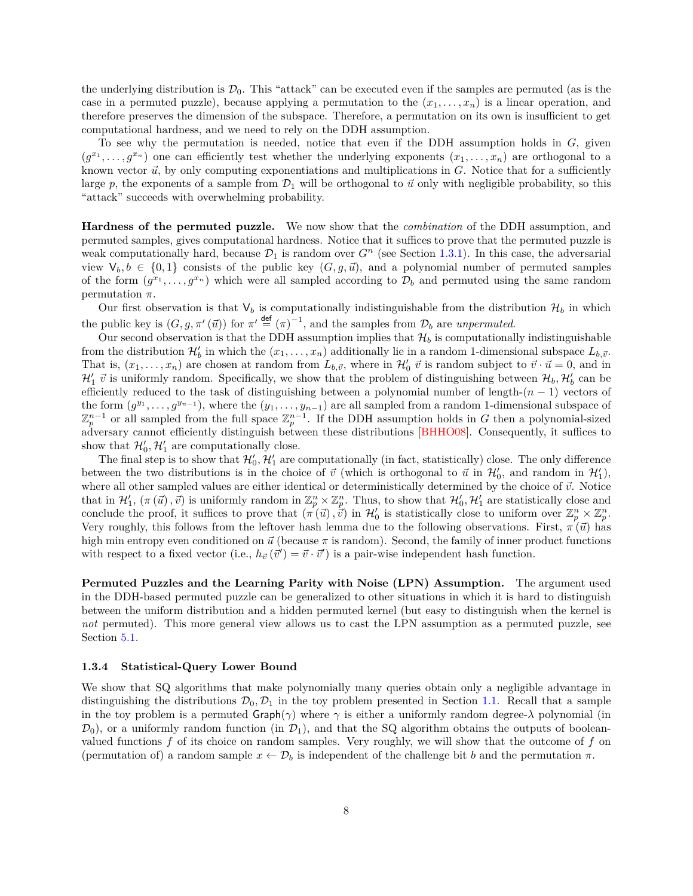the underlying distribution is  $\mathcal{D}_0$ . This "attack" can be executed even if the samples are permuted (as is the case in a permuted puzzle), because applying a permutation to the  $(x_1, \ldots, x_n)$  is a linear operation, and therefore preserves the dimension of the subspace. Therefore, a permutation on its own is insufficient to get computational hardness, and we need to rely on the DDH assumption.

To see why the permutation is needed, notice that even if the DDH assumption holds in  $G$ , given  $(g^{x_1},\ldots,g^{x_n})$  one can efficiently test whether the underlying exponents  $(x_1,\ldots,x_n)$  are orthogonal to a known vector  $\vec{u}$ , by only computing exponentiations and multiplications in  $G$ . Notice that for a sufficiently large p, the exponents of a sample from  $\mathcal{D}_1$  will be orthogonal to  $\vec{u}$  only with negligible probability, so this "attack" succeeds with overwhelming probability.

**Hardness of the permuted puzzle.** We now show that the *combination* of the DDH assumption, and permuted samples, gives computational hardness. Notice that it suffices to prove that the permuted puzzle is weak computationally hard, because  $\mathcal{D}_1$  is random over  $G^n$  (see Section [1.3.1\)](#page-5-0). In this case, the adversarial view  $V_b, b \in \{0, 1\}$  consists of the public key  $(G, g, \vec{u})$ , and a polynomial number of permuted samples of the form  $(g^{x_1}, \ldots, g^{x_n})$  which were all sampled according to  $\mathcal{D}_b$  and permuted using the same random permutation  $\pi$ .

Our first observation is that  $V_b$  is computationally indistinguishable from the distribution  $\mathcal{H}_b$  in which the public key is  $(G, g, \pi'(\vec{u}))$  for  $\pi' \stackrel{\text{def}}{=} (\pi)^{-1}$ , and the samples from  $\mathcal{D}_b$  are *unpermuted*.

Our second observation is that the DDH assumption implies that  $\mathcal{H}_b$  is computationally indistinguishable from the distribution  $\mathcal{H}'_b$  in which the  $(x_1, \ldots, x_n)$  additionally lie in a random 1-dimensional subspace  $L_{b,\vec{v}}$ . That is,  $(x_1, \ldots, x_n)$  are chosen at random from  $L_{b,\vec{v}}$ , where in  $\mathcal{H}'_0$   $\vec{v}$  is random subject to  $\vec{v} \cdot \vec{u} = 0$ , and in  $\mathcal{H}'_1$   $\vec{v}$  is uniformly random. Specifically, we show that the problem of distinguishing between  $\mathcal{H}_b$ ,  $\mathcal{H}'_b$  can be efficiently reduced to the task of distinguishing between a polynomial number of length- $(n - 1)$  vectors of the form  $(g^{y_1}, \ldots, g^{y_{n-1}})$ , where the  $(y_1, \ldots, y_{n-1})$  are all sampled from a random 1-dimensional subspace of  $\mathbb{Z}_p^{n-1}$  or all sampled from the full space  $\mathbb{Z}_p^{n-1}$ . If the DDH assumption holds in G then a polynomial-sized adversary cannot efficiently distinguish between these distributions [\[BHHO08\]](#page-33-13). Consequently, it suffices to show that  $\mathcal{H}'_0$ ,  $\mathcal{H}'_1$  are computationally close.

The final step is to show that  $\mathcal{H}'_0$ ,  $\mathcal{H}'_1$  are computationally (in fact, statistically) close. The only difference between the two distributions is in the choice of  $\vec{v}$  (which is orthogonal to  $\vec{u}$  in  $\mathcal{H}'_0$ , and random in  $\mathcal{H}'_1$ ), where all other sampled values are either identical or deterministically determined by the choice of  $\vec{v}$ . Notice that in  $\mathcal{H}'_1$ ,  $(\pi(\vec{u}), \vec{v})$  is uniformly random in  $\mathbb{Z}_p^n \times \mathbb{Z}_p^n$ . Thus, to show that  $\mathcal{H}'_0$ ,  $\mathcal{H}'_1$  are statistically close and conclude the proof, it suffices to prove that  $(\pi(\vec{u}), \vec{v})$  in  $\mathcal{H}'_0$  is statistically close to uniform over  $\mathbb{Z}_p^n \times \mathbb{Z}_p^n$ . Very roughly, this follows from the leftover hash lemma due to the following observations. First,  $\pi(\vec{u})$  has high min entropy even conditioned on  $\vec{u}$  (because  $\pi$  is random). Second, the family of inner product functions with respect to a fixed vector (i.e.,  $h_{\vec{v}}(\vec{v}') = \vec{v} \cdot \vec{v}'$ ) is a pair-wise independent hash function.

**Permuted Puzzles and the Learning Parity with Noise (LPN) Assumption.** The argument used in the DDH-based permuted puzzle can be generalized to other situations in which it is hard to distinguish between the uniform distribution and a hidden permuted kernel (but easy to distinguish when the kernel is *not* permuted). This more general view allows us to cast the LPN assumption as a permuted puzzle, see Section [5.1.](#page-22-1)

#### <span id="page-7-0"></span>**1.3.4 Statistical-Query Lower Bound**

We show that SQ algorithms that make polynomially many queries obtain only a negligible advantage in distinguishing the distributions  $\mathcal{D}_0$ ,  $\mathcal{D}_1$  in the toy problem presented in Section [1.1.](#page-3-0) Recall that a sample in the toy problem is a permuted  $\mathsf{Graph}(\gamma)$  where  $\gamma$  is either a uniformly random degree- $\lambda$  polynomial (in  $(\mathcal{D}_0)$ , or a uniformly random function (in  $(\mathcal{D}_1)$ , and that the SQ algorithm obtains the outputs of booleanvalued functions  $f$  of its choice on random samples. Very roughly, we will show that the outcome of  $f$  on (permutation of) a random sample  $x \leftarrow \mathcal{D}_b$  is independent of the challenge bit b and the permutation  $\pi$ .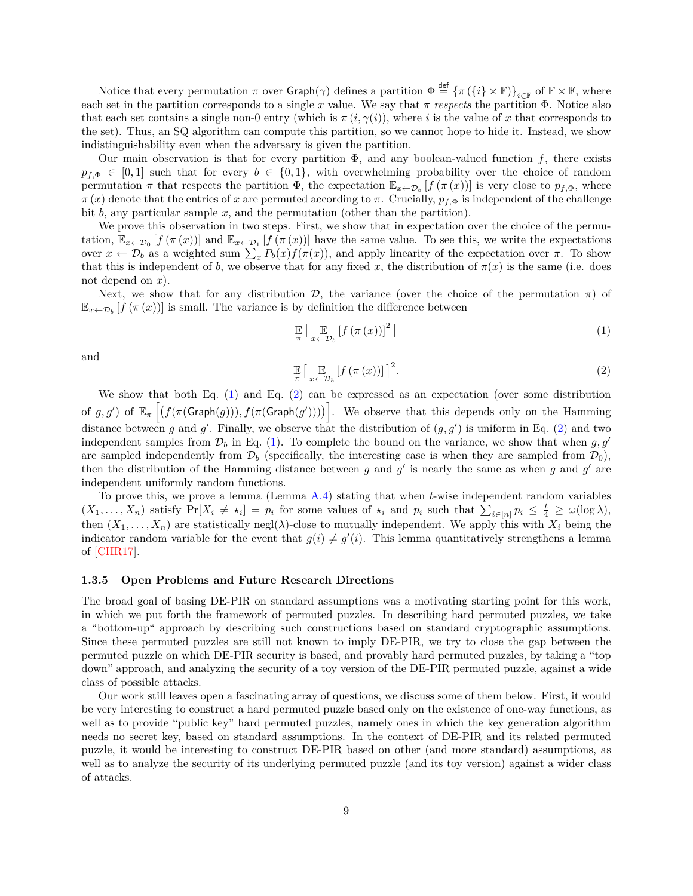Notice that every permutation  $\pi$  over  $\mathsf{Graph}(\gamma)$  defines a partition  $\Phi \stackrel{\text{def}}{=} {\{\pi (\{i\} \times \mathbb{F})\}}_{i \in \mathbb{F}}$  of  $\mathbb{F} \times \mathbb{F}$ , where each set in the partition corresponds to a single x value. We say that  $\pi$  respects the partition  $\Phi$ . Notice also that each set contains a single non-0 entry (which is  $\pi(i, \gamma(i))$ , where i is the value of x that corresponds to the set). Thus, an SQ algorithm can compute this partition, so we cannot hope to hide it. Instead, we show indistinguishability even when the adversary is given the partition.

Our main observation is that for every partition  $\Phi$ , and any boolean-valued function f, there exists  $p_{f,\Phi} \in [0,1]$  such that for every  $b \in \{0,1\}$ , with overwhelming probability over the choice of random permutation  $\pi$  that respects the partition  $\Phi$ , the expectation  $\mathbb{E}_{x \leftarrow \mathcal{D}_b} [f(\pi(x))]$  is very close to  $p_{f,\Phi}$ , where  $\pi(x)$  denote that the entries of x are permuted according to  $\pi$ . Crucially,  $p_{f,\Phi}$  is independent of the challenge bit  $b$ , any particular sample  $x$ , and the permutation (other than the partition).

We prove this observation in two steps. First, we show that in expectation over the choice of the permutation,  $\mathbb{E}_{x\leftarrow\mathcal{D}_0}[f(\pi(x))]$  and  $\mathbb{E}_{x\leftarrow\mathcal{D}_1}[f(\pi(x))]$  have the same value. To see this, we write the expectations over  $x \leftarrow \mathcal{D}_b$  as a weighted sum  $\sum_x P_b(x) f(\pi(x))$ , and apply linearity of the expectation over  $\pi$ . To show that this is independent of b, we observe that for any fixed x, the distribution of  $\pi(x)$  is the same (i.e. does not depend on  $x$ ).

Next, we show that for any distribution  $\mathcal{D}$ , the variance (over the choice of the permutation  $\pi$ ) of  $\mathbb{E}_{x \leftarrow \mathcal{D}_b} [f(\pi(x))]$  is small. The variance is by definition the difference between

<span id="page-8-1"></span>
$$
\mathbb{E}\left[\mathbb{E}_{x \leftarrow \mathcal{D}_b} \left[f\left(\pi\left(x\right)\right)\right]^2\right] \tag{1}
$$

<span id="page-8-2"></span>and

$$
\mathbb{E}\left[\mathbb{E}_{x \leftarrow \mathcal{D}_b} \left[f\left(\pi\left(x\right)\right)\right]\right]^2. \tag{2}
$$

We show that both Eq. [\(1\)](#page-8-1) and Eq. [\(2\)](#page-8-2) can be expressed as an expectation (over some distribution of  $g, g'$ ) of  $\mathbb{E}_{\pi}\left[ \left( f(\pi(\mathsf{Graph}(g))) , f(\pi(\mathsf{Graph}(g')) ) \right) \right]$ . We observe that this depends only on the Hamming distance between g and g'. Finally, we observe that the distribution of  $(g, g')$  is uniform in Eq. [\(2\)](#page-8-2) and two independent samples from  $\mathcal{D}_b$  in Eq. [\(1\)](#page-8-1). To complete the bound on the variance, we show that when  $g, g'$ are sampled independently from  $\mathcal{D}_b$  (specifically, the interesting case is when they are sampled from  $\mathcal{D}_0$ ), then the distribution of the Hamming distance between  $g$  and  $g'$  is nearly the same as when  $g$  and  $g'$  are independent uniformly random functions.

E

To prove this, we prove a lemma (Lemma [A.4\)](#page-36-0) stating that when  $t$ -wise independent random variables  $(X_1, \ldots, X_n)$  satisfy  $Pr[X_i \neq \star_i] = p_i$  for some values of  $\star_i$  and  $p_i$  such that  $\sum_{i \in [n]} p_i \leq \frac{t}{4} \geq \omega(\log \lambda)$ , then  $(X_1, \ldots, X_n)$  are statistically negl( $\lambda$ )-close to mutually independent. We apply this with  $X_i$  being the indicator random variable for the event that  $g(i) \neq g'(i)$ . This lemma quantitatively strengthens a lemma of [\[CHR17\]](#page-34-9).

#### <span id="page-8-0"></span>**1.3.5 Open Problems and Future Research Directions**

The broad goal of basing DE-PIR on standard assumptions was a motivating starting point for this work, in which we put forth the framework of permuted puzzles. In describing hard permuted puzzles, we take a "bottom-up" approach by describing such constructions based on standard cryptographic assumptions. Since these permuted puzzles are still not known to imply DE-PIR, we try to close the gap between the permuted puzzle on which DE-PIR security is based, and provably hard permuted puzzles, by taking a "top down" approach, and analyzing the security of a toy version of the DE-PIR permuted puzzle, against a wide class of possible attacks.

Our work still leaves open a fascinating array of questions, we discuss some of them below. First, it would be very interesting to construct a hard permuted puzzle based only on the existence of one-way functions, as well as to provide "public key" hard permuted puzzles, namely ones in which the key generation algorithm needs no secret key, based on standard assumptions. In the context of DE-PIR and its related permuted puzzle, it would be interesting to construct DE-PIR based on other (and more standard) assumptions, as well as to analyze the security of its underlying permuted puzzle (and its toy version) against a wider class of attacks.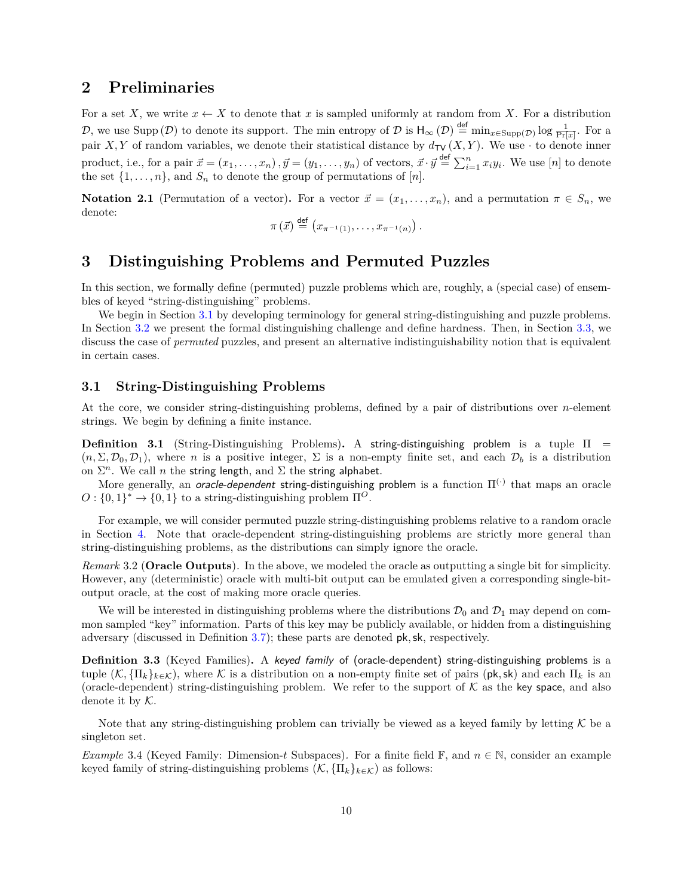# <span id="page-9-0"></span>**2 Preliminaries**

For a set X, we write  $x \leftarrow X$  to denote that x is sampled uniformly at random from X. For a distribution D, we use Supp (D) to denote its support. The min entropy of D is  $H_{\infty}(\mathcal{D}) \stackrel{\text{def}}{=} \min_{x \in \text{Supp}(\mathcal{D})} \log \frac{1}{\Pr[x]}$ . For a pair *X*, *Y* of random variables, we denote their statistical distance by  $d_{\text{TV}}(X, Y)$ . We use  $\cdot$  to denote inner product, i.e., for a pair  $\vec{x} = (x_1, \ldots, x_n)$ ,  $\vec{y} = (y_1, \ldots, y_n)$  of vectors,  $\vec{x} \cdot \vec{y} \stackrel{\text{def}}{=} \sum_{i=1}^n x_i y_i$ . We use  $[n]$  to denote the set  $\{1, \ldots, n\}$ , and  $S_n$  to denote the group of permutations of [n].

<span id="page-9-4"></span>**Notation 2.1** (Permutation of a vector). For a vector  $\vec{x} = (x_1, \ldots, x_n)$ , and a permutation  $\pi \in S_n$ , we denote:  $\overline{d}$ 

$$
\pi(\vec{x}) \stackrel{\text{def}}{=} \left(x_{\pi^{-1}(1)},\ldots,x_{\pi^{-1}(n)}\right).
$$

# <span id="page-9-1"></span>**3 Distinguishing Problems and Permuted Puzzles**

In this section, we formally define (permuted) puzzle problems which are, roughly, a (special case) of ensembles of keyed "string-distinguishing" problems.

We begin in Section [3.1](#page-9-2) by developing terminology for general string-distinguishing and puzzle problems. In Section [3.2](#page-10-0) we present the formal distinguishing challenge and define hardness. Then, in Section [3.3,](#page-11-0) we discuss the case of *permuted* puzzles, and present an alternative indistinguishability notion that is equivalent in certain cases.

### <span id="page-9-2"></span>**3.1 String-Distinguishing Problems**

At the core, we consider string-distinguishing problems, defined by a pair of distributions over  $n$ -element strings. We begin by defining a finite instance.

**Definition 3.1** (String-Distinguishing Problems)**.** A string-distinguishing problem is a tuple Π =  $(n, \Sigma, \mathcal{D}_0, \mathcal{D}_1)$ , where *n* is a positive integer,  $\Sigma$  is a non-empty finite set, and each  $\mathcal{D}_b$  is a distribution on  $\Sigma^n$ . We call *n* the string length, and  $\Sigma$  the string alphabet.

More generally, an *oracle-dependent* string-distinguishing problem is a function  $\Pi^{(\cdot)}$  that maps an oracle  $O: \{0,1\}^* \to \{0,1\}$  to a string-distinguishing problem  $\Pi^O$ .

For example, we will consider permuted puzzle string-distinguishing problems relative to a random oracle in Section [4.](#page-16-0) Note that oracle-dependent string-distinguishing problems are strictly more general than string-distinguishing problems, as the distributions can simply ignore the oracle.

<span id="page-9-5"></span>*Remark* 3.2 (**Oracle Outputs**)*.* In the above, we modeled the oracle as outputting a single bit for simplicity. However, any (deterministic) oracle with multi-bit output can be emulated given a corresponding single-bitoutput oracle, at the cost of making more oracle queries.

We will be interested in distinguishing problems where the distributions  $\mathcal{D}_0$  and  $\mathcal{D}_1$  may depend on common sampled "key" information. Parts of this key may be publicly available, or hidden from a distinguishing adversary (discussed in Definition [3.7\)](#page-10-1); these parts are denoted pk*,*sk, respectively.

**Definition 3.3** (Keyed Families)**.** A keyed family of (oracle-dependent) string-distinguishing problems is a tuple  $(\mathcal{K}, \{\Pi_k\}_{k \in \mathcal{K}})$ , where  $\mathcal K$  is a distribution on a non-empty finite set of pairs (pk, sk) and each  $\Pi_k$  is an (oracle-dependent) string-distinguishing problem. We refer to the support of  $K$  as the key space, and also denote it by  $K$ .

Note that any string-distinguishing problem can trivially be viewed as a keyed family by letting  $\mathcal K$  be a singleton set.

<span id="page-9-3"></span>*Example* 3.4 (Keyed Family: Dimension-t Subspaces). For a finite field  $\mathbb{F}$ , and  $n \in \mathbb{N}$ , consider an example keyed family of string-distinguishing problems  $(\mathcal{K}, {\{\Pi_k\}}_{k \in \mathcal{K}})$  as follows: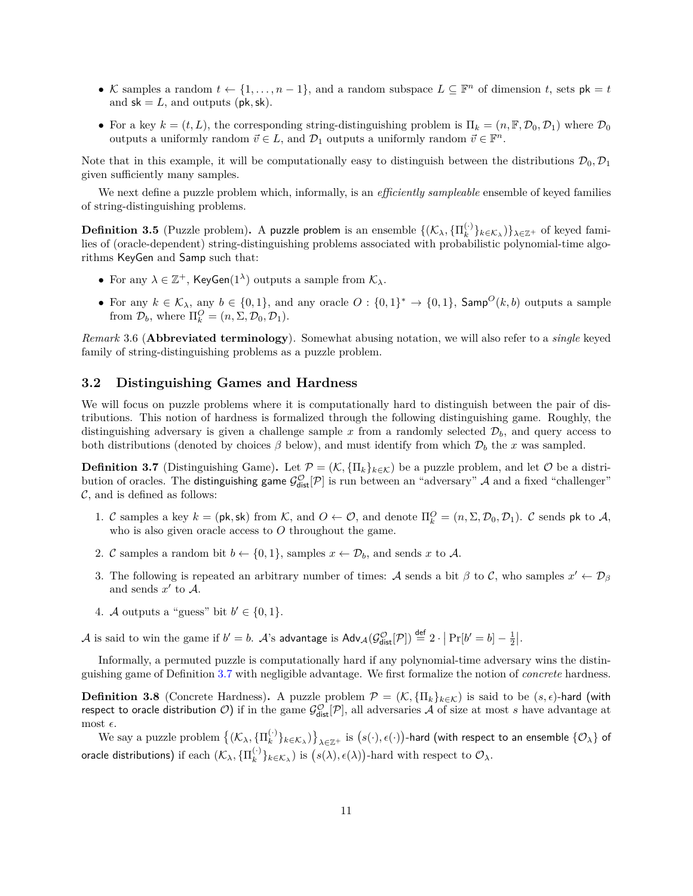- K samples a random  $t \leftarrow \{1, \ldots, n-1\}$ , and a random subspace  $L \subseteq \mathbb{F}^n$  of dimension t, sets  $\mathsf{pk} = t$ and  $sk = L$ , and outputs ( $pk, sk$ ).
- For a key  $k = (t, L)$ , the corresponding string-distinguishing problem is  $\Pi_k = (n, \mathbb{F}, \mathcal{D}_0, \mathcal{D}_1)$  where  $\mathcal{D}_0$ outputs a uniformly random  $\vec{v} \in L$ , and  $\mathcal{D}_1$  outputs a uniformly random  $\vec{v} \in \mathbb{F}^n$ .

Note that in this example, it will be computationally easy to distinguish between the distributions  $\mathcal{D}_0, \mathcal{D}_1$ given sufficiently many samples.

We next define a puzzle problem which, informally, is an *efficiently sampleable* ensemble of keyed families of string-distinguishing problems.

**Definition 3.5** (Puzzle problem). A puzzle problem is an ensemble  $\{(\mathcal{K}_\lambda, \{\Pi^{(\cdot)}_k\})\}$  ${}_{k}^{(\cdot)}\}_{k\in\mathcal{K}_{\lambda}}$  }  $\}_{\lambda\in\mathbb{Z}^{+}}$  of keyed families of (oracle-dependent) string-distinguishing problems associated with probabilistic polynomial-time algorithms KeyGen and Samp such that:

- For any  $\lambda \in \mathbb{Z}^+$ , KeyGen(1<sup> $\lambda$ </sup>) outputs a sample from  $\mathcal{K}_{\lambda}$ .
- For any  $k \in \mathcal{K}_{\lambda}$ , any  $b \in \{0,1\}$ , and any oracle  $O: \{0,1\}^* \to \{0,1\}$ , Samp<sup> $O(k, b)$ </sup> outputs a sample from  $\mathcal{D}_b$ , where  $\Pi_k^O = (n, \Sigma, \mathcal{D}_0, \mathcal{D}_1).$

*Remark* 3.6 (**Abbreviated terminology**)*.* Somewhat abusing notation, we will also refer to a *single* keyed family of string-distinguishing problems as a puzzle problem.

### <span id="page-10-0"></span>**3.2 Distinguishing Games and Hardness**

We will focus on puzzle problems where it is computationally hard to distinguish between the pair of distributions. This notion of hardness is formalized through the following distinguishing game. Roughly, the distinguishing adversary is given a challenge sample x from a randomly selected  $\mathcal{D}_b$ , and query access to both distributions (denoted by choices  $\beta$  below), and must identify from which  $\mathcal{D}_b$  the x was sampled.

<span id="page-10-1"></span>**Definition 3.7** (Distinguishing Game). Let  $\mathcal{P} = (\mathcal{K}, \{\Pi_k\}_{k \in \mathcal{K}})$  be a puzzle problem, and let  $\mathcal{O}$  be a distribution of oracles. The distinguishing game  $\mathcal{G}^{\mathcal{O}}_{dist}[\mathcal{P}]$  is run between an "adversary"  $\mathcal A$  and a fixed "challenger"  $\mathcal{C},$  and is defined as follows:

- 1. C samples a key  $k = (\mathsf{pk}, \mathsf{sk})$  from K, and  $O \leftarrow O$ , and denote  $\Pi_k^O = (n, \Sigma, \mathcal{D}_0, \mathcal{D}_1)$ . C sends  $\mathsf{pk}$  to A, who is also given oracle access to  $O$  throughout the game.
- 2. C samples a random bit  $b \leftarrow \{0, 1\}$ , samples  $x \leftarrow \mathcal{D}_b$ , and sends x to A.
- <span id="page-10-3"></span>3. The following is repeated an arbitrary number of times: A sends a bit  $\beta$  to C, who samples  $x' \leftarrow \mathcal{D}_{\beta}$ and sends  $x'$  to  $A$ .
- 4. *A* outputs a "guess" bit  $b' \in \{0, 1\}$ .

A is said to win the game if  $b' = b$ . A's advantage is  $\mathsf{Adv}_{\mathcal{A}}(\mathcal{G}^{\mathcal{O}}_{\mathsf{dist}}[\mathcal{P}]) \stackrel{\mathsf{def}}{=} 2 \cdot |\Pr[b' = b] - \frac{1}{2}|.$ 

Informally, a permuted puzzle is computationally hard if any polynomial-time adversary wins the distinguishing game of Definition [3.7](#page-10-1) with negligible advantage. We first formalize the notion of *concrete* hardness.

**Definition 3.8** (Concrete Hardness). A puzzle problem  $\mathcal{P} = (\mathcal{K}, \{\Pi_k\}_{k \in \mathcal{K}})$  is said to be  $(s, \epsilon)$ -hard (with respect to oracle distribution  $O$ ) if in the game  $\mathcal{G}^{\mathcal{O}}_{\text{dist}}[P]$ , all adversaries  $\mathcal A$  of size at most  $s$  have advantage at most  $\epsilon$ .

<span id="page-10-2"></span>We say a puzzle problem  $\{(\mathcal{K}_{\lambda}, \{\Pi_k^{(\cdot)}\})\}$  $\{e_k^{(k)}\}_{k\in\mathcal{K}_\lambda}\}_{\lambda\in\mathbb{Z}^+}$  is  $\big(s(\cdot),\epsilon(\cdot)\big)$ -hard (with respect to an ensemble  $\{\mathcal{O}_\lambda\}$  of oracle distributions) if  $\text{each } (\mathcal{K}_\lambda, \{\Pi^{(\cdot)}_k\})$  $\binom{(\cdot)}{k}$ <sub>k</sub> $\in$   $\mathcal{K}_{\lambda}$ ) is  $(s(\lambda), \epsilon(\lambda))$ -hard with respect to  $\mathcal{O}_{\lambda}$ .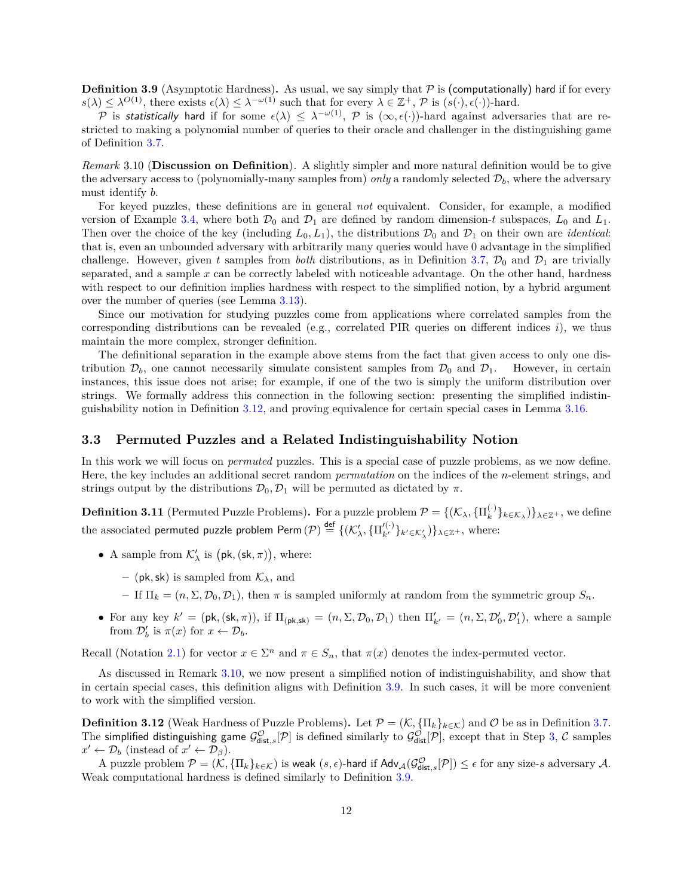**Definition 3.9** (Asymptotic Hardness). As usual, we say simply that  $P$  is (computationally) hard if for every  $s(\lambda) \leq \lambda^{O(1)}$ , there exists  $\epsilon(\lambda) \leq \lambda^{-\omega(1)}$  such that for every  $\lambda \in \mathbb{Z}^+$ ,  $\mathcal{P}$  is  $(s(\cdot), \epsilon(\cdot))$ -hard.

P is statistically hard if for some  $\epsilon(\lambda) \leq \lambda^{-\omega(1)}$ , P is  $(\infty, \epsilon(\cdot))$ -hard against adversaries that are restricted to making a polynomial number of queries to their oracle and challenger in the distinguishing game of Definition [3.7.](#page-10-1)

<span id="page-11-1"></span>*Remark* 3.10 (**Discussion on Definition**)*.* A slightly simpler and more natural definition would be to give the adversary access to (polynomially-many samples from) *only* a randomly selected  $\mathcal{D}_b$ , where the adversary must identify *b*.

For keyed puzzles, these definitions are in general *not* equivalent. Consider, for example, a modified version of Example [3.4,](#page-9-3) where both  $\mathcal{D}_0$  and  $\mathcal{D}_1$  are defined by random dimension-t subspaces,  $L_0$  and  $L_1$ . Then over the choice of the key (including  $L_0, L_1$ ), the distributions  $\mathcal{D}_0$  and  $\mathcal{D}_1$  on their own are *identical*: that is, even an unbounded adversary with arbitrarily many queries would have 0 advantage in the simplified challenge. However, given t samples from *both* distributions, as in Definition [3.7,](#page-10-1)  $\mathcal{D}_0$  and  $\mathcal{D}_1$  are trivially separated, and a sample  $x$  can be correctly labeled with noticeable advantage. On the other hand, hardness with respect to our definition implies hardness with respect to the simplified notion, by a hybrid argument over the number of queries (see Lemma [3.13\)](#page-12-0).

Since our motivation for studying puzzles come from applications where correlated samples from the corresponding distributions can be revealed (e.g., correlated PIR queries on different indices  $i$ ), we thus maintain the more complex, stronger definition.

The definitional separation in the example above stems from the fact that given access to only one distribution  $\mathcal{D}_b$ , one cannot necessarily simulate consistent samples from  $\mathcal{D}_0$  and  $\mathcal{D}_1$ . However, in certain instances, this issue does not arise; for example, if one of the two is simply the uniform distribution over strings. We formally address this connection in the following section: presenting the simplified indistinguishability notion in Definition [3.12,](#page-11-2) and proving equivalence for certain special cases in Lemma [3.16.](#page-12-1)

#### <span id="page-11-0"></span>**3.3 Permuted Puzzles and a Related Indistinguishability Notion**

In this work we will focus on *permuted* puzzles. This is a special case of puzzle problems, as we now define. Here, the key includes an additional secret random *permutation* on the indices of the *n*-element strings, and strings output by the distributions  $\mathcal{D}_0$ ,  $\mathcal{D}_1$  will be permuted as dictated by  $\pi$ .

**Definition 3.11** (Permuted Puzzle Problems). For a puzzle problem  $\mathcal{P} = \{(\mathcal{K}_\lambda, \{\Pi_k^{(\cdot)}\})\}$  $\{e_k^{(n)}\}_{k \in \mathcal{K}_{\lambda}}\}_{\lambda \in \mathbb{Z}^+}$ , we define the associated permuted puzzle problem Perm  $(\mathcal{P}) \stackrel{\mathsf{def}}{=} \{(\mathcal{K}'_{\lambda}, \{\Pi'^{(\cdot)}_{k'}\}_{k' \in \mathcal{K}'_{\lambda}})\}_{\lambda \in \mathbb{Z}^+},$  where:

- A sample from  $\mathcal{K}'_{\lambda}$  is  $(\mathsf{pk}, (\mathsf{sk}, \pi))$ , where:
	- (pk, sk) is sampled from  $K_{\lambda}$ , and
	- If  $\Pi_k = (n, \Sigma, \mathcal{D}_0, \mathcal{D}_1)$ , then  $\pi$  is sampled uniformly at random from the symmetric group  $S_n$ .
- For any key  $k' = (\mathsf{pk}, (\mathsf{sk}, \pi))$ , if  $\Pi_{(\mathsf{pk}, \mathsf{sk})} = (n, \Sigma, \mathcal{D}_0, \mathcal{D}_1)$  then  $\Pi'_{k'} = (n, \Sigma, \mathcal{D}'_0, \mathcal{D}'_1)$ , where a sample from  $\mathcal{D}'_b$  is  $\pi(x)$  for  $x \leftarrow \mathcal{D}_b$ .

Recall (Notation [2.1\)](#page-9-4) for vector  $x \in \Sigma^n$  and  $\pi \in S_n$ , that  $\pi(x)$  denotes the index-permuted vector.

As discussed in Remark [3.10,](#page-11-1) we now present a simplified notion of indistinguishability, and show that in certain special cases, this definition aligns with Definition [3.9.](#page-10-2) In such cases, it will be more convenient to work with the simplified version.

<span id="page-11-2"></span>**Definition 3.12** (Weak Hardness of Puzzle Problems). Let  $\mathcal{P} = (\mathcal{K}, \{\Pi_k\}_{k \in \mathcal{K}})$  and  $\mathcal{O}$  be as in Definition [3.7.](#page-10-1) The simplified distinguishing game  $\mathcal{G}^{\mathcal{O}}_{\text{dist},s}[\mathcal{P}]$  is defined similarly to  $\mathcal{G}^{\mathcal{O}}_{\text{dist}}[\mathcal{P}]$ , except that in Step [3,](#page-10-3)  $\mathcal C$  samples  $x' \leftarrow \mathcal{D}_b$  (instead of  $x' \leftarrow \mathcal{D}_\beta$ ).

A puzzle problem  $\mathcal{P} = (\mathcal{K}, \{\Pi_k\}_{k \in \mathcal{K}})$  is weak  $(s, \epsilon)$ -hard if  $\mathsf{Adv}_{\mathcal{A}}(\mathcal{G}^{\mathcal{O}}_{\mathsf{dist},s}[\mathcal{P}]) \leq \epsilon$  for any size-s adversary  $\mathcal{A}$ . Weak computational hardness is defined similarly to Definition [3.9.](#page-10-2)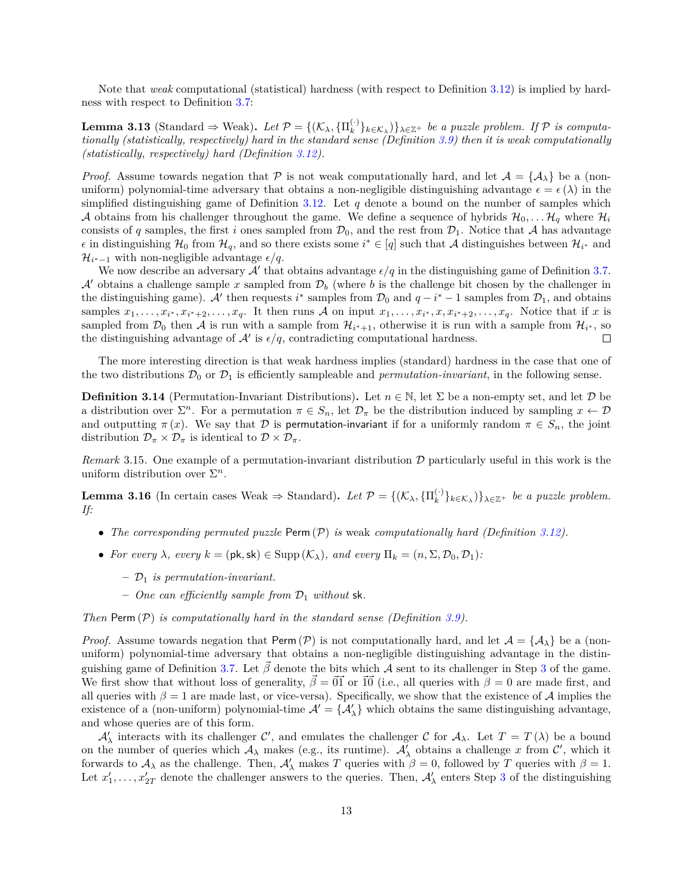Note that *weak* computational (statistical) hardness (with respect to Definition [3.12\)](#page-11-2) is implied by hardness with respect to Definition [3.7:](#page-10-1)

<span id="page-12-0"></span>**Lemma 3.13** (Standard  $\Rightarrow$  Weak). *Let*  $\mathcal{P} = \{(\mathcal{K}_{\lambda}, \{\Pi_k^{(\cdot)}\})\}$  $\{e^{(k)}\}_{k \in \mathcal{K}_{\lambda}}$   $\}$   $\lambda \in \mathbb{Z}^{+}$  *be a puzzle problem. If*  $P$  *is computationally (statistically, respectively) hard in the standard sense (Definition [3.9\)](#page-10-2) then it is weak computationally (statistically, respectively) hard (Definition [3.12\)](#page-11-2).*

*Proof.* Assume towards negation that  $\mathcal P$  is not weak computationally hard, and let  $\mathcal A = {\mathcal A}_{\lambda}$  be a (nonuniform) polynomial-time adversary that obtains a non-negligible distinguishing advantage  $\epsilon = \epsilon(\lambda)$  in the simplified distinguishing game of Definition [3.12.](#page-11-2) Let  $q$  denote a bound on the number of samples which A obtains from his challenger throughout the game. We define a sequence of hybrids  $\mathcal{H}_0, \ldots \mathcal{H}_q$  where  $\mathcal{H}_i$ consists of q samples, the first i ones sampled from  $\mathcal{D}_0$ , and the rest from  $\mathcal{D}_1$ . Notice that A has advantage  $\epsilon$  in distinguishing  $\mathcal{H}_0$  from  $\mathcal{H}_q$ , and so there exists some  $i^* \in [q]$  such that A distinguishes between  $\mathcal{H}_{i^*}$  and  $\mathcal{H}_{i^*-1}$  with non-negligible advantage  $\epsilon/q$ .

We now describe an adversary  $A'$  that obtains advantage  $\epsilon/q$  in the distinguishing game of Definition [3.7.](#page-10-1)  $\mathcal{A}'$  obtains a challenge sample x sampled from  $\mathcal{D}_b$  (where b is the challenge bit chosen by the challenger in the distinguishing game). A' then requests  $i^*$  samples from  $\mathcal{D}_0$  and  $q-i^*-1$  samples from  $\mathcal{D}_1$ , and obtains samples  $x_1, \ldots, x_{i^*}, x_{i^*+2}, \ldots, x_q$ . It then runs A on input  $x_1, \ldots, x_{i^*}, x, x_{i^*+2}, \ldots, x_q$ . Notice that if x is sampled from  $\mathcal{D}_0$  then A is run with a sample from  $\mathcal{H}_{i^*+1}$ , otherwise it is run with a sample from  $\mathcal{H}_{i^*}$ , so the distinguishing advantage of  $\mathcal{A}'$  is  $\epsilon/q$ , contradicting computational hardness.  $\Box$ 

The more interesting direction is that weak hardness implies (standard) hardness in the case that one of the two distributions  $\mathcal{D}_0$  or  $\mathcal{D}_1$  is efficiently sampleable and *permutation-invariant*, in the following sense.

**Definition 3.14** (Permutation-Invariant Distributions). Let  $n \in \mathbb{N}$ , let  $\Sigma$  be a non-empty set, and let  $\mathcal{D}$  be a distribution over  $\Sigma^n$ . For a permutation  $\pi \in S_n$ , let  $\mathcal{D}_{\pi}$  be the distribution induced by sampling  $x \leftarrow \mathcal{D}$ and outputting  $\pi(x)$ . We say that  $\mathcal D$  is permutation-invariant if for a uniformly random  $\pi \in S_n$ , the joint distribution  $\mathcal{D}_{\pi} \times \mathcal{D}_{\pi}$  is identical to  $\mathcal{D} \times \mathcal{D}_{\pi}$ .

*Remark* 3.15. One example of a permutation-invariant distribution  $D$  particularly useful in this work is the uniform distribution over  $\Sigma<sup>n</sup>$ .

<span id="page-12-1"></span>**Lemma 3.16** (In certain cases Weak  $\Rightarrow$  Standard). Let  $\mathcal{P} = \{(\mathcal{K}_{\lambda}, \{\Pi_k^{(\cdot)}\})\}$  $\{e_k^{(n)}\}_{k \in \mathcal{K}_{\lambda}}$ )} $\}_{\lambda \in \mathbb{Z}^+}$  *be a puzzle problem. If:*

- *The corresponding permuted puzzle* Perm  $(\mathcal{P})$  *is* weak *computationally hard (Definition [3.12\)](#page-11-2).*
- *For every*  $\lambda$ *, every*  $k = (\mathsf{pk}, \mathsf{sk}) \in \text{Supp}(\mathcal{K}_{\lambda})$ *, and every*  $\Pi_k = (n, \Sigma, \mathcal{D}_0, \mathcal{D}_1)$ *:* 
	- $\mathcal{D}_1$  *is permutation-invariant.*
	- $-$  *One can efficiently sample from*  $\mathcal{D}_1$  *without* sk.

*Then* Perm  $(\mathcal{P})$  *is computationally hard in the standard sense (Definition [3.9\)](#page-10-2).* 

*Proof.* Assume towards negation that Perm  $(\mathcal{P})$  is not computationally hard, and let  $\mathcal{A} = {\mathcal{A}_{\lambda}}$  be a (nonuniform) polynomial-time adversary that obtains a non-negligible distinguishing advantage in the distin-guishing game of Definition [3.7.](#page-10-1) Let  $\beta$  denote the bits which A sent to its challenger in Step [3](#page-10-3) of the game. We first show that without loss of generality,  $\hat{\beta} = \vec{0} \vec{1}$  or  $\vec{10}$  (i.e., all queries with  $\beta = 0$  are made first, and all queries with  $\beta = 1$  are made last, or vice-versa). Specifically, we show that the existence of A implies the existence of a (non-uniform) polynomial-time  $\mathcal{A}' = \{ \mathcal{A}'_{\lambda} \}$  which obtains the same distinguishing advantage, and whose queries are of this form.

 $\mathcal{A}'_{\lambda}$  interacts with its challenger C', and emulates the challenger C for  $\mathcal{A}_{\lambda}$ . Let  $T = T(\lambda)$  be a bound on the number of queries which  $A_\lambda$  makes (e.g., its runtime).  $A'_\lambda$  obtains a challenge x from  $\mathcal{C}'$ , which it forwards to  $A_\lambda$  as the challenge. Then,  $A'_\lambda$  makes T queries with  $\beta = 0$ , followed by T queries with  $\beta = 1$ . Let  $x'_1, \ldots, x'_{2T}$  denote the challenger answers to the queries. Then,  $\mathcal{A}'_\lambda$  enters Step [3](#page-10-3) of the distinguishing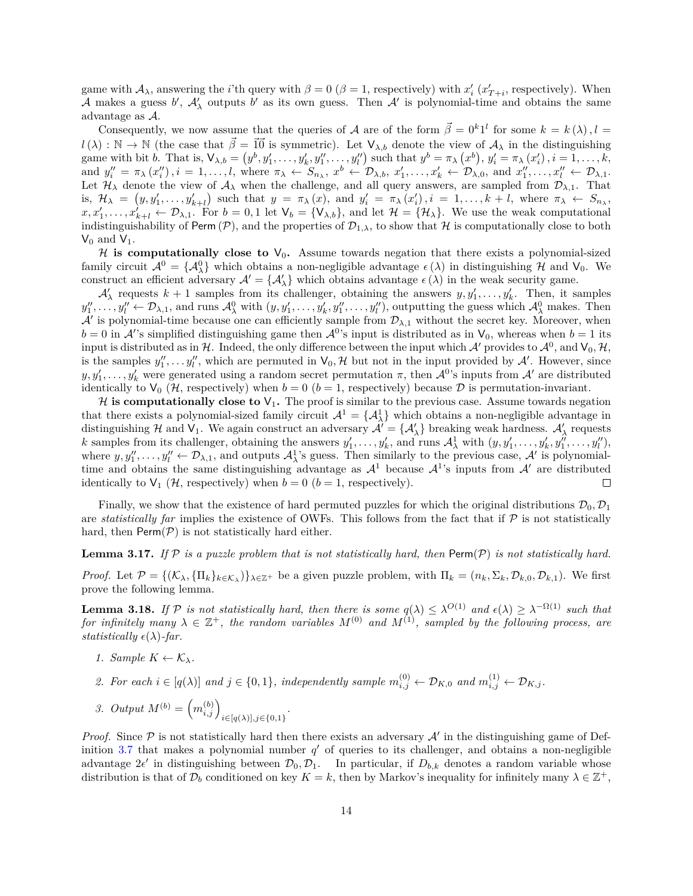game with  $A_\lambda$ , answering the *i*'th query with  $\beta = 0$  ( $\beta = 1$ , respectively) with  $x'_i$  ( $x'_{T+i}$ , respectively). When A makes a guess b',  $A'_\lambda$  outputs b' as its own guess. Then A' is polynomial-time and obtains the same advantage as  $A$ .

Consequently, we now assume that the queries of A are of the form  $\vec{\beta} = 0^k 1^l$  for some  $k = k(\lambda), l =$  $l(\lambda): \mathbb{N} \to \mathbb{N}$  (the case that  $\vec{\beta} = \vec{10}$  is symmetric). Let  $\mathsf{V}_{\lambda,b}$  denote the view of  $\mathcal{A}_{\lambda}$  in the distinguishing game with bit b. That is,  $\mathsf{V}_{\lambda,b} = (y^b, y'_1, \dots, y'_k, y''_1, \dots, y''_l)$  such that  $y^b = \pi_\lambda(x^b), y'_i = \pi_\lambda(x'_i), i = 1, \dots, k$ , and  $y''_i = \pi_\lambda(x''_i), i = 1, ..., l$ , where  $\pi_\lambda \leftarrow S_{n_\lambda}, x^b \leftarrow \mathcal{D}_{\lambda, b}, x'_1, ..., x'_k \leftarrow \mathcal{D}_{\lambda, 0},$  and  $x''_1, ..., x''_l \leftarrow \mathcal{D}_{\lambda, 1}$ . Let  $\mathcal{H}_{\lambda}$  denote the view of  $\mathcal{A}_{\lambda}$  when the challenge, and all query answers, are sampled from  $\mathcal{D}_{\lambda,1}$ . That is,  $\mathcal{H}_{\lambda} = (y, y'_1, \ldots, y'_{k+l})$  such that  $y = \pi_{\lambda}(x)$ , and  $y'_i = \pi_{\lambda}(x'_i)$ ,  $i = 1, \ldots, k+l$ , where  $\pi_{\lambda} \leftarrow S_{n_{\lambda}},$  $x, x'_1, \ldots, x'_{k+l} \leftarrow \mathcal{D}_{\lambda,1}$ . For  $b = 0,1$  let  $\mathsf{V}_b = {\mathsf{V}_{\lambda,b}}$ , and let  $\mathcal{H} = {\mathcal{H}_{\lambda}}$ . We use the weak computational indistinguishability of Perm  $(\mathcal{P})$ , and the properties of  $\mathcal{D}_{1,\lambda}$ , to show that  $\mathcal{H}$  is computationally close to both  $V_0$  and  $V_1$ .

H is computationally close to  $V_0$ . Assume towards negation that there exists a polynomial-sized family circuit  $\mathcal{A}^0 = {\{\mathcal{A}^0_\lambda\}}$  which obtains a non-negligible advantage  $\epsilon(\lambda)$  in distinguishing  $\mathcal H$  and  $V_0$ . We construct an efficient adversary  $\mathcal{A}' = {\mathcal{A}'_{\lambda}}$  which obtains advantage  $\epsilon(\lambda)$  in the weak security game.

 $\mathcal{A}'_{\lambda}$  requests  $k+1$  samples from its challenger, obtaining the answers  $y, y'_{1}, \ldots, y'_{k}$ . Then, it samples  $y''_1, \ldots, y''_l \leftarrow \mathcal{D}_{\lambda,1}$ , and runs  $\mathcal{A}^0_\lambda$  with  $(y, y'_1, \ldots, y'_k, y''_1, \ldots, y''_l)$ , outputting the guess which  $\mathcal{A}^0_\lambda$  makes. Then  $\mathcal{A}'$  is polynomial-time because one can efficiently sample from  $\mathcal{D}_{\lambda,1}$  without the secret key. Moreover, when  $b = 0$  in  $\mathcal{A}'$ 's simplified distinguishing game then  $\mathcal{A}^{0}$ 's input is distributed as in  $V_0$ , whereas when  $b = 1$  its input is distributed as in H. Indeed, the only difference between the input which  $\mathcal{A}'$  provides to  $\mathcal{A}^0$ , and  $\mathsf{V}_0, \mathcal{H}$ , is the samples  $y''_1, \ldots, y''_l$ , which are permuted in  $\mathsf{V}_0, \mathcal{H}$  but not in the input provided by  $\mathcal{A}'$ . However, since  $y, y'_1, \ldots, y'_k$  were generated using a random secret permutation  $\pi$ , then  $\mathcal{A}^0$ 's inputs from  $\mathcal{A}'$  are distributed identically to  $V_0(\mathcal{H})$ , respectively) when  $b = 0$  ( $b = 1$ , respectively) because  $\mathcal{D}$  is permutation-invariant.

 $\mathcal H$  is computationally close to  $V_1$ . The proof is similar to the previous case. Assume towards negation that there exists a polynomial-sized family circuit  $A^1 = \{A^1_\lambda\}$  which obtains a non-negligible advantage in distinguishing  $\mathcal{H}$  and  $V_1$ . We again construct an adversary  $\mathcal{A}' = {\mathcal{A}'_{\lambda}}$  breaking weak hardness.  $\mathcal{A}'_{\lambda}$  requests k samples from its challenger, obtaining the answers  $y'_1, \ldots, y'_k$ , and runs  $\mathcal{A}^1_\lambda$  with  $(y, y'_1, \ldots, y'_k, y''_1, \ldots, y''_l)$ , where  $y, y''_1, \ldots, y''_l \leftarrow \mathcal{D}_{\lambda,1}$ , and outputs  $\mathcal{A}^1_\lambda$ 's guess. Then similarly to the previous case,  $\mathcal{A}'$  is polynomialtime and obtains the same distinguishing advantage as  $\mathcal{A}^1$  because  $\mathcal{A}^1$ 's inputs from  $\mathcal{A}'$  are distributed identically to  $V_1$  (*H*, respectively) when  $b = 0$  ( $b = 1$ , respectively).  $\Box$ 

Finally, we show that the existence of hard permuted puzzles for which the original distributions  $\mathcal{D}_0, \mathcal{D}_1$ are *statistically far* implies the existence of OWFs. This follows from the fact that if  $P$  is not statistically hard, then  $\mathsf{Perm}(\mathcal{P})$  is not statistically hard either.

<span id="page-13-0"></span>**Lemma 3.17.** *If*  $P$  *is a puzzle problem that is not statistically hard, then*  $\text{Perm}(P)$  *is not statistically hard.* 

*Proof.* Let  $\mathcal{P} = \{(\mathcal{K}_{\lambda}, \{\Pi_k\}_{k \in \mathcal{K}_{\lambda}})\}_{\lambda \in \mathbb{Z}^+}$  be a given puzzle problem, with  $\Pi_k = (n_k, \Sigma_k, \mathcal{D}_{k,0}, \mathcal{D}_{k,1})$ . We first prove the following lemma.

**Lemma 3.18.** If  $P$  is not statistically hard, then there is some  $q(\lambda) \leq \lambda^{O(1)}$  and  $\epsilon(\lambda) \geq \lambda^{-\Omega(1)}$  such that  $for \; infinitely \; many \; \lambda \in \mathbb{Z}^+$ , the random variables  $M^{(0)}$  and  $M^{(1)}$ , sampled by the following process, are *statistically*  $\epsilon(\lambda)$ -far.

*1. Sample*  $K \leftarrow \mathcal{K}_{\lambda}$ .

2. For each 
$$
i \in [q(\lambda)]
$$
 and  $j \in \{0,1\}$ , independently sample  $m_{i,j}^{(0)} \leftarrow \mathcal{D}_{K,0}$  and  $m_{i,j}^{(1)} \leftarrow \mathcal{D}_{K,j}$ .

3. Output 
$$
M^{(b)} = (m_{i,j}^{(b)})_{i \in [q(\lambda)], j \in \{0,1\}}
$$
.

*Proof.* Since  $P$  is not statistically hard then there exists an adversary  $A'$  in the distinguishing game of Def-inition [3.7](#page-10-1) that makes a polynomial number  $q'$  of queries to its challenger, and obtains a non-negligible advantage  $2\epsilon'$  in distinguishing between  $\mathcal{D}_0, \mathcal{D}_1$ . In particular, if  $D_{b,k}$  denotes a random variable whose distribution is that of  $\mathcal{D}_b$  conditioned on key  $K = k$ , then by Markov's inequality for infinitely many  $\lambda \in \mathbb{Z}^+$ ,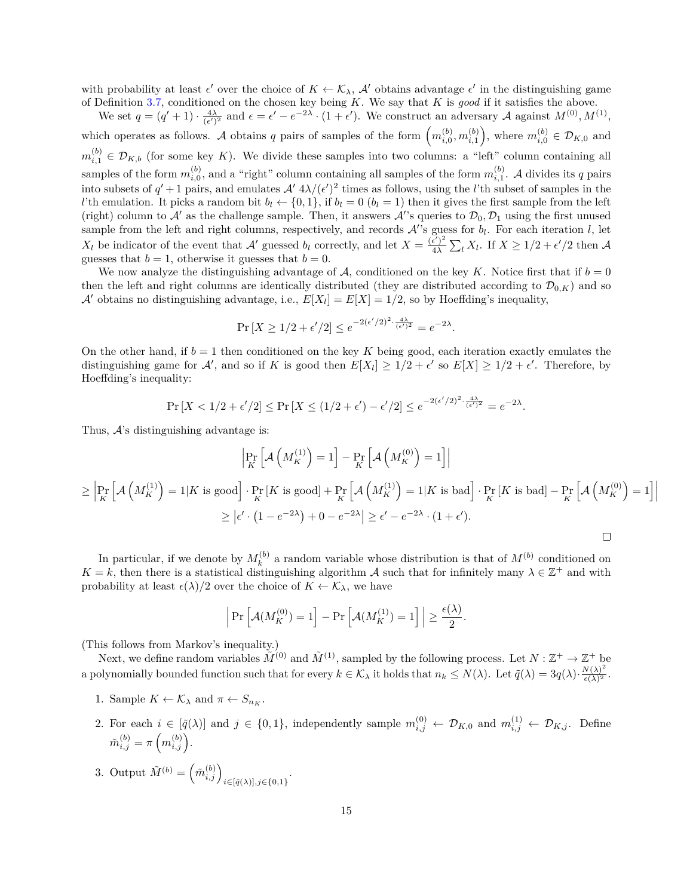with probability at least  $\epsilon'$  over the choice of  $K \leftarrow \mathcal{K}_{\lambda}$ ,  $\mathcal{A}'$  obtains advantage  $\epsilon'$  in the distinguishing game of Definition [3.7,](#page-10-1) conditioned on the chosen key being  $K$ . We say that  $K$  is good if it satisfies the above.

We set  $q = (q' + 1) \cdot \frac{4\lambda}{(\epsilon')^2}$  and  $\epsilon = \epsilon' - e^{-2\lambda} \cdot (1 + \epsilon')$ . We construct an adversary A against  $M^{(0)}, M^{(1)},$ which operates as follows. A obtains q pairs of samples of the form  $\left(m_{i,0}^{(b)}, m_{i,1}^{(b)}\right)$ , where  $m_{i,0}^{(b)} \in \mathcal{D}_{K,0}$  and  $m_{i,1}^{(b)} \in \mathcal{D}_{K,b}$  (for some key K). We divide these samples into two columns: a "left" column containing all samples of the form  $m_{i,0}^{(b)}$ , and a "right" column containing all samples of the form  $m_{i,1}^{(b)}$ . A divides its q pairs into subsets of  $q' + 1$  pairs, and emulates  $A' 4\lambda/(\epsilon')^2$  times as follows, using the *l*'th subset of samples in the  $l'$ th emulation. It picks a random bit  $b_l \leftarrow \{0, 1\}$ , if  $b_l = 0$   $(b_l = 1)$  then it gives the first sample from the left (right) column to  $\mathcal{A}'$  as the challenge sample. Then, it answers  $\mathcal{A}$ 's queries to  $\mathcal{D}_0, \mathcal{D}_1$  using the first unused sample from the left and right columns, respectively, and records  $\mathcal{A}$ 's guess for  $b_l$ . For each iteration l, let  $X_l$  be indicator of the event that  $\mathcal{A}'$  guessed  $b_l$  correctly, and let  $X = \frac{(\epsilon')^2}{4\lambda}$  $\frac{\epsilon'}{4\lambda} \sum_l X_l$ . If  $X \geq 1/2 + \epsilon'/2$  then A guesses that  $b = 1$ , otherwise it guesses that  $b = 0$ .

We now analyze the distinguishing advantage of A, conditioned on the key K. Notice first that if  $b = 0$ then the left and right columns are identically distributed (they are distributed according to  $\mathcal{D}_{0,K}$ ) and so A' obtains no distinguishing advantage, i.e.,  $E[X_l] = E[X] = 1/2$ , so by Hoeffding's inequality,

$$
\Pr\left[X \ge 1/2 + \epsilon'/2\right] \le e^{-2(\epsilon'/2)^2 \cdot \frac{4\lambda}{(\epsilon')^2}} = e^{-2\lambda}.
$$

On the other hand, if  $b = 1$  then conditioned on the key K being good, each iteration exactly emulates the distinguishing game for  $\mathcal{A}'$ , and so if K is good then  $E[X_l] \geq 1/2 + \epsilon'$  so  $E[X] \geq 1/2 + \epsilon'$ . Therefore, by Hoeffding's inequality:

$$
\Pr\left[X < 1/2 + \epsilon'/2\right] \le \Pr\left[X \le (1/2 + \epsilon') - \epsilon'/2\right] \le e^{-2(\epsilon'/2)^2 \cdot \frac{4\lambda}{(\epsilon')^2}} = e^{-2\lambda}.
$$

Thus,  $A$ 's distinguishing advantage is:

$$
\left| \Pr_{K} \left[ A \left( M_{K}^{(1)} \right) = 1 \right] - \Pr_{K} \left[ A \left( M_{K}^{(0)} \right) = 1 \right] \right|
$$
  
\n
$$
\geq \left| \Pr_{K} \left[ A \left( M_{K}^{(1)} \right) = 1 \right] K \text{ is good} \right| \cdot \Pr_{K} \left[ K \text{ is good} \right] + \Pr_{K} \left[ A \left( M_{K}^{(1)} \right) = 1 \right] K \text{ is bad} \right] \cdot \Pr_{K} \left[ K \text{ is bad} \right] - \Pr_{K} \left[ A \left( M_{K}^{(0)} \right) = 1 \right] \right|
$$
  
\n
$$
\geq \left| \epsilon' \cdot (1 - e^{-2\lambda}) + 0 - e^{-2\lambda} \right| \geq \epsilon' - e^{-2\lambda} \cdot (1 + \epsilon').
$$

In particular, if we denote by  $M_k^{(b)}$  $\mathbf{R}_{k}^{(b)}$  a random variable whose distribution is that of  $M^{(b)}$  conditioned on  $K = k$ , then there is a statistical distinguishing algorithm A such that for infinitely many  $\lambda \in \mathbb{Z}^+$  and with probability at least  $\epsilon(\lambda)/2$  over the choice of  $K \leftarrow \mathcal{K}_{\lambda}$ , we have

$$
\left| \Pr \left[ \mathcal{A}(M_K^{(0)}) = 1 \right] - \Pr \left[ \mathcal{A}(M_K^{(1)}) = 1 \right] \right| \ge \frac{\epsilon(\lambda)}{2}.
$$

(This follows from Markov's inequality.)

Next, we define random variables  $\tilde{M}^{(0)}$  and  $\tilde{M}^{(1)}$ , sampled by the following process. Let  $N: \mathbb{Z}^+ \to \mathbb{Z}^+$  be a polynomially bounded function such that for every  $k \in \mathcal{K}_{\lambda}$  it holds that  $n_k \leq N(\lambda)$ . Let  $\tilde{q}(\lambda) = 3q(\lambda) \cdot \frac{N(\lambda)^2}{\epsilon(\lambda)^2}$  $\frac{\sigma(\lambda)}{\epsilon(\lambda)^2}$ .

- 1. Sample  $K \leftarrow \mathcal{K}_{\lambda}$  and  $\pi \leftarrow S_{n_K}$ .
- 2. For each  $i \in [\tilde{q}(\lambda)]$  and  $j \in \{0,1\}$ , independently sample  $m_{i,j}^{(0)} \leftarrow \mathcal{D}_{K,0}$  and  $m_{i,j}^{(1)} \leftarrow \mathcal{D}_{K,j}$ . Define  $\tilde{m}_{i,j}^{(b)} = \pi \left( m_{i,j}^{(b)} \right)$ .
- 3. Output  $\tilde{M}^{(b)} = (\tilde{m}_{i,j}^{(b)})_{i \in [\tilde{q}(\lambda)], j \in \{0,1\}}$ .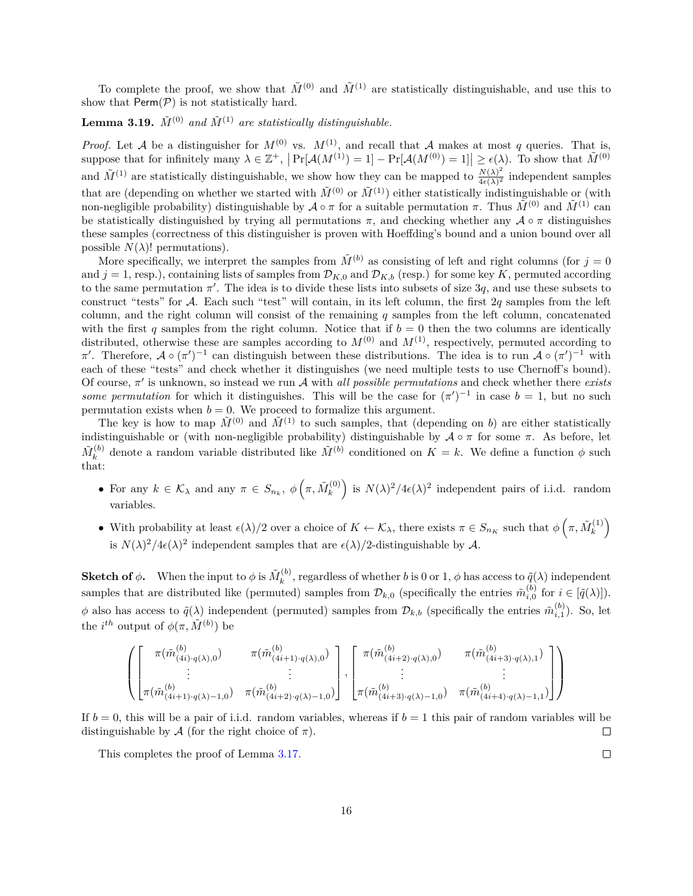To complete the proof, we show that  $\tilde{M}^{(0)}$  and  $\tilde{M}^{(1)}$  are statistically distinguishable, and use this to show that  $\mathsf{Perm}(\mathcal{P})$  is not statistically hard.

### **Lemma 3.19.**  $\tilde{M}^{(0)}$  and  $\tilde{M}^{(1)}$  are statistically distinguishable.

*Proof.* Let A be a distinguisher for  $M^{(0)}$  vs.  $M^{(1)}$ , and recall that A makes at most q queries. That is, suppose that for infinitely many  $\lambda \in \mathbb{Z}^+$ ,  $\left| \Pr[\mathcal{A}(M^{(1)}) = 1] - \Pr[\mathcal{A}(M^{(0)}) = 1] \right| \ge \epsilon(\lambda)$ . To show that  $\tilde{M}^{(0)}$ and  $\tilde{M}^{(1)}$  are statistically distinguishable, we show how they can be mapped to  $\frac{N(\lambda)^2}{4\epsilon(\lambda)^2}$  $\frac{N(\lambda)^2}{4\epsilon(\lambda)^2}$  independent samples that are (depending on whether we started with  $\tilde{M}^{(0)}$  or  $\tilde{M}^{(1)}$ ) either statistically indistinguishable or (with non-negligible probability) distinguishable by  $\mathcal{A} \circ \pi$  for a suitable permutation  $\pi$ . Thus  $\tilde{M}^{(0)}$  and  $\tilde{M}^{(1)}$  can be statistically distinguished by trying all permutations  $\pi$ , and checking whether any  $\mathcal{A} \circ \pi$  distinguishes these samples (correctness of this distinguisher is proven with Hoeffding's bound and a union bound over all possible  $N(\lambda)!$  permutations).

More specifically, we interpret the samples from  $\tilde{M}^{(b)}$  as consisting of left and right columns (for  $j=0$ and  $j = 1$ , resp.), containing lists of samples from  $\mathcal{D}_{K,0}$  and  $\mathcal{D}_{K,b}$  (resp.) for some key K, permuted according to the same permutation  $\pi'$ . The idea is to divide these lists into subsets of size 3q, and use these subsets to construct "tests" for  $\mathcal A$ . Each such "test" will contain, in its left column, the first 2q samples from the left column, and the right column will consist of the remaining  $q$  samples from the left column, concatenated with the first q samples from the right column. Notice that if  $b = 0$  then the two columns are identically distributed, otherwise these are samples according to  $M^{(0)}$  and  $M^{(1)}$ , respectively, permuted according to  $\pi'$ . Therefore,  $\mathcal{A} \circ (\pi')^{-1}$  can distinguish between these distributions. The idea is to run  $\mathcal{A} \circ (\pi')^{-1}$  with each of these "tests" and check whether it distinguishes (we need multiple tests to use Chernoff's bound). Of course,  $\pi'$  is unknown, so instead we run  $\mathcal A$  with *all possible permutations* and check whether there *exists some permutation* for which it distinguishes. This will be the case for  $(\pi')^{-1}$  in case  $b = 1$ , but no such permutation exists when  $b = 0$ . We proceed to formalize this argument.

The key is how to map  $\tilde{M}^{(0)}$  and  $\tilde{M}^{(1)}$  to such samples, that (depending on b) are either statistically indistinguishable or (with non-negligible probability) distinguishable by  $\mathcal{A} \circ \pi$  for some  $\pi$ . As before, let  $\tilde{M}_k^{(b)}$  $\tilde{M}^{(b)}$  denote a random variable distributed like  $\tilde{M}^{(b)}$  conditioned on  $K = k$ . We define a function  $\phi$  such that:

- For any  $k \in \mathcal{K}_{\lambda}$  and any  $\pi \in S_{n_k}$ ,  $\phi\left(\pi, \tilde{M}_k^{(0)}\right)$  $\binom{10}{k}$  is  $N(\lambda)^2/4\epsilon(\lambda)^2$  independent pairs of i.i.d. random variables.
- With probability at least  $\epsilon(\lambda)/2$  over a choice of  $K \leftarrow \mathcal{K}_{\lambda}$ , there exists  $\pi \in S_{n_K}$  such that  $\phi\left(\pi, \tilde{M}_k^{(1)}\right)$  $\binom{(1)}{k}$ is  $N(\lambda)^2/4\epsilon(\lambda)^2$  independent samples that are  $\epsilon(\lambda)/2$ -distinguishable by A.

**Sketch of**  $\phi$ **. When the input to**  $\phi$  **is**  $\tilde{M}_k^{(b)}$  $\tilde{q}^{(0)}_{k}$ , regardless of whether b is 0 or 1,  $\phi$  has access to  $\tilde{q}(\lambda)$  independent samples that are distributed like (permuted) samples from  $\mathcal{D}_{k,0}$  (specifically the entries  $\tilde{m}_{i,0}^{(b)}$  for  $i \in [\tilde{q}(\lambda)]$ ).  $\phi$  also has access to  $\tilde{q}(\lambda)$  independent (permuted) samples from  $\mathcal{D}_{k,b}$  (specifically the entries  $\tilde{m}_{i,1}^{(b)}$ ). So, let the *i*<sup>th</sup> output of  $\phi(\pi, \tilde{M}^{(b)})$  be

$$
\left( \begin{bmatrix} \pi(\tilde{m}_{(4i)q(\lambda),0}^{(b)}) & \pi(\tilde{m}_{(4i+1)q(\lambda),0}^{(b)}) \\ \vdots & \vdots \\ \pi(\tilde{m}_{(4i+1)q(\lambda)-1,0}^{(b)}) & \pi(\tilde{m}_{(4i+2)q(\lambda)-1,0}^{(b)}) \end{bmatrix}, \begin{bmatrix} \pi(\tilde{m}_{(4i+2)q(\lambda),0}^{(b)}) & \pi(\tilde{m}_{(4i+3)q(\lambda),1}^{(b)}) \\ \vdots & \vdots \\ \pi(\tilde{m}_{(4i+3)q(\lambda)-1,0}^{(b)}) & \pi(\tilde{m}_{(4i+4)q(\lambda)-1,1}^{(b)}) \end{bmatrix} \right)
$$

If  $b = 0$ , this will be a pair of i.i.d. random variables, whereas if  $b = 1$  this pair of random variables will be distinguishable by A (for the right choice of  $\pi$ ).  $\Box$ 

This completes the proof of Lemma [3.17.](#page-13-0)

 $\Box$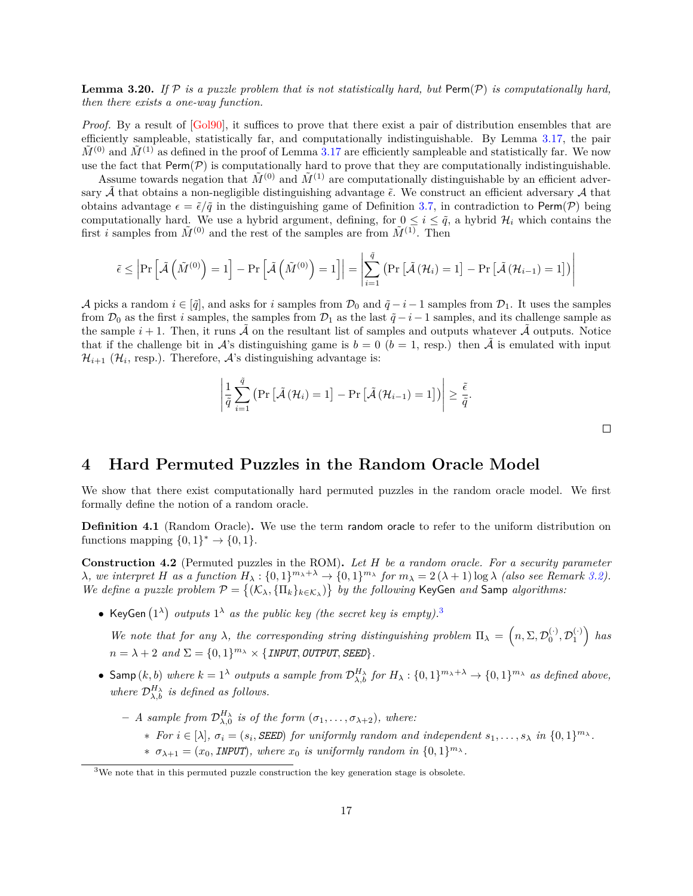**Lemma 3.20.** If  $P$  is a puzzle problem that is not statistically hard, but  $\text{Perm}(P)$  is computationally hard, *then there exists a one-way function.*

*Proof.* By a result of [\[Gol90\]](#page-34-14), it suffices to prove that there exist a pair of distribution ensembles that are efficiently sampleable, statistically far, and computationally indistinguishable. By Lemma [3.17,](#page-13-0) the pair  $\tilde{M}^{(0)}$  and  $\tilde{M}^{(1)}$  as defined in the proof of Lemma [3.17](#page-13-0) are efficiently sampleable and statistically far. We now use the fact that  $\text{Perm}(\mathcal{P})$  is computationally hard to prove that they are computationally indistinguishable.

Assume towards negation that  $\tilde{M}^{(0)}$  and  $\tilde{M}^{(1)}$  are computationally distinguishable by an efficient adversary  $\tilde{\mathcal{A}}$  that obtains a non-negligible distinguishing advantage  $\tilde{\epsilon}$ . We construct an efficient adversary  $\mathcal{A}$  that obtains advantage  $\epsilon = \tilde{\epsilon}/\tilde{q}$  in the distinguishing game of Definition [3.7,](#page-10-1) in contradiction to Perm(P) being computationally hard. We use a hybrid argument, defining, for  $0 \leq i \leq \tilde{q}$ , a hybrid  $\mathcal{H}_i$  which contains the first *i* samples from  $\tilde{M}^{(0)}$  and the rest of the samples are from  $\tilde{M}^{(1)}$ . Then

$$
\tilde{\epsilon} \le \left| \Pr\left[ \tilde{\mathcal{A}}\left( \tilde{M}^{(0)} \right) = 1 \right] - \Pr\left[ \tilde{\mathcal{A}}\left( \tilde{M}^{(0)} \right) = 1 \right] \right| = \left| \sum_{i=1}^{\tilde{q}} \left( \Pr\left[ \tilde{\mathcal{A}}\left( \mathcal{H}_i \right) = 1 \right] - \Pr\left[ \tilde{\mathcal{A}}\left( \mathcal{H}_{i-1} \right) = 1 \right] \right) \right|
$$

A picks a random  $i \in [\tilde{q}]$ , and asks for i samples from  $\mathcal{D}_0$  and  $\tilde{q} - i - 1$  samples from  $\mathcal{D}_1$ . It uses the samples from  $\mathcal{D}_0$  as the first *i* samples, the samples from  $\mathcal{D}_1$  as the last  $\tilde{q}-i-1$  samples, and its challenge sample as the sample  $i+1$ . Then, it runs  $\mathcal A$  on the resultant list of samples and outputs whatever  $\mathcal A$  outputs. Notice that if the challenge bit in  $\mathcal{A}$ 's distinguishing game is  $b = 0$  ( $b = 1$ , resp.) then  $\tilde{\mathcal{A}}$  is emulated with input  $\mathcal{H}_{i+1}$  ( $\mathcal{H}_i$ , resp.). Therefore,  $\mathcal{A}$ 's distinguishing advantage is:

$$
\left|\frac{1}{\tilde{q}}\sum_{i=1}^{\tilde{q}}\left(\Pr\left[\tilde{\mathcal{A}}\left(\mathcal{H}_{i}\right)=1\right]-\Pr\left[\tilde{\mathcal{A}}\left(\mathcal{H}_{i-1}\right)=1\right]\right)\right| \geq \frac{\tilde{\epsilon}}{\tilde{q}}.
$$

# <span id="page-16-0"></span>**4 Hard Permuted Puzzles in the Random Oracle Model**

We show that there exist computationally hard permuted puzzles in the random oracle model. We first formally define the notion of a random oracle.

**Definition 4.1** (Random Oracle)**.** We use the term random oracle to refer to the uniform distribution on functions mapping  $\{0,1\}^* \to \{0,1\}.$ 

<span id="page-16-2"></span>**Construction 4.2** (Permuted puzzles in the ROM)**.** *Let be a random oracle. For a security parameter*  $\lambda$ , we interpret H as a function  $H_{\lambda}: \{0,1\}^{m_{\lambda}+\lambda} \to \{0,1\}^{m_{\lambda}}$  for  $m_{\lambda} = 2(\lambda+1) \log \lambda$  (also see Remark [3.2\)](#page-9-5). *We define a puzzle problem*  $\mathcal{P} = \{(\mathcal{K}_{\lambda}, \{\Pi_k\}_{k \in \mathcal{K}_{\lambda}})\}\$  by the following KeyGen *and* Samp *algorithms:* 

• KeyGen  $(1^{\lambda})$  *outputs*  $1^{\lambda}$  *as the public key (the secret key is empty).*<sup>[3](#page-16-1)</sup>

We note that for any  $\lambda$ , the corresponding string distinguishing problem  $\Pi_{\lambda} = (n, \Sigma, \mathcal{D}_0^{(\cdot)}, \mathcal{D}_1^{(\cdot)})$  has  $n = \lambda + 2$  and  $\Sigma = \{0, 1\}^{m_{\lambda}} \times \{ \text{INPUT}, \text{OUTPUT}, \text{SEED} \}.$ 

- Samp  $(k, b)$  *where*  $k = 1^{\lambda}$  *outputs a sample from*  $\mathcal{D}_{\lambda, b}^{H_{\lambda}}$  *for*  $H_{\lambda} : \{0, 1\}^{m_{\lambda} + \lambda} \to \{0, 1\}^{m_{\lambda}}$  *as defined above,* where  $\mathcal{D}_{\lambda,b}^{H_{\lambda}}$  is defined as follows.
	- $-$  *A sample from*  $\mathcal{D}_{\lambda,0}^{H_{\lambda}}$  *is of the form*  $(\sigma_1,\ldots,\sigma_{\lambda+2})$ *, where:* 
		- \* *For*  $i \in [\lambda]$ ,  $\sigma_i = (s_i, \text{SEED})$  *for uniformly random and independent*  $s_1, \ldots, s_\lambda$  *in*  $\{0,1\}^{m_\lambda}$ *.*
		- \*  $\sigma_{\lambda+1} = (x_0, \text{INPUT})$ , where  $x_0$  *is uniformly random in*  $\{0, 1\}^{m_{\lambda}}$ .

 $\Box$ 

<span id="page-16-1"></span><sup>3</sup>We note that in this permuted puzzle construction the key generation stage is obsolete.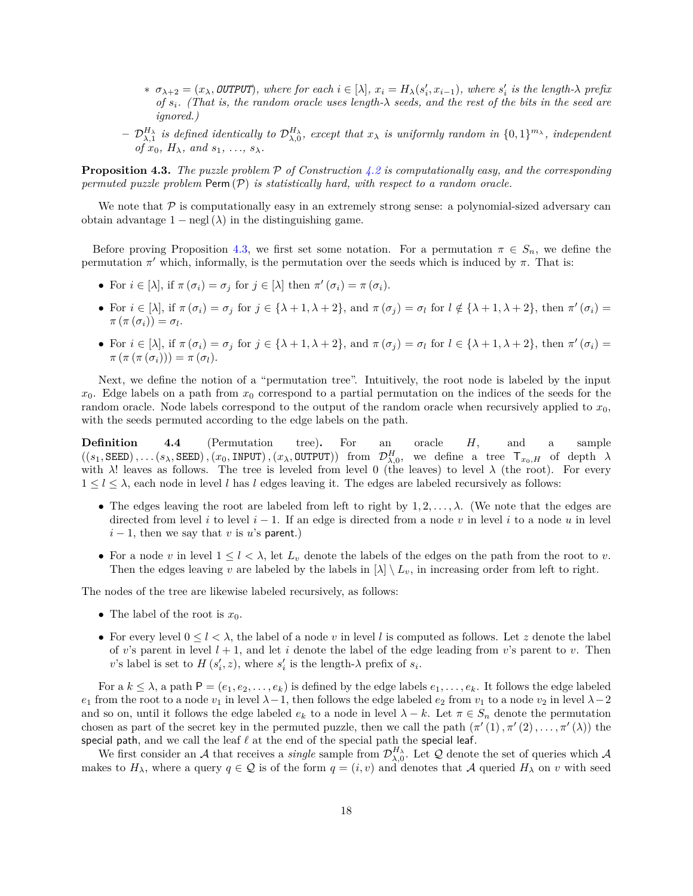- $\sigma_{\lambda+2} = (x_{\lambda}, \text{OUTPUT})$ , where for each  $i \in [\lambda], x_i = H_{\lambda}(s'_i, x_{i-1}),$  where  $s'_i$  is the length- $\lambda$  prefix *of . (That is, the random oracle uses length- seeds, and the rest of the bits in the seed are ignored.)*
- $-\mathcal{D}_{\lambda,1}^{H_\lambda}$  is defined identically to  $\mathcal{D}_{\lambda,0}^{H_\lambda}$ , except that  $x_\lambda$  is uniformly random in  $\{0,1\}^{m_\lambda}$ , independent *of*  $x_0$ *,*  $H_\lambda$ *,* and  $s_1$ *, ...,*  $s_\lambda$ *.*

<span id="page-17-0"></span>**Proposition 4.3.** The puzzle problem  $P$  of Construction [4.2](#page-16-2) is computationally easy, and the corresponding  $permuted$   $puzzle$   $problem$   $Perm(P)$   $is$   $statistically$   $hard,$   $with$   $respect$   $a$   $random$   $oracle.$ 

We note that  $P$  is computationally easy in an extremely strong sense: a polynomial-sized adversary can obtain advantage  $1 - \text{negl}(\lambda)$  in the distinguishing game.

Before proving Proposition [4.3,](#page-17-0) we first set some notation. For a permutation  $\pi \in S_n$ , we define the permutation  $\pi'$  which, informally, is the permutation over the seeds which is induced by  $\pi$ . That is:

- For  $i \in [\lambda]$ , if  $\pi(\sigma_i) = \sigma_j$  for  $j \in [\lambda]$  then  $\pi'(\sigma_i) = \pi(\sigma_i)$ .
- For  $i \in [\lambda]$ , if  $\pi(\sigma_i) = \sigma_j$  for  $j \in {\{\lambda + 1, \lambda + 2\}}$ , and  $\pi(\sigma_j) = \sigma_l$  for  $l \notin {\{\lambda + 1, \lambda + 2\}}$ , then  $\pi'(\sigma_i) =$  $\pi\left(\pi\left(\sigma_i\right)\right) = \sigma_l.$
- For  $i \in [\lambda]$ , if  $\pi(\sigma_i) = \sigma_j$  for  $j \in {\{\lambda + 1, \lambda + 2\}}$ , and  $\pi(\sigma_j) = \sigma_l$  for  $l \in {\{\lambda + 1, \lambda + 2\}}$ , then  $\pi'(\sigma_i) =$  $\pi (\pi (\pi (\sigma_i))) = \pi (\sigma_l).$

Next, we define the notion of a "permutation tree". Intuitively, the root node is labeled by the input  $x_0$ . Edge labels on a path from  $x_0$  correspond to a partial permutation on the indices of the seeds for the random oracle. Node labels correspond to the output of the random oracle when recursively applied to  $x_0$ , with the seeds permuted according to the edge labels on the path.

**Definition** 4.4 (Permutation tree). For an oracle H, and a sample  $((s_1, \text{SEED}), ..., (s_\lambda, \text{SEED}), (x_0, \text{INDUT}), (x_\lambda, \text{OUTPUT}))$  from  $\mathcal{D}_{\lambda,0}^H$ , we define a tree  $\mathsf{T}_{x_0,H}$  of depth  $\lambda$ with  $\lambda$ ! leaves as follows. The tree is leveled from level 0 (the leaves) to level  $\lambda$  (the root). For every  $1 \leq l \leq \lambda$ , each node in level l has l edges leaving it. The edges are labeled recursively as follows:

- ∙ The edges leaving the root are labeled from left to right by 1*,* 2*, . . . ,* . (We note that the edges are directed from level  $i$  to level  $i-1$ . If an edge is directed from a node  $v$  in level  $i$  to a node  $u$  in level  $i - 1$ , then we say that v is u's parent.)
- For a node v in level  $1 \leq l \leq \lambda$ , let  $L_v$  denote the labels of the edges on the path from the root to v. Then the edges leaving v are labeled by the labels in  $[\lambda] \setminus L_v$ , in increasing order from left to right.

The nodes of the tree are likewise labeled recursively, as follows:

- The label of the root is  $x_0$ .
- For every level  $0 \leq l \leq \lambda$ , the label of a node v in level l is computed as follows. Let z denote the label of v's parent in level  $l + 1$ , and let i denote the label of the edge leading from v's parent to v. Then v's label is set to  $H(s'_i, z)$ , where  $s'_i$  is the length- $\lambda$  prefix of  $s_i$ .

For a  $k \leq \lambda$ , a path  $P = (e_1, e_2, \ldots, e_k)$  is defined by the edge labels  $e_1, \ldots, e_k$ . It follows the edge labeled  $e_1$  from the root to a node  $v_1$  in level  $\lambda-1$ , then follows the edge labeled  $e_2$  from  $v_1$  to a node  $v_2$  in level  $\lambda-2$ and so on, until it follows the edge labeled  $e_k$  to a node in level  $\lambda - k$ . Let  $\pi \in S_n$  denote the permutation chosen as part of the secret key in the permuted puzzle, then we call the path  $(\pi'(1), \pi'(2), \ldots, \pi'(\lambda))$  the special path, and we call the leaf *ℓ* at the end of the special path the special leaf.

We first consider an A that receives a *single* sample from  $\mathcal{D}_{\lambda,0}^{H_\lambda}$ . Let Q denote the set of queries which A makes to  $H_{\lambda}$ , where a query  $q \in \mathcal{Q}$  is of the form  $q = (i, v)$  and denotes that A queried  $H_{\lambda}$  on v with seed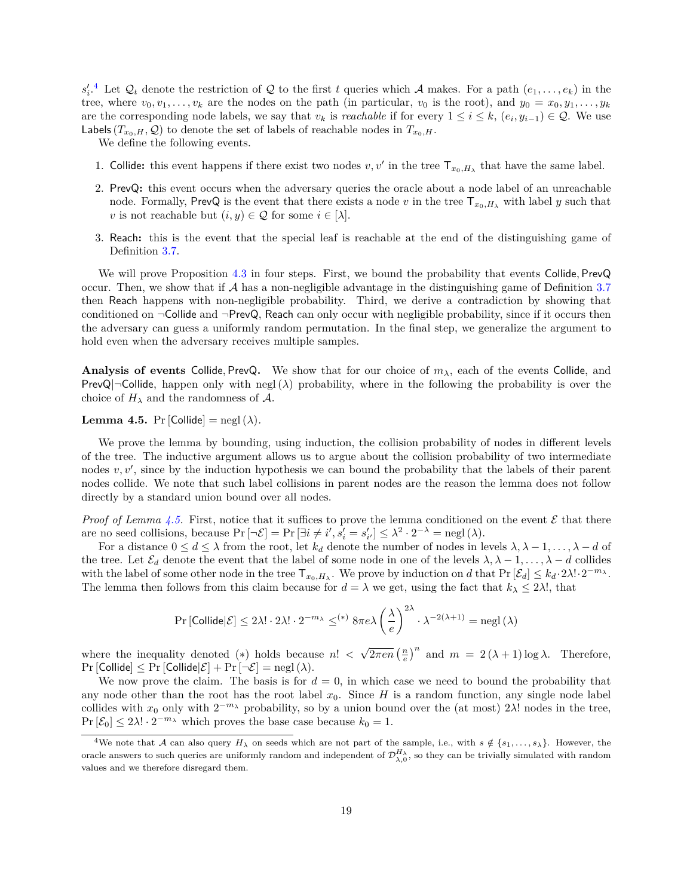$s'_i$ <sup>[4](#page-18-0)</sup> Let  $\mathcal{Q}_t$  denote the restriction of  $\mathcal Q$  to the first t queries which A makes. For a path  $(e_1,\ldots,e_k)$  in the tree, where  $v_0, v_1, \ldots, v_k$  are the nodes on the path (in particular,  $v_0$  is the root), and  $y_0 = x_0, y_1, \ldots, y_k$ are the corresponding node labels, we say that  $v_k$  is *reachable* if for every  $1 \leq i \leq k$ ,  $(e_i, y_{i-1}) \in \mathcal{Q}$ . We use Labels  $(T_{x_0,H}, \mathcal{Q})$  to denote the set of labels of reachable nodes in  $T_{x_0,H}$ .

We define the following events.

- 1. Collide: this event happens if there exist two nodes  $v, v'$  in the tree  $\mathsf{T}_{x_0, H_\lambda}$  that have the same label.
- 2. PrevQ**:** this event occurs when the adversary queries the oracle about a node label of an unreachable node. Formally, PrevQ is the event that there exists a node v in the tree  $T_{x_0,H_1}$  with label y such that v is not reachable but  $(i, y) \in \mathcal{Q}$  for some  $i \in [\lambda]$ .
- 3. Reach**:** this is the event that the special leaf is reachable at the end of the distinguishing game of Definition [3.7.](#page-10-1)

We will prove Proposition [4.3](#page-17-0) in four steps. First, we bound the probability that events Collide*,* PrevQ occur. Then, we show that if  $A$  has a non-negligible advantage in the distinguishing game of Definition [3.7](#page-10-1) then Reach happens with non-negligible probability. Third, we derive a contradiction by showing that conditioned on  $\neg$ Collide and  $\neg$ PrevQ, Reach can only occur with negligible probability, since if it occurs then the adversary can guess a uniformly random permutation. In the final step, we generalize the argument to hold even when the adversary receives multiple samples.

**Analysis of events Collide, PrevQ.** We show that for our choice of  $m_{\lambda}$ , each of the events Collide, and PrevQ| $\neg$ Collide, happen only with negl( $\lambda$ ) probability, where in the following the probability is over the choice of  $H_{\lambda}$  and the randomness of A.

#### <span id="page-18-1"></span>**Lemma 4.5.** Pr [Collide]  $=$  negl ( $\lambda$ ).

We prove the lemma by bounding, using induction, the collision probability of nodes in different levels of the tree. The inductive argument allows us to argue about the collision probability of two intermediate nodes  $v, v'$ , since by the induction hypothesis we can bound the probability that the labels of their parent nodes collide. We note that such label collisions in parent nodes are the reason the lemma does not follow directly by a standard union bound over all nodes.

*Proof of Lemma [4.5.](#page-18-1)* First, notice that it suffices to prove the lemma conditioned on the event  $\mathcal E$  that there are no seed collisions, because  $Pr[\neg \mathcal{E}] = Pr[\exists i \neq i', s'_{i} = s'_{i'}] \leq \lambda^2 \cdot 2^{-\lambda} = negl(\lambda)$ .

For a distance  $0 \le d \le \lambda$  from the root, let  $k_d$  denote the number of nodes in levels  $\lambda, \lambda - 1, \ldots, \lambda - d$  of the tree. Let  $\mathcal{E}_d$  denote the event that the label of some node in one of the levels  $\lambda, \lambda - 1, \ldots, \lambda - d$  collides with the label of some other node in the tree  $\mathsf{T}_{x_0,H_\lambda}$ . We prove by induction on d that  $\Pr[\mathcal{E}_d] \leq k_d \cdot 2\lambda! \cdot 2^{-m_\lambda}$ . The lemma then follows from this claim because for  $d = \lambda$  we get, using the fact that  $k_{\lambda} \leq 2\lambda!$ , that

$$
\Pr\left[\mathsf{Collide}|\mathcal{E}\right]\leq 2\lambda!\cdot 2\lambda!\cdot 2^{-m_\lambda}\leq^{(*)}8\pi e\lambda\left(\frac{\lambda}{e}\right)^{2\lambda}\cdot \lambda^{-2(\lambda+1)}=\operatorname{negl}\left(\lambda\right)
$$

where the inequality denoted  $(*)$  holds because  $n!$  $\sqrt{2\pi en} \left(\frac{n}{e}\right)^n$  and  $m = 2(\lambda + 1) \log \lambda$ . Therefore,  $\Pr$  [Collide]  $\leq \Pr$  [Collide| $\mathcal{E}$ ] +  $\Pr$   $[\neg \mathcal{E}]$  =  $\operatorname{negl}(\lambda)$ .

We now prove the claim. The basis is for  $d = 0$ , in which case we need to bound the probability that any node other than the root has the root label  $x_0$ . Since H is a random function, any single node label collides with  $x_0$  only with  $2^{-m_\lambda}$  probability, so by a union bound over the (at most)  $2\lambda!$  nodes in the tree,  $Pr[\mathcal{E}_0] \leq 2\lambda! \cdot 2^{-m_{\lambda}}$  which proves the base case because  $k_0 = 1$ .

<span id="page-18-0"></span><sup>&</sup>lt;sup>4</sup>We note that A can also query  $H_{\lambda}$  on seeds which are not part of the sample, i.e., with  $s \notin \{s_1, \ldots, s_{\lambda}\}\.$  However, the oracle answers to such queries are uniformly random and independent of  $\mathcal{D}_{\lambda,0}^{H_\lambda}$ , so they can be trivially simulated with random values and we therefore disregard them.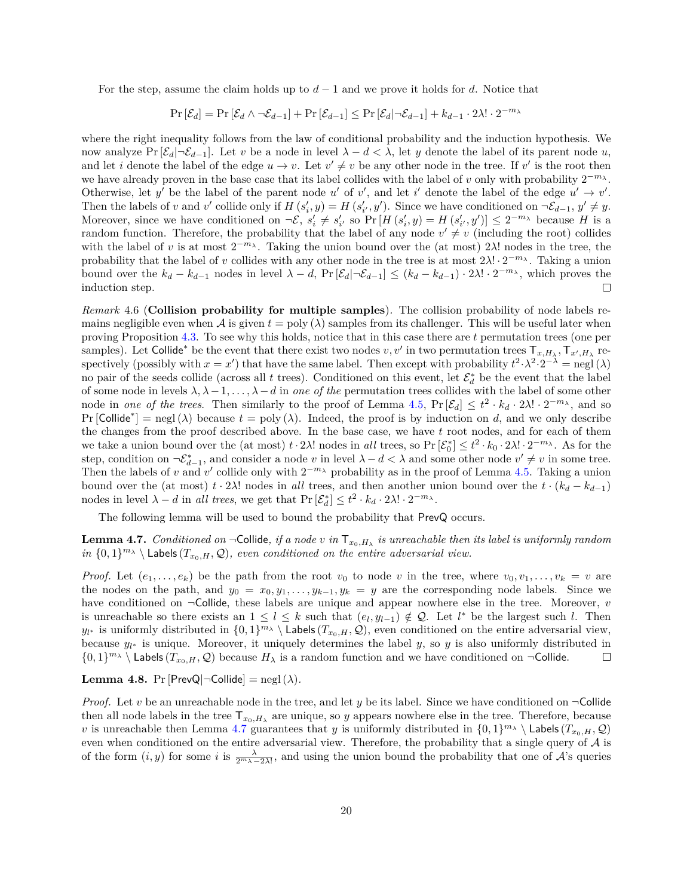For the step, assume the claim holds up to  $d-1$  and we prove it holds for d. Notice that

 $Pr\left[\mathcal{E}_d\right] = Pr\left[\mathcal{E}_d \wedge \neg \mathcal{E}_{d-1}\right] + Pr\left[\mathcal{E}_{d-1}\right] \leq Pr\left[\mathcal{E}_d|\neg \mathcal{E}_{d-1}\right] + k_{d-1} \cdot 2\lambda! \cdot 2^{-m_{\lambda}}$ 

where the right inequality follows from the law of conditional probability and the induction hypothesis. We now analyze Pr  $[\mathcal{E}_d | \neg \mathcal{E}_{d-1}]$ . Let v be a node in level  $\lambda - d < \lambda$ , let y denote the label of its parent node u, and let *i* denote the label of the edge  $u \to v$ . Let  $v' \neq v$  be any other node in the tree. If v' is the root then we have already proven in the base case that its label collides with the label of  $v$  only with probability  $2^{-m_{\lambda}}$ . Otherwise, let y' be the label of the parent node u' of v', and let i' denote the label of the edge  $u' \rightarrow v'$ . Then the labels of v and v' collide only if  $H(s'_i, y) = H(s'_{i'}, y')$ . Since we have conditioned on  $\neg \mathcal{E}_{d-1}, y' \neq y$ . Moreover, since we have conditioned on  $\neg \mathcal{E}, s'_i \neq s'_{i'}$  so  $\Pr[H(s'_i, y) = H(s'_{i'}, y')] \leq 2^{-m_{\lambda}}$  because H is a random function. Therefore, the probability that the label of any node  $v' \neq v$  (including the root) collides with the label of v is at most  $2^{-m_{\lambda}}$ . Taking the union bound over the (at most)  $2\lambda!$  nodes in the tree, the probability that the label of v collides with any other node in the tree is at most  $2\lambda! \cdot 2^{-m_{\lambda}}$ . Taking a union bound over the  $k_d - k_{d-1}$  nodes in level  $\lambda - d$ ,  $Pr[\mathcal{E}_d | \neg \mathcal{E}_{d-1}] \leq (k_d - k_{d-1}) \cdot 2\lambda! \cdot 2^{-m_{\lambda}}$ , which proves the  $\Box$ induction step.

<span id="page-19-2"></span>*Remark* 4.6 (**Collision probability for multiple samples**)*.* The collision probability of node labels remains negligible even when A is given  $t = \text{poly}(\lambda)$  samples from its challenger. This will be useful later when proving Proposition [4.3.](#page-17-0) To see why this holds, notice that in this case there are permutation trees (one per samples). Let Collide<sup>\*</sup> be the event that there exist two nodes  $v, v'$  in two permutation trees  $\mathsf{T}_{x,H_\lambda}, \mathsf{T}_{x',H_\lambda}$  respectively (possibly with  $x = x'$ ) that have the same label. Then except with probability  $t^2 \cdot \lambda^2 \cdot 2^{-\lambda} = \text{negl}(\lambda)$ no pair of the seeds collide (across all *t* trees). Conditioned on this event, let  $\mathcal{E}_d^*$  be the event that the label of some node in levels  $\lambda, \lambda - 1, \ldots, \lambda - d$  in one of the permutation trees collides with the label of some other node in *one of the trees*. Then similarly to the proof of Lemma [4.5,](#page-18-1)  $Pr[\mathcal{E}_d] \leq t^2 \cdot k_d \cdot 2\lambda! \cdot 2^{-m_\lambda}$ , and so  $Pr[\text{Collide}^*] = negl(\lambda)$  because  $t = poly(\lambda)$ . Indeed, the proof is by induction on d, and we only describe the changes from the proof described above. In the base case, we have  $t$  root nodes, and for each of them we take a union bound over the (at most)  $t \cdot 2\lambda!$  nodes in *all* trees, so  $Pr[\mathcal{E}_0^*] \leq t^2 \cdot k_0 \cdot 2\lambda! \cdot 2^{-m_\lambda}$ . As for the step, condition on  $\neg \mathcal{E}_{d-1}^*$ , and consider a node v in level  $\lambda - d < \lambda$  and some other node  $v' \neq v$  in some tree. Then the labels of v and v' collide only with  $2^{-m_{\lambda}}$  probability as in the proof of Lemma [4.5.](#page-18-1) Taking a union bound over the (at most)  $t \cdot 2\lambda$ ! nodes in *all* trees, and then another union bound over the  $t \cdot (k_d - k_{d-1})$ nodes in level  $\lambda - d$  in *all trees*, we get that  $Pr\left[\mathcal{E}_d^*\right] \leq t^2 \cdot k_d \cdot 2\lambda! \cdot 2^{-m_{\lambda}}$ .

The following lemma will be used to bound the probability that PrevQ occurs.

<span id="page-19-0"></span>**Lemma 4.7.** *Conditioned on*  $\neg$  Collide, if a node v in  $\mathsf{T}_{x_0,H_\lambda}$  is unreachable then its label is uniformly random *in*  $\{0,1\}^{m_{\lambda}} \setminus$  Labels  $(T_{x_0,H}, \mathcal{Q})$ , even conditioned on the entire adversarial view.

*Proof.* Let  $(e_1, \ldots, e_k)$  be the path from the root  $v_0$  to node v in the tree, where  $v_0, v_1, \ldots, v_k = v$  are the nodes on the path, and  $y_0 = x_0, y_1, \ldots, y_{k-1}, y_k = y$  are the corresponding node labels. Since we have conditioned on  $\neg$ Collide, these labels are unique and appear nowhere else in the tree. Moreover, v is unreachable so there exists an  $1 \leq l \leq k$  such that  $(e_l, y_{l-1}) \notin \mathcal{Q}$ . Let  $l^*$  be the largest such l. Then  $y_{l^*}$  is uniformly distributed in  $\{0,1\}^{m_{\lambda}} \setminus$  Labels  $(T_{x_0,H}, \mathcal{Q})$ , even conditioned on the entire adversarial view, because  $y_{l^*}$  is unique. Moreover, it uniquely determines the label y, so y is also uniformly distributed in  $\{0,1\}^{m_{\lambda}} \setminus$  Labels  $(T_{x_0,H}, \mathcal{Q})$  because  $H_{\lambda}$  is a random function and we have conditioned on  $\neg$ Collide.  $\Box$ 

<span id="page-19-1"></span>**Lemma 4.8.** Pr [PrevQ $\neg$ Collide] = negl ( $\lambda$ ).

*Proof.* Let v be an unreachable node in the tree, and let y be its label. Since we have conditioned on  $\neg$ Collide then all node labels in the tree  $\mathsf{T}_{x_0,H_\lambda}$  are unique, so y appears nowhere else in the tree. Therefore, because v is unreachable then Lemma [4.7](#page-19-0) guarantees that *y* is uniformly distributed in  $\{0,1\}^{m_{\lambda}} \setminus$  Labels  $(T_{x_0,H}, \mathcal{Q})$ even when conditioned on the entire adversarial view. Therefore, the probability that a single query of  $A$  is of the form  $(i, y)$  for some i is  $\frac{\lambda}{2^{m}\lambda-2\lambda!}$ , and using the union bound the probability that one of  $\mathcal{A}$ 's queries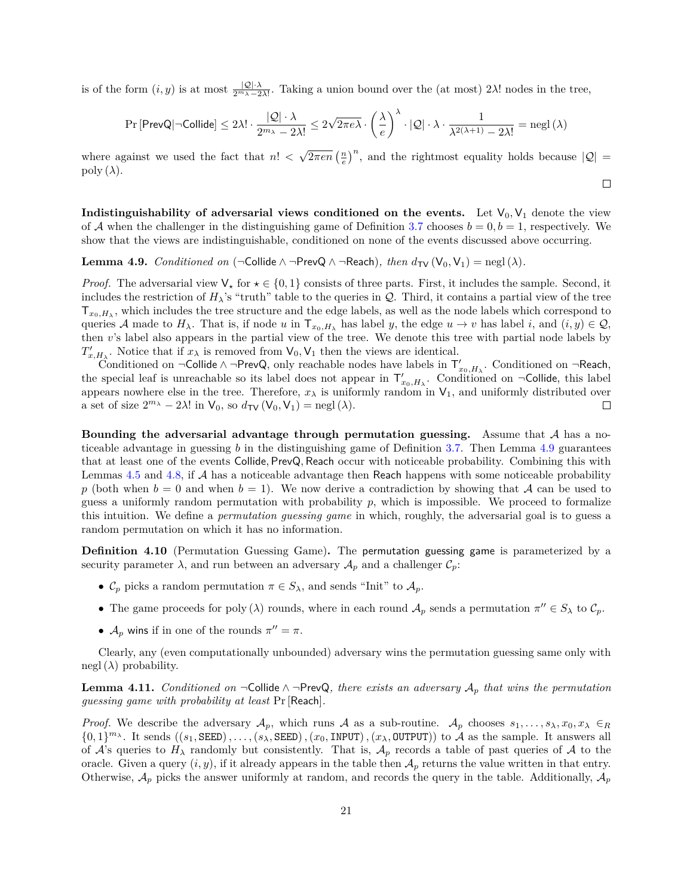is of the form  $(i, y)$  is at most  $\frac{|Q| \cdot \lambda}{2^{m_{\lambda}-2\lambda!}}$ . Taking a union bound over the (at most)  $2\lambda!$  nodes in the tree,

$$
\Pr\left[\mathsf{PrevQ} | \neg\mathsf{Collide}\right] \le 2\lambda!\cdot \frac{|\mathcal{Q}|\cdot \lambda}{2^{m_\lambda}-2\lambda!} \le 2\sqrt{2\pi e\lambda}\cdot \left(\frac{\lambda}{e}\right)^\lambda\cdot |\mathcal{Q}|\cdot \lambda\cdot \frac{1}{\lambda^{2(\lambda+1)}-2\lambda!} = {\rm negl}\left(\lambda\right)
$$

where against we used the fact that  $n!$  <  $\sqrt{2\pi en} \left(\frac{n}{e}\right)^n$ , and the rightmost equality holds because  $|Q|$  = poly  $(\lambda)$ .

 $\Box$ 

**Indistinguishability of adversarial views conditioned on the events.** Let  $V_0$ ,  $V_1$  denote the view of A when the challenger in the distinguishing game of Definition [3.7](#page-10-1) chooses  $b = 0, b = 1$ , respectively. We show that the views are indistinguishable, conditioned on none of the events discussed above occurring.

<span id="page-20-0"></span>**Lemma 4.9.** *Conditioned on* ( $\neg$ Collide  $\land \neg$ PrevQ  $\land \neg$ Reach)*, then*  $d_{TV}(V_0, V_1) = \text{negl}(\lambda)$ *.* 

*Proof.* The adversarial view  $V_*$  for  $\star \in \{0,1\}$  consists of three parts. First, it includes the sample. Second, it includes the restriction of  $H_{\lambda}$ 's "truth" table to the queries in  $\mathcal Q$ . Third, it contains a partial view of the tree  ${\sf T}_{x_0,H_\lambda},$  which includes the tree structure and the edge labels, as well as the node labels which correspond to queries A made to  $H_{\lambda}$ . That is, if node u in  $\mathsf{T}_{x_0,H_{\lambda}}$  has label y, the edge  $u \to v$  has label i, and  $(i, y) \in \mathcal{Q}_1$ then  $v$ 's label also appears in the partial view of the tree. We denote this tree with partial node labels by  $T'_{x,H_{\lambda}}$ . Notice that if  $x_{\lambda}$  is removed from  $V_0, V_1$  then the views are identical.

Conditioned on ¬Collide∧¬PrevQ, only reachable nodes have labels in  $\mathsf{T}'_{x_0,H_\lambda}$ . Conditioned on ¬Reach, the special leaf is unreachable so its label does not appear in  $T'_{x_0,H_\lambda}$ . Conditioned on  $\neg$ Collide, this label appears nowhere else in the tree. Therefore,  $x_{\lambda}$  is uniformly random in  $V_1$ , and uniformly distributed over a set of size  $2^{m_{\lambda}} - 2\lambda!$  in  $V_0$ , so  $d_{TV}(V_0, V_1) = \text{negl}(\lambda)$ .  $\Box$ 

**Bounding the adversarial advantage through permutation guessing.** Assume that A has a noticeable advantage in guessing  $b$  in the distinguishing game of Definition [3.7.](#page-10-1) Then Lemma [4.9](#page-20-0) guarantees that at least one of the events Collide*,* PrevQ*,* Reach occur with noticeable probability. Combining this with Lemmas [4.5](#page-18-1) and [4.8,](#page-19-1) if  $A$  has a noticeable advantage then Reach happens with some noticeable probability p (both when  $b = 0$  and when  $b = 1$ ). We now derive a contradiction by showing that A can be used to guess a uniformly random permutation with probability  $p$ , which is impossible. We proceed to formalize this intuition. We define a *permutation guessing game* in which, roughly, the adversarial goal is to guess a random permutation on which it has no information.

**Definition 4.10** (Permutation Guessing Game)**.** The permutation guessing game is parameterized by a security parameter  $\lambda$ , and run between an adversary  $\mathcal{A}_p$  and a challenger  $\mathcal{C}_p$ :

- $\mathcal{C}_p$  picks a random permutation  $\pi \in S_\lambda$ , and sends "Init" to  $\mathcal{A}_p$ .
- The game proceeds for poly ( $\lambda$ ) rounds, where in each round  $\mathcal{A}_p$  sends a permutation  $\pi'' \in S_\lambda$  to  $\mathcal{C}_p$ .
- $\mathcal{A}_p$  wins if in one of the rounds  $\pi'' = \pi$ .

Clearly, any (even computationally unbounded) adversary wins the permutation guessing same only with negl  $(\lambda)$  probability.

<span id="page-20-1"></span>**Lemma 4.11.** *Conditioned on*  $\neg$ Collide ∧  $\neg$ PrevQ, there exists an adversary  $A_p$  that wins the permutation *guessing game with probability at least* Pr [Reach]*.*

*Proof.* We describe the adversary  $A_p$ , which runs A as a sub-routine.  $A_p$  chooses  $s_1, \ldots, s_\lambda, x_0, x_\lambda \in R$  $\{0,1\}^{m_{\lambda}}$ . It sends  $((s_1, \text{SEED}), \ldots, (s_{\lambda}, \text{SEED}), (x_0, \text{INDUT})$ ,  $(x_{\lambda}, \text{OUTPUT})$ ) to  $\mathcal{A}$  as the sample. It answers all of  $\mathcal{A}$ 's queries to  $H_{\lambda}$  randomly but consistently. That is,  $\mathcal{A}_p$  records a table of past queries of  $\mathcal{A}$  to the oracle. Given a query  $(i, y)$ , if it already appears in the table then  $\mathcal{A}_p$  returns the value written in that entry. Otherwise,  $A_p$  picks the answer uniformly at random, and records the query in the table. Additionally,  $A_p$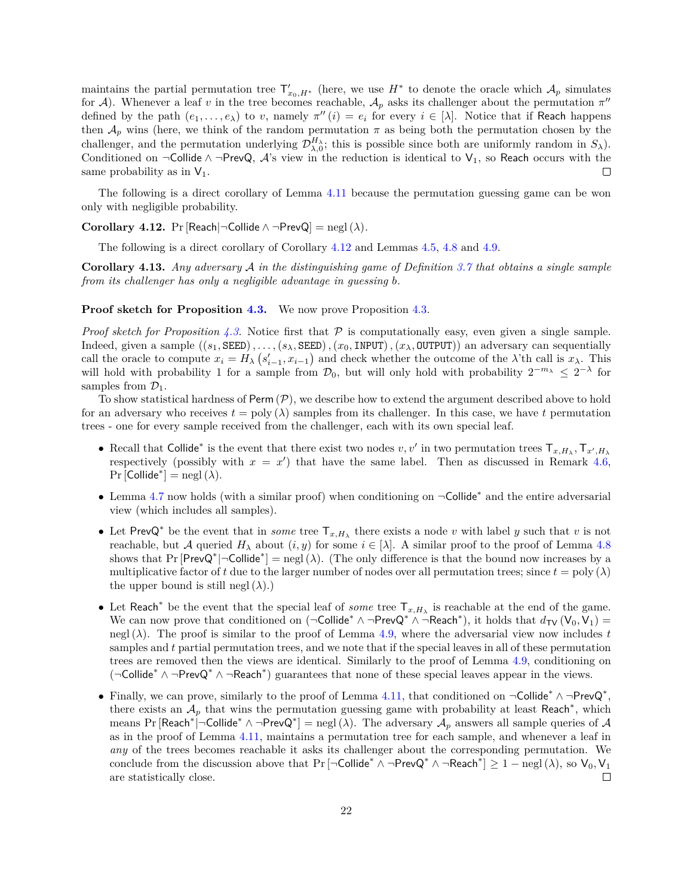maintains the partial permutation tree  $\mathsf{T}'_{x_0,H^*}$  (here, we use  $H^*$  to denote the oracle which  $\mathcal{A}_p$  simulates for A). Whenever a leaf v in the tree becomes reachable,  $A_p$  asks its challenger about the permutation  $\pi''$ defined by the path  $(e_1, \ldots, e_\lambda)$  to v, namely  $\pi''(i) = e_i$  for every  $i \in [\lambda]$ . Notice that if Reach happens then  $A_p$  wins (here, we think of the random permutation  $\pi$  as being both the permutation chosen by the challenger, and the permutation underlying  $\mathcal{D}_{\lambda,0}^{H_\lambda}$ ; this is possible since both are uniformly random in  $S_\lambda$ ). Conditioned on ¬Collide ∧ ¬PrevQ,  $A$ 's view in the reduction is identical to  $V_1$ , so Reach occurs with the same probability as in  $V_1$ .  $\Box$ 

The following is a direct corollary of Lemma [4.11](#page-20-1) because the permutation guessing game can be won only with negligible probability.

<span id="page-21-0"></span>**Corollary 4.12.** Pr [Reach|¬Collide  $\land \neg \text{PrevQ}$ ] = negl ( $\lambda$ ).

The following is a direct corollary of Corollary [4.12](#page-21-0) and Lemmas [4.5,](#page-18-1) [4.8](#page-19-1) and [4.9.](#page-20-0)

**Corollary 4.13.** *Any adversary in the distinguishing game of Definition [3.7](#page-10-1) that obtains a single sample from its challenger has only a negligible advantage in guessing b.* 

#### **Proof sketch for Proposition [4.3.](#page-17-0)** We now prove Proposition [4.3.](#page-17-0)

*Proof sketch for Proposition [4.3.](#page-17-0)* Notice first that  $\mathcal P$  is computationally easy, even given a single sample. Indeed, given a sample  $((s_1, \text{SEED}), \ldots, (s_\lambda, \text{SEED}), (x_0, \text{INDUT}), (x_\lambda, \text{OUTPUT}))$  an adversary can sequentially call the oracle to compute  $x_i = H_\lambda \left( s_{i-1}', x_{i-1} \right)$  and check whether the outcome of the  $\lambda$ 'th call is  $x_\lambda$ . This will hold with probability 1 for a sample from  $\mathcal{D}_0$ , but will only hold with probability  $2^{-m_\lambda} \leq 2^{-\lambda}$  for samples from  $\mathcal{D}_1$ .

To show statistical hardness of Perm  $(\mathcal{P})$ , we describe how to extend the argument described above to hold for an adversary who receives  $t = \text{poly}(\lambda)$  samples from its challenger. In this case, we have t permutation trees - one for every sample received from the challenger, each with its own special leaf.

- Recall that Collide<sup>\*</sup> is the event that there exist two nodes  $v, v'$  in two permutation trees  $\mathsf{T}_{x,H_\lambda}, \mathsf{T}_{x',H_\lambda}$ respectively (possibly with  $x = x'$ ) that have the same label. Then as discussed in Remark [4.6,](#page-19-2)  $Pr$ [Collide<sup>\*</sup>] = negl( $\lambda$ ).
- ∙ Lemma [4.7](#page-19-0) now holds (with a similar proof) when conditioning on ¬Collide\* and the entire adversarial view (which includes all samples).
- Let PrevQ<sup>\*</sup> be the event that in *some* tree  $T_{x,H_\lambda}$  there exists a node v with label y such that v is not reachable, but A queried  $H_{\lambda}$  about  $(i, y)$  for some  $i \in [\lambda]$ . A similar proof to the proof of Lemma [4.8](#page-19-1) shows that Pr  $[PrevQ^*] \neg Collide^*] = negl(\lambda)$ . (The only difference is that the bound now increases by a multiplicative factor of t due to the larger number of nodes over all permutation trees; since  $t = \text{poly}(\lambda)$ the upper bound is still negl  $(\lambda)$ .)
- Let Reach<sup>\*</sup> be the event that the special leaf of *some* tree  $T_{x,H_\lambda}$  is reachable at the end of the game. We can now prove that conditioned on  $(\neg\text{Collide}^* \wedge \neg \text{PrevQ}^* \wedge \neg \text{Reach}^*)$ , it holds that  $d_{\text{TV}}(V_0, V_1) =$ negl  $(\lambda)$ . The proof is similar to the proof of Lemma [4.9,](#page-20-0) where the adversarial view now includes t samples and  $t$  partial permutation trees, and we note that if the special leaves in all of these permutation trees are removed then the views are identical. Similarly to the proof of Lemma [4.9,](#page-20-0) conditioning on (¬Collide\* ∧ ¬PrevQ\* ∧ ¬Reach\* ) guarantees that none of these special leaves appear in the views.
- Finally, we can prove, similarly to the proof of Lemma [4.11,](#page-20-1) that conditioned on  $\neg\text{Collide}^* \land \neg \text{PrevQ}^*$ , there exists an  $A_p$  that wins the permutation guessing game with probability at least Reach<sup>\*</sup>, which means Pr [Reach\*|¬Collide\* ∧¬PrevQ\*] = negl( $\lambda$ ). The adversary  ${\cal A}_p$  answers all sample queries of  ${\cal A}$ as in the proof of Lemma [4.11,](#page-20-1) maintains a permutation tree for each sample, and whenever a leaf in *any* of the trees becomes reachable it asks its challenger about the corresponding permutation. We conclude from the discussion above that  $Pr[\neg\text{Collide}^* \land \neg \text{PrevQ}^* \land \neg \text{Reach}^*] \ge 1 - negl(\lambda)$ , so  $V_0, V_1$ are statistically close.  $\Box$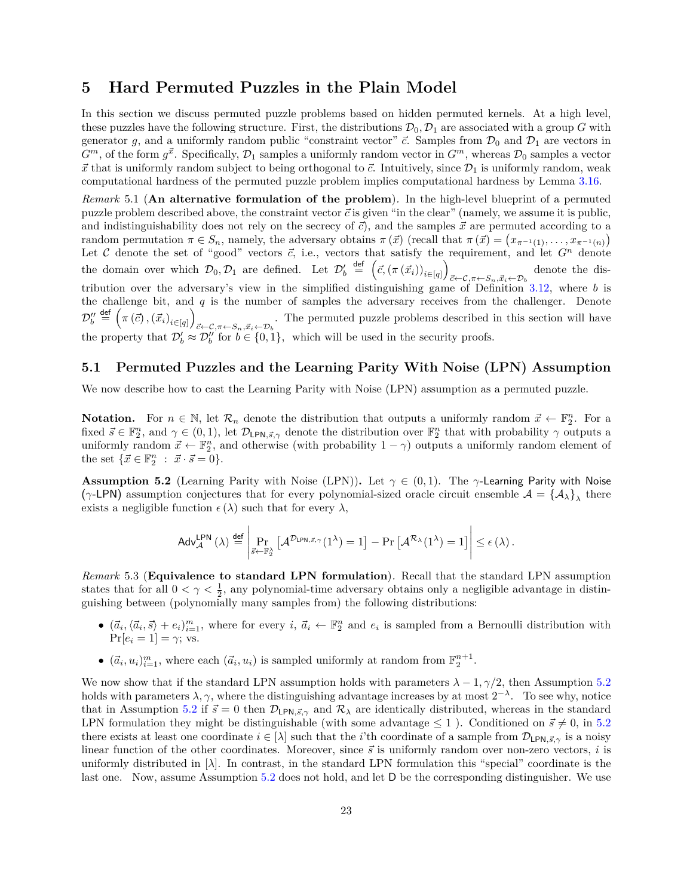## <span id="page-22-0"></span>**5 Hard Permuted Puzzles in the Plain Model**

In this section we discuss permuted puzzle problems based on hidden permuted kernels. At a high level, these puzzles have the following structure. First, the distributions  $\mathcal{D}_0$ ,  $\mathcal{D}_1$  are associated with a group G with generator g, and a uniformly random public "constraint vector"  $\vec{c}$ . Samples from  $\mathcal{D}_0$  and  $\mathcal{D}_1$  are vectors in  $G^m$ , of the form  $g^{\vec{x}}$ . Specifically,  $\mathcal{D}_1$  samples a uniformly random vector in  $G^m$ , whereas  $\mathcal{D}_0$  samples a vector  $\vec{x}$  that is uniformly random subject to being orthogonal to  $\vec{c}$ . Intuitively, since  $\mathcal{D}_1$  is uniformly random, weak computational hardness of the permuted puzzle problem implies computational hardness by Lemma [3.16.](#page-12-1)

*Remark* 5.1 (**An alternative formulation of the problem**)*.* In the high-level blueprint of a permuted puzzle problem described above, the constraint vector  $\vec{c}$  is given "in the clear" (namely, we assume it is public, and indistinguishability does not rely on the secrecy of  $\vec{c}$ ), and the samples  $\vec{x}$  are permuted according to a random permutation  $\pi \in S_n$ , namely, the adversary obtains  $\pi(\vec{x})$  (recall that  $\pi(\vec{x}) = (x_{\pi^{-1}(1)}, \ldots, x_{\pi^{-1}(n)})$ ) Let C denote the set of "good" vectors  $\vec{c}$ , i.e., vectors that satisfy the requirement, and let  $G<sup>n</sup>$  denote the domain over which  $\mathcal{D}_0, \mathcal{D}_1$  are defined. Let  $\mathcal{D}'_b \stackrel{\text{def}}{=} (\vec{c}, (\pi(\vec{x}_i))_{i \in [q]})$ denote the dis-<br> $\vec{c} \leftarrow \mathcal{C}, \pi \leftarrow S_n, \vec{x}_i \leftarrow \mathcal{D}_b$ tribution over the adversary's view in the simplified distinguishing game of Definition [3.12,](#page-11-2) where b is the challenge bit, and  $q$  is the number of samples the adversary receives from the challenger. Denote  $\mathcal{D}^{\prime\prime}_b \stackrel{\mathsf{def}}{=} \left( \pi \left( \vec{c} \right), \left( \vec{x}_i \right)_{i \in [q]} \right)$  $\vec{c}$ ← $\vec{c}$ , $\pi$ ← $S_n$ , $\vec{x}_i$ ← $D_b$ . The permuted puzzle problems described in this section will have the property that  $\mathcal{D}'_b \approx \mathcal{D}''_b$  for  $b \in \{0, 1\}$ , which will be used in the security proofs.

### <span id="page-22-1"></span>**5.1 Permuted Puzzles and the Learning Parity With Noise (LPN) Assumption**

We now describe how to cast the Learning Parity with Noise (LPN) assumption as a permuted puzzle.

**Notation.** For  $n \in \mathbb{N}$ , let  $\mathcal{R}_n$  denote the distribution that outputs a uniformly random  $\vec{x} \leftarrow \mathbb{F}_2^n$ . For a fixed  $\vec{s} \in \mathbb{F}_2^n$ , and  $\gamma \in (0,1)$ , let  $\mathcal{D}_{\mathsf{LPN},\vec{s},\gamma}$  denote the distribution over  $\mathbb{F}_2^n$  that with probability  $\gamma$  outputs a uniformly random  $\vec{x} \leftarrow \mathbb{F}_2^n$ , and otherwise (with probability  $1 - \gamma$ ) outputs a uniformly random element of the set  $\{\vec{x} \in \mathbb{F}_2^n : \vec{x} \cdot \vec{s} = 0\}.$ 

<span id="page-22-2"></span>**Assumption 5.2** (Learning Parity with Noise (LPN)). Let  $\gamma \in (0,1)$ . The  $\gamma$ -Learning Parity with Noise ( $\gamma$ -LPN) assumption conjectures that for every polynomial-sized oracle circuit ensemble  $\mathcal{A} = {\{\mathcal{A}_\lambda\}}_\lambda$  there exists a negligible function  $\epsilon(\lambda)$  such that for every  $\lambda$ ,

$$
\mathsf{Adv}_{\mathcal{A}}^{\mathsf{LPN}}\left(\lambda\right)\overset{\mathsf{def}}{=}\left|\Pr_{\vec{s}\leftarrow \mathbb{F}_2^{\lambda}}\left[\mathcal{A}^{\mathcal{D}_{\mathsf{LPN},\vec{s},\gamma}}(1^{\lambda})=1\right]-\Pr\left[\mathcal{A}^{\mathcal{R}_{\lambda}}(1^{\lambda})=1\right]\right|\leq \epsilon\left(\lambda\right).
$$

*Remark* 5.3 (**Equivalence to standard LPN formulation**)*.* Recall that the standard LPN assumption states that for all  $0 < \gamma < \frac{1}{2}$ , any polynomial-time adversary obtains only a negligible advantage in distinguishing between (polynomially many samples from) the following distributions:

- $(\vec{a}_i, \langle \vec{a}_i, \vec{s} \rangle + e_i)_{i=1}^m$ , where for every  $i, \vec{a}_i \leftarrow \mathbb{F}_2^n$  and  $e_i$  is sampled from a Bernoulli distribution with  $Pr[e_i = 1] = \gamma; \text{vs.}$
- $(\vec{a}_i, u_i)_{i=1}^m$ , where each  $(\vec{a}_i, u_i)$  is sampled uniformly at random from  $\mathbb{F}_2^{n+1}$ .

We now show that if the standard LPN assumption holds with parameters  $\lambda - 1$ ,  $\gamma/2$ , then Assumption [5.2](#page-22-2) holds with parameters  $\lambda, \gamma$ , where the distinguishing advantage increases by at most  $2^{-\lambda}$ . To see why, notice that in Assumption [5.2](#page-22-2) if  $\vec{s} = 0$  then  $\mathcal{D}_{\text{LPN},\vec{s},\gamma}$  and  $\mathcal{R}_{\lambda}$  are identically distributed, whereas in the standard LPN formulation they might be distinguishable (with some advantage  $\leq 1$ ). Conditioned on  $\vec{s} \neq 0$ , in [5.2](#page-22-2) there exists at least one coordinate  $i \in [\lambda]$  such that the *i*'th coordinate of a sample from  $\mathcal{D}_{\text{LPN},\bar{s},\gamma}$  is a noisy linear function of the other coordinates. Moreover, since  $\vec{s}$  is uniformly random over non-zero vectors,  $i$  is uniformly distributed in  $[\lambda]$ . In contrast, in the standard LPN formulation this "special" coordinate is the last one. Now, assume Assumption [5.2](#page-22-2) does not hold, and let D be the corresponding distinguisher. We use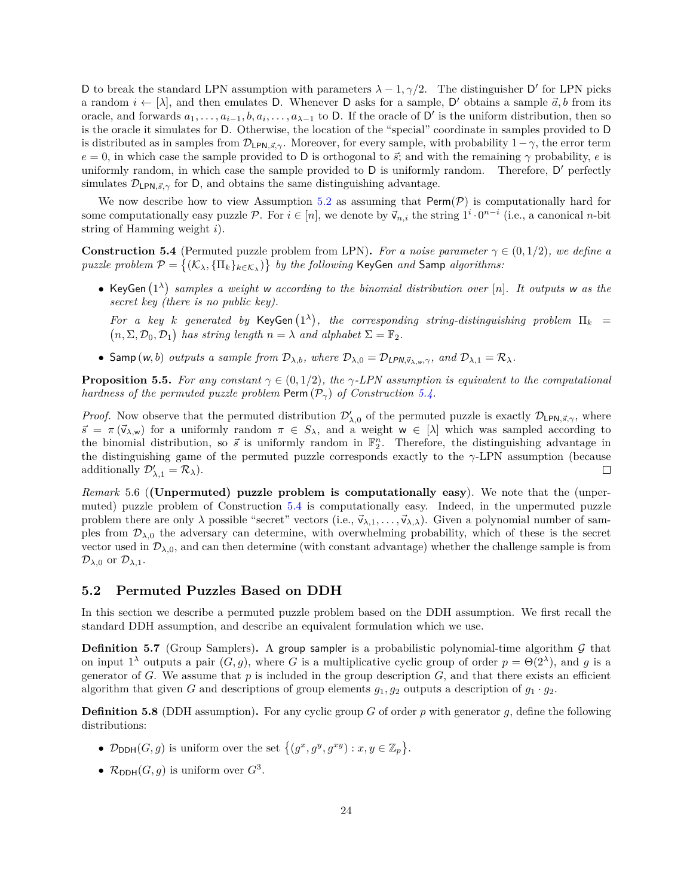D to break the standard LPN assumption with parameters  $\lambda - 1, \gamma/2$ . The distinguisher D' for LPN picks a random  $i \leftarrow [\lambda]$ , and then emulates D. Whenever D asks for a sample, D' obtains a sample  $\vec{a}, b$  from its oracle, and forwards  $a_1, \ldots, a_{i-1}, b, a_i, \ldots, a_{\lambda-1}$  to D. If the oracle of D' is the uniform distribution, then so is the oracle it simulates for D. Otherwise, the location of the "special" coordinate in samples provided to D is distributed as in samples from  $\mathcal{D}_{\mathsf{LPN},\vec{s},\gamma}$ . Moreover, for every sample, with probability  $1-\gamma$ , the error term  $e = 0$ , in which case the sample provided to D is orthogonal to  $\vec{s}$ ; and with the remaining  $\gamma$  probability,  $e$  is uniformly random, in which case the sample provided to D is uniformly random. Therefore, D' perfectly simulates  $\mathcal{D}_{\text{LPN},\vec{s},\gamma}$  for D, and obtains the same distinguishing advantage.

We now describe how to view Assumption [5.2](#page-22-2) as assuming that  $\text{Perm}(\mathcal{P})$  is computationally hard for some computationally easy puzzle  $P$ . For  $i \in [n]$ , we denote by  $\vec{v}_{n,i}$  the string  $1^i \cdot 0^{n-i}$  (i.e., a canonical *n*-bit string of Hamming weight  $i$ ).

<span id="page-23-2"></span>**Construction 5.4** (Permuted puzzle problem from LPN). For a noise parameter  $\gamma \in (0, 1/2)$ , we define a  $puzzle\ problem\ \mathcal{P} = \{(\mathcal{K}_\lambda, \{\Pi_k\}_{k\in\mathcal{K}_\lambda})\}\ \ by\ the\ following\ KeyGen\ and\ Samp\ algorithms:$ 

● KeyGen  $(1^{\lambda})$  samples a weight w according to the binomial distribution over [n]. It outputs w as the *secret key (there is no public key).*

For a key k generated by KeyGen  $(1^{\lambda})$ , the corresponding string-distinguishing problem  $\Pi_k$  =  $(n, \Sigma, \mathcal{D}_0, \mathcal{D}_1)$  has string length  $n = \lambda$  and alphabet  $\Sigma = \mathbb{F}_2$ .

• Samp  $(w, b)$  *outputs a sample from*  $\mathcal{D}_{\lambda,b}$ *, where*  $\mathcal{D}_{\lambda,0} = \mathcal{D}_{\text{LPN},\vec{v}_{\lambda,w},\gamma}$ *, and*  $\mathcal{D}_{\lambda,1} = \mathcal{R}_{\lambda}$ *.* 

<span id="page-23-1"></span>**Proposition 5.5.** For any constant  $\gamma \in (0, 1/2)$ , the  $\gamma$ -LPN assumption is equivalent to the computational *hardness of the permuted puzzle problem* Perm  $(\mathcal{P}_{\gamma})$  *of Construction* [5.4.](#page-23-2)

*Proof.* Now observe that the permuted distribution  $\mathcal{D}'_{\lambda,0}$  of the permuted puzzle is exactly  $\mathcal{D}_{\mathsf{LPN},\vec{s},\gamma}$ , where  $\vec{s} = \pi(\vec{v}_{\lambda,\mathbf{w}})$  for a uniformly random  $\pi \in S_{\lambda}$ , and a weight  $\mathbf{w} \in [\lambda]$  which was sampled according to the binomial distribution, so  $\vec{s}$  is uniformly random in  $\mathbb{F}_2^n$ . Therefore, the distinguishing advantage in the distinguishing game of the permuted puzzle corresponds exactly to the  $\gamma$ -LPN assumption (because additionally  $\mathcal{D}'_{\lambda,1} = \mathcal{R}_{\lambda}$ . П

*Remark* 5.6 (**(Unpermuted) puzzle problem is computationally easy**)*.* We note that the (unpermuted) puzzle problem of Construction [5.4](#page-23-2) is computationally easy. Indeed, in the unpermuted puzzle problem there are only  $\lambda$  possible "secret" vectors (i.e.,  $\vec{v}_{\lambda,1}, \ldots, \vec{v}_{\lambda,\lambda}$ ). Given a polynomial number of samples from  $\mathcal{D}_{\lambda,0}$  the adversary can determine, with overwhelming probability, which of these is the secret vector used in  $\mathcal{D}_{\lambda,0}$ , and can then determine (with constant advantage) whether the challenge sample is from  $\mathcal{D}_{\lambda,0}$  or  $\mathcal{D}_{\lambda,1}$ .

### <span id="page-23-0"></span>**5.2 Permuted Puzzles Based on DDH**

In this section we describe a permuted puzzle problem based on the DDH assumption. We first recall the standard DDH assumption, and describe an equivalent formulation which we use.

**Definition 5.7** (Group Samplers). A group sampler is a probabilistic polynomial-time algorithm  $G$  that on input 1<sup> $\lambda$ </sup> outputs a pair  $(G, g)$ , where G is a multiplicative cyclic group of order  $p = \Theta(2^{\lambda})$ , and g is a generator of  $G$ . We assume that  $p$  is included in the group description  $G$ , and that there exists an efficient algorithm that given G and descriptions of group elements  $g_1, g_2$  outputs a description of  $g_1 \cdot g_2$ .

<span id="page-23-3"></span>**Definition 5.8** (DDH assumption). For any cyclic group  $G$  of order  $p$  with generator  $q$ , define the following distributions:

- $\mathcal{D}_{DDH}(G,g)$  is uniform over the set  $\{(g^x, g^y, g^{xy}) : x, y \in \mathbb{Z}_p\}.$
- $\mathcal{R}_{\text{DDH}}(G, g)$  is uniform over  $G^3$ .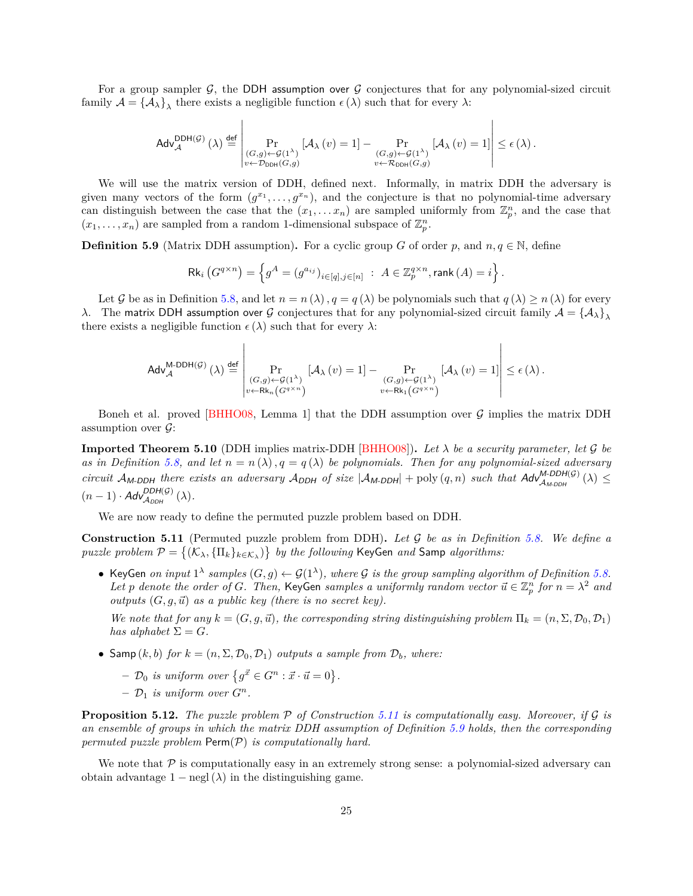For a group sampler  $\mathcal{G}$ , the DDH assumption over  $\mathcal{G}$  conjectures that for any polynomial-sized circuit family  $A = {\{\mathcal{A}_{\lambda}\}}_{\lambda}$  there exists a negligible function  $\epsilon(\lambda)$  such that for every  $\lambda$ :

$$
\mathsf{Adv}_{\mathcal{A}}^{\mathsf{DDH}(\mathcal{G})}\left(\lambda\right)\overset{\mathsf{def}}{=}\left\vert\Pr_{\substack{(G,g)\leftarrow\mathcal{G}(1^\lambda)\\v\leftarrow\mathcal{D}_{\mathsf{DDH}}\left(G,g\right)}}\left[\mathcal{A}_\lambda\left(v\right)=1\right]-\Pr_{\substack{(G,g)\leftarrow\mathcal{G}(1^\lambda)\\v\leftarrow\mathcal{R}_{\mathsf{DDH}}\left(G,g\right)}}\left[\mathcal{A}_\lambda\left(v\right)=1\right]\right|\leq\epsilon\left(\lambda\right).
$$

We will use the matrix version of DDH, defined next. Informally, in matrix DDH the adversary is given many vectors of the form  $(g^{x_1}, \ldots, g^{x_n})$ , and the conjecture is that no polynomial-time adversary can distinguish between the case that the  $(x_1, \ldots, x_n)$  are sampled uniformly from  $\mathbb{Z}_p^n$ , and the case that  $(x_1, \ldots, x_n)$  are sampled from a random 1-dimensional subspace of  $\mathbb{Z}_p^n$ .

<span id="page-24-2"></span>**Definition 5.9** (Matrix DDH assumption). For a cyclic group G of order p, and  $n, q \in \mathbb{N}$ , define

$$
\mathsf{Rk}_i\left(G^{q\times n}\right) = \left\{g^A = \left(g^{a_{ij}}\right)_{i \in [q], j \in [n]} \; : \; A \in \mathbb{Z}_p^{q\times n}, \mathsf{rank}\left(A\right) = i\right\}.
$$

Let G be as in Definition [5.8,](#page-23-3) and let  $n = n(\lambda)$ ,  $q = q(\lambda)$  be polynomials such that  $q(\lambda) \geq n(\lambda)$  for every  $\lambda$ . The matrix DDH assumption over G conjectures that for any polynomial-sized circuit family  $A = {\{\mathcal{A}_\lambda\}}_\lambda$ there exists a negligible function  $\epsilon(\lambda)$  such that for every  $\lambda$ :

$$
\mathsf{Adv}_{\mathcal{A}}^{\mathsf{M}\text{-}\mathsf{DDH}(\mathcal{G})}\left(\lambda\right) \stackrel{\mathsf{def}}{=} \left|\Pr_{\substack{(G,g) \leftarrow \mathcal{G}(1^\lambda) \\ v \leftarrow \mathsf{Rk}_n\left(G^{q \times n}\right)}}\left[\mathcal{A}_\lambda\left(v\right)=1\right]-\Pr_{\substack{(G,g) \leftarrow \mathcal{G}(1^\lambda) \\ v \leftarrow \mathsf{Rk}_1\left(G^{q \times n}\right)}}\left[\mathcal{A}_\lambda\left(v\right)=1\right]\right| \leq \epsilon\left(\lambda\right).
$$

Boneh et al. proved [\[BHHO08,](#page-33-13) Lemma 1] that the DDH assumption over  $\mathcal G$  implies the matrix DDH assumption over  $\mathcal{G}$ :

<span id="page-24-3"></span>**Imported Theorem 5.10** (DDH implies matrix-DDH [\[BHHO08\]](#page-33-13)). Let  $\lambda$  be a security parameter, let  $\mathcal G$  be *as in Definition* [5.8,](#page-23-3) and let  $n = n(\lambda)$ ,  $q = q(\lambda)$  be polynomials. Then for any polynomial-sized adversary *circuit*  $A_{M-DDH}$  *there exists an adversary*  $A_{DDH}$  *of size*  $|A_{M-DDH}|$  + poly  $(q, n)$  *such that*  $Adv_{A_{M-DDH}}^{M-DDH(G)}(\lambda)$   $\leq$  $(n-1) \cdot \mathsf{Adv}_{\mathcal{A}_{DDH}}^{\mathsf{DDH}(\mathcal{G})}(\lambda).$ 

We are now ready to define the permuted puzzle problem based on DDH.

<span id="page-24-1"></span>**Construction 5.11** (Permuted puzzle problem from DDH)**.** *Let be as in Definition [5.8.](#page-23-3) We define a*  $puzzle\ problem\ \mathcal{P}=\big\{(\mathcal{K}_\lambda,\{\Pi_k\}_{k\in\mathcal{K}_\lambda})\big\}\ \ by\ the\ following\ KeyGen\ and\ Samp\ algorithms:$ 

• KeyGen *on input*  $1^{\lambda}$  samples  $(G, g) \leftarrow \mathcal{G}(1^{\lambda})$ , where G is the group sampling algorithm of Definition [5.8.](#page-23-3) Let p denote the order of *G*. Then, KeyGen samples a uniformly random vector  $\vec{u} \in \mathbb{Z}_p^n$  for  $n = \lambda^2$  and *outputs*  $(G, g, \vec{u})$  *as a public key (there is no secret key).* 

*We note that for any*  $k = (G, g, \vec{u})$ *, the corresponding string distinguishing problem*  $\Pi_k = (n, \Sigma, \mathcal{D}_0, \mathcal{D}_1)$ *has alphabet*  $\Sigma = G$ *.* 

- Samp  $(k, b)$  *for*  $k = (n, \Sigma, \mathcal{D}_0, \mathcal{D}_1)$  *outputs a sample from*  $\mathcal{D}_b$ *, where:* 
	- $\mathcal{D}_0$  *is uniform over*  $\left\{ g^{\vec{x}} \in G^n : \vec{x} \cdot \vec{u} = 0 \right\}.$
	- $\mathcal{D}_1$  *is uniform over*  $G^n$ .

<span id="page-24-0"></span>**Proposition 5.12.** *The puzzle problem*  $P$  *of Construction* [5.11](#page-24-1) *is computationally easy. Moreover, if*  $G$  *is an ensemble of groups in which the matrix DDH assumption of Definition [5.9](#page-24-2) holds, then the corresponding permuted puzzle problem*  $\text{Perm}(\mathcal{P})$  *is computationally hard.* 

We note that  $P$  is computationally easy in an extremely strong sense: a polynomial-sized adversary can obtain advantage  $1 - \text{negl}(\lambda)$  in the distinguishing game.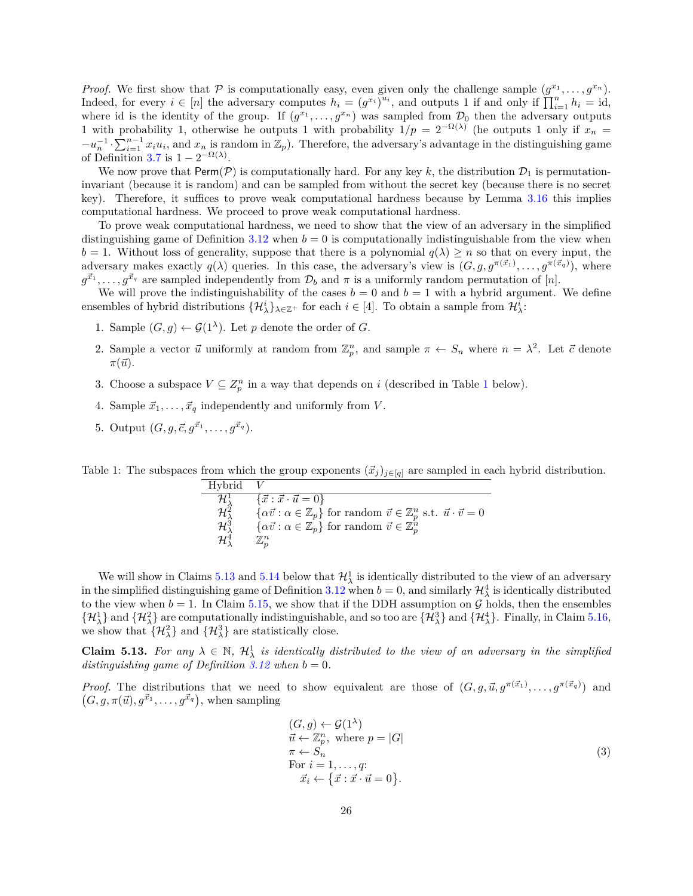*Proof.* We first show that  $P$  is computationally easy, even given only the challenge sample  $(g^{x_1}, \ldots, g^{x_n})$ . Indeed, for every  $i \in [n]$  the adversary computes  $h_i = (g^{x_i})^{u_i}$ , and outputs 1 if and only if  $\prod_{i=1}^n h_i = id$ , where id is the identity of the group. If  $(g^{x_1}, \ldots, g^{x_n})$  was sampled from  $\mathcal{D}_0$  then the adversary outputs 1 with probability 1, otherwise he outputs 1 with probability  $1/p = 2^{-\Omega(\lambda)}$  (he outputs 1 only if  $x_n =$  $-u_n^{-1} \cdot \sum_{i=1}^{n-1} x_i u_i$ , and  $x_n$  is random in  $\mathbb{Z}_p$ ). Therefore, the adversary's advantage in the distinguishing game of Definition [3.7](#page-10-1) is  $1 - 2^{-\Omega(\lambda)}$ .

We now prove that  $\text{Perm}(\mathcal{P})$  is computationally hard. For any key k, the distribution  $\mathcal{D}_1$  is permutationinvariant (because it is random) and can be sampled from without the secret key (because there is no secret key). Therefore, it suffices to prove weak computational hardness because by Lemma [3.16](#page-12-1) this implies computational hardness. We proceed to prove weak computational hardness.

To prove weak computational hardness, we need to show that the view of an adversary in the simplified distinguishing game of Definition [3.12](#page-11-2) when  $b = 0$  is computationally indistinguishable from the view when  $b = 1$ . Without loss of generality, suppose that there is a polynomial  $q(\lambda) \geq n$  so that on every input, the adversary makes exactly  $q(\lambda)$  queries. In this case, the adversary's view is  $(G, g, g^{\pi(\vec{x}_1)}, \ldots, g^{\pi(\vec{x}_q)})$ , where  $g^{\vec{x}_1}, \ldots, g^{\vec{x}_q}$  are sampled independently from  $\mathcal{D}_b$  and  $\pi$  is a uniformly random permutation of [n].

We will prove the indistinguishability of the cases  $b = 0$  and  $b = 1$  with a hybrid argument. We define ensembles of hybrid distributions  $\{\mathcal{H}_{\lambda}^{i}\}_{\lambda \in \mathbb{Z}^{+}}$  for each  $i \in [4]$ . To obtain a sample from  $\mathcal{H}_{\lambda}^{i}$ :

- 1. Sample  $(G, g) \leftarrow \mathcal{G}(1^{\lambda})$ . Let p denote the order of G.
- 2. Sample a vector  $\vec{u}$  uniformly at random from  $\mathbb{Z}_p^n$ , and sample  $\pi \leftarrow S_n$  where  $n = \lambda^2$ . Let  $\vec{c}$  denote  $\pi(\vec{u})$ .
- 3. Choose a subspace  $V \subseteq Z_p^n$  in a way that depends on i (described in Table [1](#page-25-0) below).
- 4. Sample  $\vec{x}_1, \ldots, \vec{x}_q$  independently and uniformly from V.
- 5. Output  $(G, g, \vec{c}, g^{\vec{x}_1}, \ldots, g^{\vec{x}_q}).$

<span id="page-25-0"></span>Table 1: The subspaces from which the group exponents  $(\vec{x}_j)_{j \in [q]}$  are sampled in each hybrid distribution.

| Hvbrid                            |                                                                                                                        |
|-----------------------------------|------------------------------------------------------------------------------------------------------------------------|
| $\mathcal{H}^1_\lambda$           | $\{\vec{x} : \vec{x} \cdot \vec{u} = 0\}$                                                                              |
| $\mathcal{H}^{\hat{2}}_{\lambda}$ | $\{\alpha\vec{v} : \alpha \in \mathbb{Z}_p\}$ for random $\vec{v} \in \mathbb{Z}_p^n$ s.t. $\vec{u} \cdot \vec{v} = 0$ |
| $\mathcal{H}^3_\lambda$           | $\{\alpha \vec{v} : \alpha \in \mathbb{Z}_p\}$ for random $\vec{v} \in \mathbb{Z}_p^n$                                 |
| $\mathcal{H}^4$                   | $\mathbb{Z}_n^n$                                                                                                       |

We will show in Claims [5.13](#page-25-1) and [5.14](#page-26-0) below that  $\mathcal{H}^1_\lambda$  is identically distributed to the view of an adversary in the simplified distinguishing game of Definition [3.12](#page-11-2) when  $b = 0$ , and similarly  $\mathcal{H}^4_\lambda$  is identically distributed to the view when  $b = 1$ . In Claim [5.15,](#page-26-1) we show that if the DDH assumption on  $G$  holds, then the ensembles  $\{\mathcal{H}^1_\lambda\}$  and  $\{\mathcal{H}^2_\lambda\}$  are computationally indistinguishable, and so too are  $\{\mathcal{H}^3_\lambda\}$  and  $\{\mathcal{H}^4_\lambda\}$ . Finally, in Claim [5.16,](#page-27-0) we show that  $\{\mathcal{H}^2_{\lambda}\}\$ and  $\{\mathcal{H}^3_{\lambda}\}\$ are statistically close.

<span id="page-25-1"></span>**Claim 5.13.** For any  $\lambda \in \mathbb{N}$ ,  $\mathcal{H}^1_{\lambda}$  is identically distributed to the view of an adversary in the simplified *distinguishing game of Definition*  $3.12$  *when*  $b = 0$ *.* 

*Proof.* The distributions that we need to show equivalent are those of  $(G, g, \vec{u}, g^{\pi(\vec{x}_1)}, \ldots, g^{\pi(\vec{x}_q)})$  and  $(G, g, \pi(\vec{u}), g^{\vec{x}_1}, \dots, g^{\vec{x}_q}),$  when sampling

<span id="page-25-2"></span>
$$
(G, g) \leftarrow \mathcal{G}(1^{\lambda})
$$
  
\n
$$
\vec{u} \leftarrow \mathbb{Z}_p^n, \text{ where } p = |G|
$$
  
\n
$$
\pi \leftarrow S_n
$$
  
\nFor  $i = 1, ..., q$ :  
\n
$$
\vec{x}_i \leftarrow {\vec{x} : \vec{x} \cdot \vec{u} = 0}.
$$
\n(3)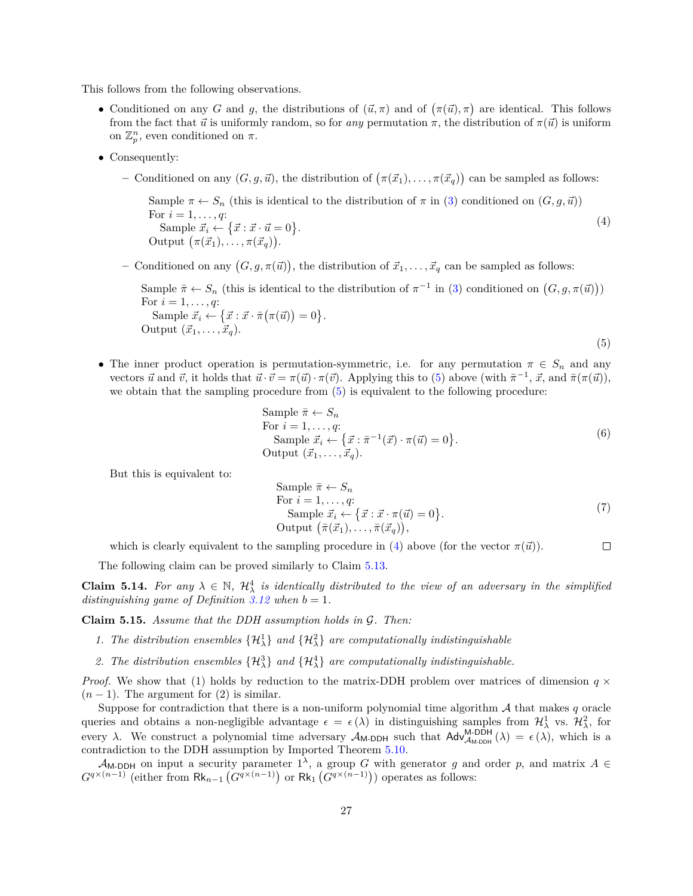This follows from the following observations.

- Conditioned on any G and g, the distributions of  $(\vec{u}, \pi)$  and of  $(\pi(\vec{u}), \pi)$  are identical. This follows from the fact that  $\vec{u}$  is uniformly random, so for *any* permutation  $\pi$ , the distribution of  $\pi(\vec{u})$  is uniform on  $\mathbb{Z}_p^n$ , even conditioned on  $\pi$ .
- ∙ Consequently:
	- $-$  Conditioned on any  $(G, g, \vec{u})$ , the distribution of  $(\pi(\vec{x}_1), \ldots, \pi(\vec{x}_q))$  can be sampled as follows:

Sample  $\pi \leftarrow S_n$  (this is identical to the distribution of  $\pi$  in [\(3\)](#page-25-2) conditioned on  $(G, g, \vec{u})$ ) For  $i = 1, ..., q$ : Sample  $\vec{x}_i \leftarrow {\vec{x} \cdot \vec{x} \cdot \vec{u} = 0}.$ Output  $(\pi(\vec{x}_1), \ldots, \pi(\vec{x}_q)).$ (4)

- Conditioned on any  $(G, g, \pi(\vec{u}))$ , the distribution of  $\vec{x}_1, \ldots, \vec{x}_q$  can be sampled as follows:

Sample  $\bar{\pi} \leftarrow S_n$  (this is identical to the distribution of  $\pi^{-1}$  in [\(3\)](#page-25-2) conditioned on  $(G, g, \pi(\vec{u}))$ ) For  $i = 1, ..., q$ : Sample  $\vec{x}_i \leftarrow {\vec{x} : \vec{x} \cdot \bar{\pi}(\pi(\vec{u})) = 0}.$ Output  $(\vec{x}_1, \ldots, \vec{x}_q)$ . (5)

• The inner product operation is permutation-symmetric, i.e. for any permutation  $\pi \in S_n$  and any vectors  $\vec{u}$  and  $\vec{v}$ , it holds that  $\vec{u} \cdot \vec{v} = \pi(\vec{u}) \cdot \pi(\vec{v})$ . Applying this to [\(5\)](#page-26-2) above (with  $\bar{\pi}^{-1}$ ,  $\vec{x}$ , and  $\bar{\pi}(\pi(\vec{u}))$ , we obtain that the sampling procedure from  $(5)$  is equivalent to the following procedure:

<span id="page-26-3"></span><span id="page-26-2"></span>Sample 
$$
\overline{\pi} \leftarrow S_n
$$
  
\nFor  $i = 1, ..., q$ :  
\nSample  $\vec{x}_i \leftarrow {\vec{x} : \overline{\pi}^{-1}(\vec{x}) \cdot \pi(\vec{u}) = 0}$ .  
\nOutput  $(\vec{x}_1, ..., \vec{x}_q)$ . (6)

But this is equivalent to:

Sample 
$$
\bar{\pi} \leftarrow S_n
$$
  
\nFor  $i = 1, ..., q$ :  
\nSample  $\vec{x}_i \leftarrow \{ \vec{x} : \vec{x} \cdot \pi(\vec{u}) = 0 \}$ .  
\nOutput  $(\bar{\pi}(\vec{x}_1), ..., \bar{\pi}(\vec{x}_q)),$  (7)

which is clearly equivalent to the sampling procedure in [\(4\)](#page-26-3) above (for the vector  $\pi(\vec{u})$ ).  $\Box$ 

The following claim can be proved similarly to Claim [5.13.](#page-25-1)

<span id="page-26-0"></span>**Claim 5.14.** For any  $\lambda \in \mathbb{N}$ ,  $\mathcal{H}^4_{\lambda}$  is identically distributed to the view of an adversary in the simplified *distinguishing game of Definition*  $3.12$  *when*  $b = 1$ *.* 

<span id="page-26-1"></span>**Claim 5.15.** *Assume that the DDH assumption holds in G. Then:* 

- 1. The distribution ensembles  $\{\mathcal{H}^1_\lambda\}$  and  $\{\mathcal{H}^2_\lambda\}$  are computationally indistinguishable
- 2. The distribution ensembles  $\{\mathcal{H}^3_\lambda\}$  and  $\{\mathcal{H}^4_\lambda\}$  are computationally indistinguishable.

*Proof.* We show that (1) holds by reduction to the matrix-DDH problem over matrices of dimension  $q \times$  $(n-1)$ . The argument for  $(2)$  is similar.

Suppose for contradiction that there is a non-uniform polynomial time algorithm  $A$  that makes  $q$  oracle queries and obtains a non-negligible advantage  $\epsilon = \epsilon(\lambda)$  in distinguishing samples from  $\mathcal{H}^1_\lambda$  vs.  $\mathcal{H}^2_\lambda$ , for every  $\lambda$ . We construct a polynomial time adversary  $\mathcal{A}_{M-DDH}$  such that  $\mathsf{Adv}_{\mathcal{A}_{M-DDH}}^{M-DDH}(\lambda) = \epsilon(\lambda)$ , which is a contradiction to the DDH assumption by Imported Theorem [5.10.](#page-24-3)

 $\mathcal{A}_{M\text{-DDH}}$  on input a security parameter  $1^{\lambda}$ , a group G with generator g and order p, and matrix  $A \in$  $G^{q\times (n-1)}$  (either from  $\mathsf{Rk}_{n-1}(G^{q\times (n-1)})$  or  $\mathsf{Rk}_1(G^{q\times (n-1)}))$  operates as follows: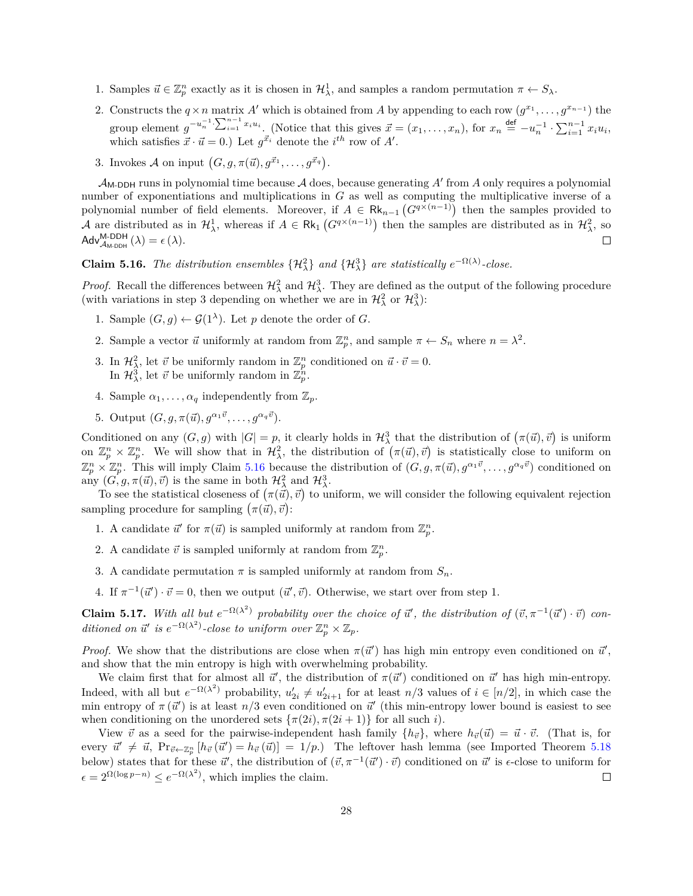- 1. Samples  $\vec{u} \in \mathbb{Z}_p^n$  exactly as it is chosen in  $\mathcal{H}^1_\lambda$ , and samples a random permutation  $\pi \leftarrow S_\lambda$ .
- 2. Constructs the  $q \times n$  matrix A' which is obtained from A by appending to each row  $(q^{x_1}, \ldots, q^{x_{n-1}})$  the group element  $g^{-u_n^{-1}} \cdot \sum_{i=1}^{n-1} x_i u_i$ . (Notice that this gives  $\vec{x} = (x_1, \ldots, x_n)$ , for  $x_n \stackrel{\text{def}}{=} -u_n^{-1} \cdot \sum_{i=1}^{n-1} x_i u_i$ , which satisfies  $\vec{x} \cdot \vec{u} = 0$ .) Let  $g^{\vec{x}_i}$  denote the  $i^{th}$  row of A'.
- 3. Invokes A on input  $(G, g, \pi(\vec{u}), g^{\vec{x}_1}, \dots, g^{\vec{x}_q}).$

 $\mathcal{A}_{\mathsf{M}\text{-}\mathsf{DDH}}$  runs in polynomial time because  $\mathcal A$  does, because generating  $A'$  from  $A$  only requires a polynomial number of exponentiations and multiplications in  $G$  as well as computing the multiplicative inverse of a polynomial number of field elements. Moreover, if  $A \in \mathsf{Rk}_{n-1}(G^{q\times (n-1)})$  then the samples provided to A are distributed as in  $\mathcal{H}^1_\lambda$ , whereas if  $A \in \mathsf{Rk}_1(G^{q\times (n-1)})$  then the samples are distributed as in  $\mathcal{H}^2_\lambda$ , so  $\mathsf{Adv}_{\mathcal{A}_{\mathsf{M}\text{-}\mathsf{DDH}}}^{\mathsf{M}\text{-}\mathsf{DDH}}(\lambda) = \epsilon(\lambda).$  $\Box$ 

<span id="page-27-0"></span>**Claim 5.16.** *The distribution ensembles*  $\{\mathcal{H}^2_\lambda\}$  *and*  $\{\mathcal{H}^3_\lambda\}$  *are statistically*  $e^{-\Omega(\lambda)}$ -close.

*Proof.* Recall the differences between  $\mathcal{H}^2_\lambda$  and  $\mathcal{H}^3_\lambda$ . They are defined as the output of the following procedure (with variations in step 3 depending on whether we are in  $\mathcal{H}^2_\lambda$  or  $\mathcal{H}^3_\lambda$ ):

- 1. Sample  $(G, g) \leftarrow \mathcal{G}(1^{\lambda})$ . Let p denote the order of G.
- 2. Sample a vector  $\vec{u}$  uniformly at random from  $\mathbb{Z}_p^n$ , and sample  $\pi \leftarrow S_n$  where  $n = \lambda^2$ .
- 3. In  $\mathcal{H}_{\lambda}^2$ , let  $\vec{v}$  be uniformly random in  $\mathbb{Z}_p^n$  conditioned on  $\vec{u} \cdot \vec{v} = 0$ . In  $\mathcal{H}_{\lambda}^3$ , let  $\vec{v}$  be uniformly random in  $\mathbb{Z}_p^{\tilde{n}}$ .
- 4. Sample  $\alpha_1, \ldots, \alpha_q$  independently from  $\mathbb{Z}_p$ .
- 5. Output  $(G, q, \pi(\vec{u}), q^{\alpha_1 \vec{v}}, \ldots, q^{\alpha_q \vec{v}}).$

Conditioned on any  $(G, g)$  with  $|G| = p$ , it clearly holds in  $\mathcal{H}^3_\lambda$  that the distribution of  $(\pi(\vec{u}), \vec{v})$  is uniform on  $\mathbb{Z}_p^n \times \mathbb{Z}_p^n$ . We will show that in  $\mathcal{H}_\lambda^2$ , the distribution of  $(\pi(\vec{u}), \vec{v})$  is statistically close to uniform on  $\mathbb{Z}_p^n \times \mathbb{Z}_p^n$ . This will imply Claim [5.16](#page-27-0) because the distribution of  $(G, g, \pi(\vec{u}), g^{\alpha_1 \vec{v}}, \ldots, g^{\alpha_q \vec{v}})$  conditioned on any  $(G, g, \pi(\vec{u}), \vec{v})$  is the same in both  $\mathcal{H}^2_{\lambda}$  and  $\mathcal{H}^3_{\lambda}$ .

To see the statistical closeness of  $(\pi(\vec{u}), \vec{v})$  to uniform, we will consider the following equivalent rejection sampling procedure for sampling  $(\pi(\vec{u}), \vec{v})$ :

- 1. A candidate  $\vec{u}'$  for  $\pi(\vec{u})$  is sampled uniformly at random from  $\mathbb{Z}_p^n$ .
- 2. A candidate  $\vec{v}$  is sampled uniformly at random from  $\mathbb{Z}_p^n$ .
- 3. A candidate permutation  $\pi$  is sampled uniformly at random from  $S_n$ .
- 4. If  $\pi^{-1}(\vec{u}') \cdot \vec{v} = 0$ , then we output  $(\vec{u}', \vec{v})$ . Otherwise, we start over from step 1.

<span id="page-27-2"></span>**Claim 5.17.** With all but  $e^{-\Omega(\lambda^2)}$  probability over the choice of  $\vec{u}'$ , the distribution of  $(\vec{v}, \pi^{-1}(\vec{u}') \cdot \vec{v})$  con*ditioned on*  $\vec{u}'$  *is*  $e^{-\Omega(\lambda^2)}$ -*close to uniform over*  $\mathbb{Z}_p^n \times \mathbb{Z}_p$ *.* 

*Proof.* We show that the distributions are close when  $\pi(\vec{u}')$  has high min entropy even conditioned on  $\vec{u}'$ , and show that the min entropy is high with overwhelming probability.

We claim first that for almost all  $\vec{u}'$ , the distribution of  $\pi(\vec{u}')$  conditioned on  $\vec{u}'$  has high min-entropy. Indeed, with all but  $e^{-\Omega(\lambda^2)}$  probability,  $u'_{2i} \neq u'_{2i+1}$  for at least  $n/3$  values of  $i \in [n/2]$ , in which case the min entropy of  $\pi(\vec{u}')$  is at least  $n/3$  even conditioned on  $\vec{u}'$  (this min-entropy lower bound is easiest to see when conditioning on the unordered sets  $\{\pi(2i), \pi(2i+1)\}\$  for all such i.

<span id="page-27-1"></span>View  $\vec{v}$  as a seed for the pairwise-independent hash family  $\{h_{\vec{v}}\}$ , where  $h_{\vec{v}}(\vec{u}) = \vec{u} \cdot \vec{v}$ . (That is, for every  $\vec{u}' \neq \vec{u}$ ,  $\Pr_{\vec{v} \leftarrow \mathbb{Z}_p^n} [h_{\vec{v}}(\vec{u}') = h_{\vec{v}}(\vec{u})] = 1/p$ .) The leftover hash lemma (see Imported Theorem [5.18](#page-27-1) below) states that for these  $\vec{u}'$ , the distribution of  $(\vec{v}, \pi^{-1}(\vec{u}') \cdot \vec{v})$  conditioned on  $\vec{u}'$  is  $\epsilon$ -close to uniform for  $\epsilon = 2^{\Omega(\log p - n)} \leq e^{-\Omega(\lambda^2)}$ , which implies the claim.  $\Box$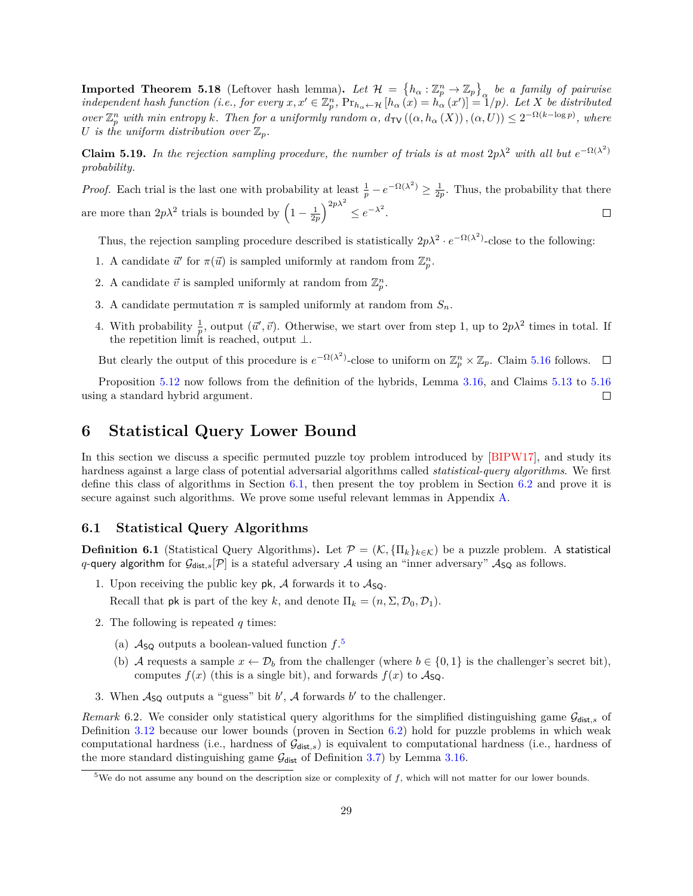**Imported Theorem 5.18** (Leftover hash lemma). Let  $\mathcal{H} = \{h_{\alpha} : \mathbb{Z}_p^n \to \mathbb{Z}_p\}$  be a family of pairwise  $\mathcal{L}$  independent hash function (i.e., for every  $x, x' \in \mathbb{Z}_p^n$ ,  $\Pr_{h_\alpha \leftarrow \mathcal{H}} [h_\alpha(x) = h_\alpha(x')] = 1/p$ ). Let X be distributed  $over \mathbb{Z}_p^n$  with min entropy *k*. Then for a uniformly random  $\alpha$ ,  $d_{\text{TV}}((\alpha, h_\alpha(X)), (\alpha, U)) \leq 2^{-\Omega(k - \log p)}$ , where *U* is the uniform distribution over  $\mathbb{Z}_p$ .

**Claim 5.19.** In the rejection sampling procedure, the number of trials is at most  $2p\lambda^2$  with all but  $e^{-\Omega(\lambda^2)}$ *probability.*

*Proof.* Each trial is the last one with probability at least  $\frac{1}{p} - e^{-\Omega(\lambda^2)} \ge \frac{1}{2p}$ . Thus, the probability that there are more than  $2p\lambda^2$  trials is bounded by  $\left(1-\frac{1}{2p}\right)^{2p\lambda^2} \leq e^{-\lambda^2}$ .  $\Box$ 

Thus, the rejection sampling procedure described is statistically  $2p\lambda^2 \cdot e^{-\Omega(\lambda^2)}$ -close to the following:

- 1. A candidate  $\vec{u}'$  for  $\pi(\vec{u})$  is sampled uniformly at random from  $\mathbb{Z}_p^n$ .
- 2. A candidate  $\vec{v}$  is sampled uniformly at random from  $\mathbb{Z}_p^n$ .
- 3. A candidate permutation  $\pi$  is sampled uniformly at random from  $S_n$ .
- 4. With probability  $\frac{1}{p}$ , output  $(\vec{u}', \vec{v})$ . Otherwise, we start over from step 1, up to  $2p\lambda^2$  times in total. If the repetition limit is reached, output  $\bot$ .

But clearly the output of this procedure is  $e^{-\Omega(\lambda^2)}$ -close to uniform on  $\mathbb{Z}_p^n \times \mathbb{Z}_p$ . Claim [5.16](#page-27-0) follows.  $\Box$ 

Proposition [5.12](#page-24-0) now follows from the definition of the hybrids, Lemma [3.16,](#page-12-1) and Claims [5.13](#page-25-1) to [5.16](#page-27-0) using a standard hybrid argument.  $\Box$ 

# <span id="page-28-0"></span>**6 Statistical Query Lower Bound**

In this section we discuss a specific permuted puzzle toy problem introduced by [\[BIPW17\]](#page-33-10), and study its hardness against a large class of potential adversarial algorithms called *statistical-query algorithms*. We first define this class of algorithms in Section [6.1,](#page-28-1) then present the toy problem in Section [6.2](#page-29-0) and prove it is secure against such algorithms. We prove some useful relevant lemmas in Appendix [A.](#page-35-0)

### <span id="page-28-1"></span>**6.1 Statistical Query Algorithms**

**Definition 6.1** (Statistical Query Algorithms). Let  $\mathcal{P} = (\mathcal{K}, \{\Pi_k\}_{k \in \mathcal{K}})$  be a puzzle problem. A statistical q-query algorithm for  $\mathcal{G}_{dist,s}[\mathcal{P}]$  is a stateful adversary  $\mathcal A$  using an "inner adversary"  $\mathcal A_{SQ}$  as follows.

1. Upon receiving the public key pk,  $\mathcal A$  forwards it to  $\mathcal A_{SQ}$ .

Recall that **pk** is part of the key k, and denote  $\Pi_k = (n, \Sigma, \mathcal{D}_0, \mathcal{D}_1)$ .

- 2. The following is repeated  $q$  times:
	- (a)  $\mathcal{A}_{SQ}$  outputs a boolean-valued function  $f^{5}$  $f^{5}$  $f^{5}$ .
	- (b) A requests a sample  $x \leftarrow \mathcal{D}_b$  from the challenger (where  $b \in \{0,1\}$  is the challenger's secret bit), computes  $f(x)$  (this is a single bit), and forwards  $f(x)$  to  $\mathcal{A}_{\mathsf{SO}}$ .
- 3. When  $A_{SQ}$  outputs a "guess" bit  $b'$ , A forwards  $b'$  to the challenger.

*Remark* 6.2. We consider only statistical query algorithms for the simplified distinguishing game  $\mathcal{G}_{dist,s}$  of Definition [3.12](#page-11-2) because our lower bounds (proven in Section [6.2\)](#page-29-0) hold for puzzle problems in which weak computational hardness (i.e., hardness of  $\mathcal{G}_{\text{dist},s}$ ) is equivalent to computational hardness (i.e., hardness of the more standard distinguishing game  $G_{\text{dist}}$  of Definition [3.7\)](#page-10-1) by Lemma [3.16.](#page-12-1)

<span id="page-28-2"></span> $5$ We do not assume any bound on the description size or complexity of f, which will not matter for our lower bounds.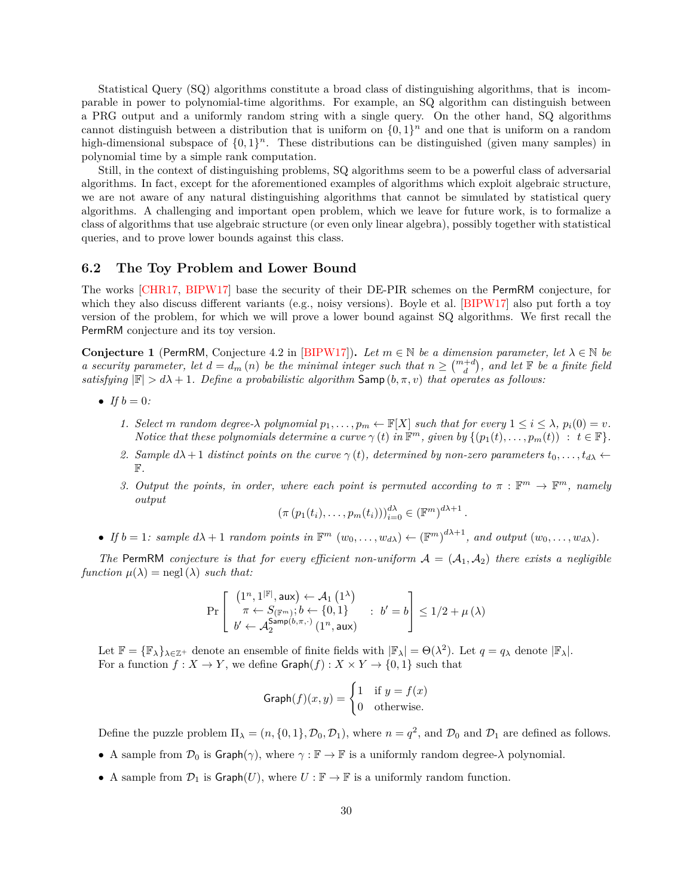Statistical Query (SQ) algorithms constitute a broad class of distinguishing algorithms, that is incomparable in power to polynomial-time algorithms. For example, an SQ algorithm can distinguish between a PRG output and a uniformly random string with a single query. On the other hand, SQ algorithms cannot distinguish between a distribution that is uniform on  $\{0,1\}^n$  and one that is uniform on a random high-dimensional subspace of  $\{0,1\}^n$ . These distributions can be distinguished (given many samples) in polynomial time by a simple rank computation.

Still, in the context of distinguishing problems, SQ algorithms seem to be a powerful class of adversarial algorithms. In fact, except for the aforementioned examples of algorithms which exploit algebraic structure, we are not aware of any natural distinguishing algorithms that cannot be simulated by statistical query algorithms. A challenging and important open problem, which we leave for future work, is to formalize a class of algorithms that use algebraic structure (or even only linear algebra), possibly together with statistical queries, and to prove lower bounds against this class.

### <span id="page-29-0"></span>**6.2 The Toy Problem and Lower Bound**

The works [\[CHR17,](#page-34-9) [BIPW17\]](#page-33-10) base the security of their DE-PIR schemes on the PermRM conjecture, for which they also discuss different variants (e.g., noisy versions). Boyle et al. [\[BIPW17\]](#page-33-10) also put forth a toy version of the problem, for which we will prove a lower bound against SQ algorithms. We first recall the PermRM conjecture and its toy version.

<span id="page-29-1"></span>**Conjecture 1** (PermRM, Conjecture 4.2 in [\[BIPW17\]](#page-33-10)). Let  $m \in \mathbb{N}$  be a dimension parameter, let  $\lambda \in \mathbb{N}$  be *a* security parameter, let  $d = d_m(n)$  be the minimal integer such that  $n \geq {m+d \choose d}$ , and let  $\mathbb F$  be a finite field *satisfying*  $|\mathbb{F}| > d\lambda + 1$ *. Define a probabilistic algorithm* Samp  $(b, \pi, v)$  *that operates as follows:* 

- *If*  $b = 0$ *:* 
	- *1. Select m* random degree- $\lambda$  polynomial  $p_1, \ldots, p_m \leftarrow \mathbb{F}[X]$  such that for every  $1 \leq i \leq \lambda$ ,  $p_i(0) = v$ . *Notice that these polynomials determine a curve*  $\gamma(t)$  *in*  $\mathbb{F}^m$ *, given by*  $\{(p_1(t), \ldots, p_m(t)) : t \in \mathbb{F}\}.$
	- 2. Sample  $d\lambda + 1$  distinct points on the curve  $\gamma(t)$ , determined by non-zero parameters  $t_0, \ldots, t_{d\lambda} \leftarrow$ F*.*
	- 3. Output the points, in order, where each point is permuted according to  $\pi : \mathbb{F}^m \to \mathbb{F}^m$ , namely *output*

$$
\left(\pi\left(p_1(t_i),\ldots,p_m(t_i)\right)\right)_{i=0}^{d\lambda} \in \left(\mathbb{F}^m\right)^{d\lambda+1}.
$$

• If  $b = 1$ : sample  $d\lambda + 1$  random points in  $\mathbb{F}^m$   $(w_0, \ldots, w_{d\lambda}) \leftarrow (\mathbb{F}^m)^{d\lambda + 1}$ , and output  $(w_0, \ldots, w_{d\lambda})$ .

*The* PermRM *conjecture is that for every efficient non-uniform*  $A = (A_1, A_2)$  *there exists a negligible function*  $\mu(\lambda) = \text{negl}(\lambda)$  *such that:* 

$$
\Pr\left[\begin{array}{ll} \left(1^n,1^{|\mathbb{F}|},\mathrm{aux}\right)\leftarrow\mathcal{A}_1\left(1^\lambda\right) \\ \pi\leftarrow S_{(\mathbb{F}^m)};b\leftarrow\{0,1\} \\ b'\leftarrow\mathcal{A}_2^{\mathsf{Samp}(b,\pi,\cdot)}\left(1^n,\mathrm{aux}\right)\end{array}\right:\ b'=b\right]\leq 1/2+\mu\left(\lambda\right)
$$

Let  $\mathbb{F} = {\mathbb{F}_{\lambda}}_{\lambda \in \mathbb{Z}^+}$  denote an ensemble of finite fields with  $|\mathbb{F}_{\lambda}| = \Theta(\lambda^2)$ . Let  $q = q_{\lambda}$  denote  $|\mathbb{F}_{\lambda}|$ . For a function  $f: X \to Y$ , we define  $\mathsf{Graph}(f): X \times Y \to \{0,1\}$  such that

Graph
$$
(f)(x, y) =
$$

$$
\begin{cases} 1 & \text{if } y = f(x) \\ 0 & \text{otherwise.} \end{cases}
$$

Define the puzzle problem  $\Pi_{\lambda} = (n, \{0, 1\}, \mathcal{D}_0, \mathcal{D}_1)$ , where  $n = q^2$ , and  $\mathcal{D}_0$  and  $\mathcal{D}_1$  are defined as follows.

- A sample from  $\mathcal{D}_0$  is Graph( $\gamma$ ), where  $\gamma : \mathbb{F} \to \mathbb{F}$  is a uniformly random degree- $\lambda$  polynomial.
- A sample from  $\mathcal{D}_1$  is  $\mathsf{Graph}(U)$ , where  $U : \mathbb{F} \to \mathbb{F}$  is a uniformly random function.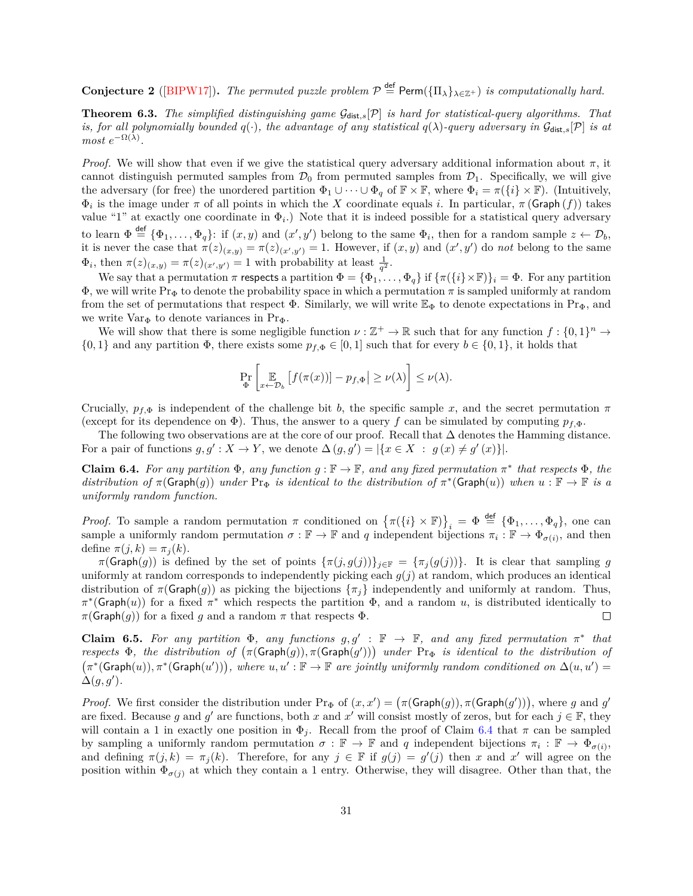**Conjecture 2** ([\[BIPW17\]](#page-33-10)). The permuted puzzle problem  $\mathcal{P} \stackrel{\text{def}}{=} \text{Perm}(\{\Pi_{\lambda}\}_{\lambda \in \mathbb{Z}^+})$  is computationally hard.

<span id="page-30-0"></span>**Theorem 6.3.** *The simplified distinguishing game*  $\mathcal{G}_{dist,s}[\mathcal{P}]$  *is hard for statistical-query algorithms. That is, for all polynomially bounded*  $q(.)$ *, the advantage of any statistical*  $q(\lambda)$ -query adversary in  $\mathcal{G}_{dist,s}[\mathcal{P}]$  is at  $most e^{-\Omega(\lambda)}$ .

*Proof.* We will show that even if we give the statistical query adversary additional information about  $\pi$ , it cannot distinguish permuted samples from  $\mathcal{D}_0$  from permuted samples from  $\mathcal{D}_1$ . Specifically, we will give the adversary (for free) the unordered partition  $\Phi_1 \cup \cdots \cup \Phi_q$  of  $\mathbb{F} \times \mathbb{F}$ , where  $\Phi_i = \pi({i} \times \mathbb{F})$ . (Intuitively,  $\Phi_i$  is the image under  $\pi$  of all points in which the X coordinate equals i. In particular,  $\pi$  (Graph  $(f)$ ) takes value "1" at exactly one coordinate in  $\Phi_i$ .) Note that it is indeed possible for a statistical query adversary to learn  $\Phi \stackrel{\text{def}}{=} {\Phi_1, \ldots, \Phi_q}$ : if  $(x, y)$  and  $(x', y')$  belong to the same  $\Phi_i$ , then for a random sample  $z \leftarrow \mathcal{D}_b$ , it is never the case that  $\pi(z)_{(x,y)} = \pi(z)_{(x',y')} = 1$ . However, if  $(x, y)$  and  $(x', y')$  do *not* belong to the same  $\Phi_i$ , then  $\pi(z)_{(x,y)} = \pi(z)_{(x',y')} = 1$  with probability at least  $\frac{1}{q^2}$ .

We say that a permutation  $\pi$  respects a partition  $\Phi = {\Phi_1, \ldots, \Phi_q}$  if  ${\pi({i \times F})_i = \Phi}$ . For any partition  $\Phi$ , we will write Pr<sub>Φ</sub> to denote the probability space in which a permutation  $\pi$  is sampled uniformly at random from the set of permutations that respect  $\Phi$ . Similarly, we will write  $\mathbb{E}_{\Phi}$  to denote expectations in Pr<sub> $\Phi$ </sub>, and we write  $Var_{\Phi}$  to denote variances in Pr<sub> $\Phi$ </sub>.

We will show that there is some negligible function  $\nu : \mathbb{Z}^+ \to \mathbb{R}$  such that for any function  $f : \{0,1\}^n \to$  $\{0,1\}$  and any partition  $\Phi$ , there exists some  $p_{f,\Phi} \in [0,1]$  such that for every  $b \in \{0,1\}$ , it holds that

$$
\Pr_{\Phi} \left[ \mathop{\mathbb{E}}_{x \leftarrow \mathcal{D}_b} \left[ f(\pi(x)) \right] - p_{f, \Phi} \right] \ge \nu(\lambda) \right] \le \nu(\lambda).
$$

Crucially,  $p_{f,\Phi}$  is independent of the challenge bit b, the specific sample x, and the secret permutation  $\pi$ (except for its dependence on  $\Phi$ ). Thus, the answer to a query f can be simulated by computing  $p_{f,\Phi}$ .

The following two observations are at the core of our proof. Recall that  $\Delta$  denotes the Hamming distance. For a pair of functions  $g, g' : X \to Y$ , we denote  $\Delta(g, g') = |\{x \in X : g(x) \neq g'(x)\}|$ .

<span id="page-30-1"></span>**Claim 6.4.** For any partition  $\Phi$ , any function  $g : \mathbb{F} \to \mathbb{F}$ , and any fixed permutation  $\pi^*$  that respects  $\Phi$ , the  $distribution \ of \ \pi(\mathsf{Graph}(g)) \ under \ Pr_{\Phi} \ is \ identical \ to \ the \ distribution \ of \ \pi^*(\mathsf{Graph}(u)) \ when \ u : \mathbb{F} \to \mathbb{F} \ is \ a$ *uniformly random function.*

*Proof.* To sample a random permutation  $\pi$  conditioned on  ${\{\pi(\{i\} \times \mathbb{F})\}}_i = \Phi \stackrel{\text{def}}{=} {\{\Phi_1, \ldots, \Phi_q\}}$ , one can sample a uniformly random permutation  $\sigma : \mathbb{F} \to \mathbb{F}$  and q independent bijections  $\pi_i : \mathbb{F} \to \Phi_{\sigma(i)}$ , and then define  $\pi(j, k) = \pi_j(k)$ .

 $\pi(\mathsf{Graph}(g))$  is defined by the set of points  $\{\pi(j,g(j))\}_{j\in\mathbb{F}} = \{\pi_j(g(j))\}.$  It is clear that sampling g uniformly at random corresponds to independently picking each  $g(j)$  at random, which produces an identical distribution of  $\pi(Graph(g))$  as picking the bijections  $\{\pi_i\}$  independently and uniformly at random. Thus,  $\pi^*(\mathsf{Graph}(u))$  for a fixed  $\pi^*$  which respects the partition  $\Phi$ , and a random u, is distributed identically to  $\pi(\mathsf{Graph}(g))$  for a fixed g and a random  $\pi$  that respects  $\Phi$ .  $\Box$ 

<span id="page-30-2"></span>**Claim 6.5.** For any partition  $\Phi$ , any functions  $g, g' : \mathbb{F} \to \mathbb{F}$ , and any fixed permutation  $\pi^*$  that *respects*  $\Phi$ , the distribution of  $(\pi(\text{Graph}(g)), \pi(\text{Graph}(g')))$  under  $Pr_{\Phi}$  is identical to the distribution of  $(\pi^*(\mathsf{Graph}(u)), \pi^*(\mathsf{Graph}(u'))),$  where  $u, u' : \mathbb{F} \to \mathbb{F}$  are jointly uniformly random conditioned on  $\Delta(u, u') =$  $\dot{\Delta}(g,g^{\prime}).$ 

*Proof.* We first consider the distribution under  $Pr_{\Phi}$  of  $(x, x') = (\pi(\mathsf{Graph}(g)), \pi(\mathsf{Graph}(g')))$ , where g and g' are fixed. Because g and g' are functions, both x and x' will consist mostly of zeros, but for each  $j \in \mathbb{F}$ , they will contain a 1 in exactly one position in  $\Phi_i$ . Recall from the proof of Claim [6.4](#page-30-1) that  $\pi$  can be sampled by sampling a uniformly random permutation  $\sigma : \mathbb{F} \to \mathbb{F}$  and q independent bijections  $\pi_i : \mathbb{F} \to \Phi_{\sigma(i)}$ , and defining  $\pi(j,k) = \pi_j(k)$ . Therefore, for any  $j \in \mathbb{F}$  if  $g(j) = g'(j)$  then x and x' will agree on the position within  $\Phi_{\sigma(j)}$  at which they contain a 1 entry. Otherwise, they will disagree. Other than that, the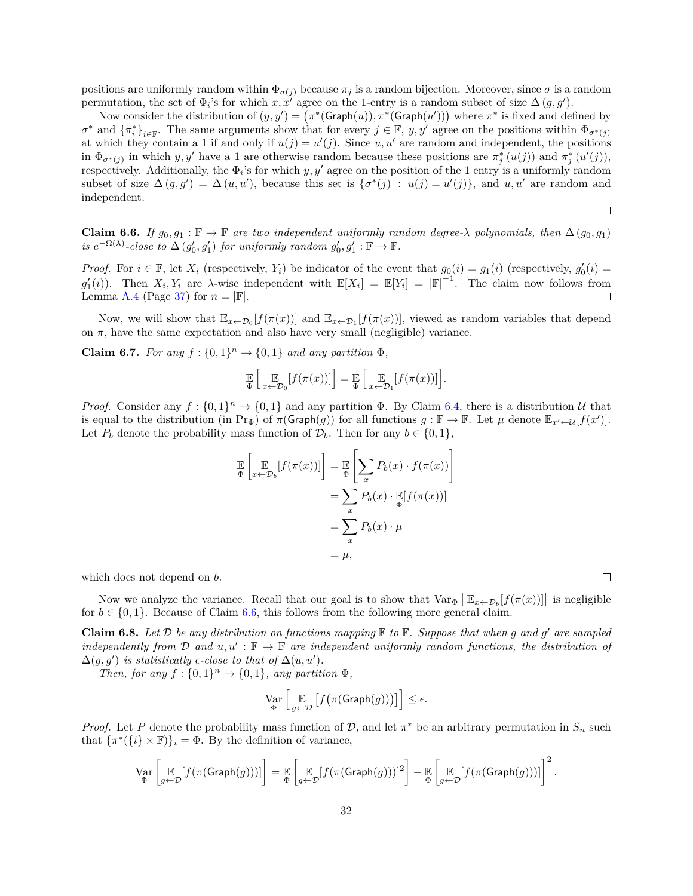positions are uniformly random within  $\Phi_{\sigma(j)}$  because  $\pi_j$  is a random bijection. Moreover, since  $\sigma$  is a random permutation, the set of  $\Phi_i$ 's for which *x*, *x'* agree on the 1-entry is a random subset of size  $\Delta(g, g')$ .

Now consider the distribution of  $(y, y') = (\pi^*(\text{Graph}(u)), \pi^*(\text{Graph}(u')))$  where  $\pi^*$  is fixed and defined by  $\sigma^*$  and  $\{\pi_i^*\}_{i\in\mathbb{F}}$ . The same arguments show that for every  $j\in\mathbb{F}$ ,  $y, y'$  agree on the positions within  $\Phi_{\sigma^*(j)}$ at which they contain a 1 if and only if  $u(j) = u'(j)$ . Since  $u, u'$  are random and independent, the positions in  $\Phi_{\sigma^*(j)}$  in which *y*, *y'* have a 1 are otherwise random because these positions are  $\pi_j^*(u(j))$  and  $\pi_j^*(u'(j))$ , respectively. Additionally, the  $\Phi_i$ 's for which  $y, y'$  agree on the position of the 1 entry is a uniformly random subset of size  $\Delta(g, g') = \Delta(u, u')$ , because this set is  $\{\sigma^*(j) : u(j) = u'(j)\}\$ , and  $u, u'$  are random and independent.

$$
\Box
$$

<span id="page-31-0"></span>**Claim 6.6.** *If*  $g_0, g_1 : \mathbb{F} \to \mathbb{F}$  *are two independent uniformly random degree-* $\lambda$  *polynomials, then*  $\Delta(g_0, g_1)$ *is*  $e^{-\Omega(\lambda)}$ -close to  $\Delta(g'_0, g'_1)$  for uniformly random  $g'_0, g'_1 : \mathbb{F} \to \mathbb{F}$ .

*Proof.* For  $i \in \mathbb{F}$ , let  $X_i$  (respectively,  $Y_i$ ) be indicator of the event that  $g_0(i) = g_1(i)$  (respectively,  $g'_0(i) = g_2(i)$ )  $g'_1(i)$ ). Then  $X_i, Y_i$  are  $\lambda$ -wise independent with  $\mathbb{E}[X_i] = \mathbb{E}[Y_i] = |\mathbb{F}|^{-1}$ . The claim now follows from Lemma [A.4](#page-36-0) (Page [37\)](#page-36-0) for  $n = |\mathbb{F}|$ . □

Now, we will show that  $\mathbb{E}_{x \leftarrow \mathcal{D}_0}[f(\pi(x))]$  and  $\mathbb{E}_{x \leftarrow \mathcal{D}_1}[f(\pi(x))]$ , viewed as random variables that depend on  $\pi$ , have the same expectation and also have very small (negligible) variance.

**Claim 6.7.** *For any*  $f: \{0, 1\}^n \rightarrow \{0, 1\}$  *and any partition*  $\Phi$ *,* 

$$
\mathbb{E}\left[\mathbb{E}\left[f(\pi(x))] \right] = \mathbb{E}\left[\mathbb{E}\left[f(\pi(x))] \right] \right].
$$

*Proof.* Consider any  $f: \{0,1\}^n \to \{0,1\}$  and any partition  $\Phi$ . By Claim [6.4,](#page-30-1) there is a distribution U that is equal to the distribution (in  $\Pr_{\Phi}$ ) of  $\pi(\text{Graph}(g))$  for all functions  $g : \mathbb{F} \to \mathbb{F}$ . Let  $\mu$  denote  $\mathbb{E}_{x' \leftarrow \mathcal{U}}[f(x')]$ . Let  $P_b$  denote the probability mass function of  $\mathcal{D}_b$ . Then for any  $b \in \{0, 1\}$ ,

$$
\mathbb{E}\left[\mathbb{E}_{x \leftarrow \mathcal{D}_b}[f(\pi(x))] \right] = \mathbb{E}\left[\sum_x P_b(x) \cdot f(\pi(x))\right] \n= \sum_x P_b(x) \cdot \mathbb{E}[f(\pi(x))] \n= \sum_x P_b(x) \cdot \mu \n= \mu,
$$

which does not depend on  $b$ .

Now we analyze the variance. Recall that our goal is to show that  $Var_{\Phi} [\mathbb{E}_{x \leftarrow \mathcal{D}_{b}}[f(\pi(x))] ]$  is negligible for  $b \in \{0, 1\}$ . Because of Claim [6.6,](#page-31-0) this follows from the following more general claim.

<span id="page-31-1"></span>**Claim 6.8.** Let  $D$  be any distribution on functions mapping  $\mathbb F$  to  $\mathbb F$ . Suppose that when g and g' are sampled *independently from*  $\mathcal D$  *and*  $u, u' : \mathbb F \to \mathbb F$  *are independent uniformly random functions, the distribution of*  $\Delta(g, g')$  *is statistically*  $\epsilon$ -close to that of  $\Delta(u, u')$ .

*Then, for any*  $f: \{0,1\}^n \to \{0,1\}$ *, any partition*  $\Phi$ *,* 

$$
\operatorname*{Var}_{\Phi}\left[\mathop{\mathbb{E}}_{g\leftarrow\mathcal{D}}\left[f\big(\pi(\mathsf{Graph}(g))\big)\right]\right]\leq\epsilon.
$$

*Proof.* Let P denote the probability mass function of  $D$ , and let  $\pi^*$  be an arbitrary permutation in  $S_n$  such that  ${\lbrace \pi^*(\lbrace i \rbrace \times \mathbb{F}) \rbrace_i = \Phi$ . By the definition of variance,

$$
\operatorname*{Var}_{\Phi}\left[\mathop{\mathbb{E}}_{g\leftarrow\mathcal{D}}[f(\pi(\operatorname{Graph}(g)))]\right] = \mathop{\mathbb{E}}_{\Phi}\left[\mathop{\mathbb{E}}_{g\leftarrow\mathcal{D}}[f(\pi(\operatorname{Graph}(g)))]^{2}\right] - \mathop{\mathbb{E}}_{\Phi}\left[\mathop{\mathbb{E}}_{g\leftarrow\mathcal{D}}[f(\pi(\operatorname{Graph}(g)))]\right]^{2}.
$$

 $\Box$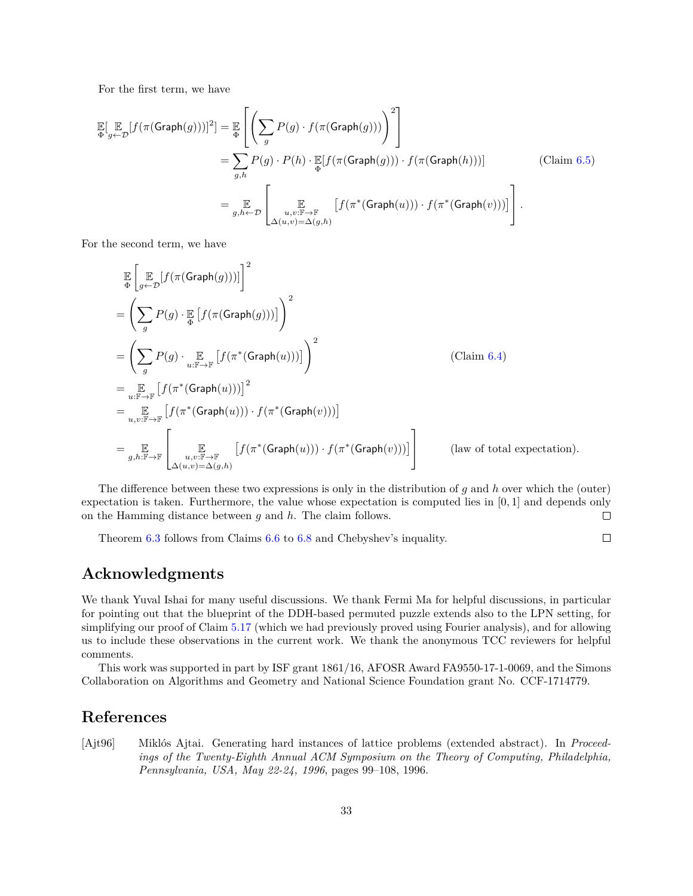For the first term, we have

$$
\mathbb{E}[\mathbb{E}_{g \leftarrow \mathcal{D}}[f(\pi(\text{Graph}(g)))]^2] = \mathbb{E}_{\Phi}\left[\left(\sum_{g} P(g) \cdot f(\pi(\text{Graph}(g))))\right)^2\right]
$$
\n
$$
= \sum_{g,h} P(g) \cdot P(h) \cdot \mathbb{E}[f(\pi(\text{Graph}(g))) \cdot f(\pi(\text{Graph}(h)))] \qquad \text{(Claim 6.5)}
$$
\n
$$
= \mathbb{E}_{g,h \leftarrow \mathcal{D}}\left[\mathbb{E}_{\substack{u,v:\mathbb{F}\to\mathbb{F}\\u,v:\mathbb{F}\to\mathbb{F}\\ \Delta(u,v)=\Delta(g,h)}}[f(\pi^*(\text{Graph}(u))) \cdot f(\pi^*(\text{Graph}(v)))]\right].
$$

For the second term, we have

$$
\mathbb{E}\left[\mathbb{E}_{g}\left[f(\pi(\text{Graph}(g)))\right]\right]^{2}
$$
\n
$$
=\left(\sum_{g} P(g) \cdot \mathbb{E}_{g}\left[f(\pi(\text{Graph}(g)))\right]\right)^{2}
$$
\n
$$
=\left(\sum_{g} P(g) \cdot \mathbb{E}_{u:\mathbb{F}\to\mathbb{F}}\left[f(\pi^{*}(\text{Graph}(u)))\right]\right)^{2}
$$
\n
$$
=\mathbb{E}_{u:\mathbb{F}\to\mathbb{F}}\left[f(\pi^{*}(\text{Graph}(u)))\right]^{2}
$$
\n
$$
=\mathbb{E}_{u,v:\mathbb{F}\to\mathbb{F}}\left[f(\pi^{*}(\text{Graph}(u))) \cdot f(\pi^{*}(\text{Graph}(v)))\right]
$$
\n
$$
=\mathbb{E}_{g,h:\mathbb{F}\to\mathbb{F}}\left[\mathbb{E}_{u,v:\mathbb{F}\to\mathbb{F}}\left[f(\pi^{*}(\text{Graph}(u))) \cdot f(\pi^{*}(\text{Graph}(v)))\right]\right]
$$
\n
$$
=\mathbb{E}_{g,h:\mathbb{F}\to\mathbb{F}}\left[\mathbb{E}_{u,v:\mathbb{F}\to\mathbb{F}}\left[f(\pi^{*}(\text{Graph}(u))) \cdot f(\pi^{*}(\text{Graph}(v)))\right]\right]
$$
\n
$$
(\text{law of total expectation}).
$$

The difference between these two expressions is only in the distribution of g and h over which the (outer) expectation is taken. Furthermore, the value whose expectation is computed lies in [0*,* 1] and depends only on the Hamming distance between g and h. The claim follows.  $\Box$ 

Theorem [6.3](#page-30-0) follows from Claims [6.6](#page-31-0) to [6.8](#page-31-1) and Chebyshev's inquality.

#### $\Box$

# **Acknowledgments**

We thank Yuval Ishai for many useful discussions. We thank Fermi Ma for helpful discussions, in particular for pointing out that the blueprint of the DDH-based permuted puzzle extends also to the LPN setting, for simplifying our proof of Claim [5.17](#page-27-2) (which we had previously proved using Fourier analysis), and for allowing us to include these observations in the current work. We thank the anonymous TCC reviewers for helpful comments.

This work was supported in part by ISF grant 1861/16, AFOSR Award FA9550-17-1-0069, and the Simons Collaboration on Algorithms and Geometry and National Science Foundation grant No. CCF-1714779.

# **References**

<span id="page-32-0"></span>[Ajt96] Miklós Ajtai. Generating hard instances of lattice problems (extended abstract). In *Proceedings of the Twenty-Eighth Annual ACM Symposium on the Theory of Computing, Philadelphia, Pennsylvania, USA, May 22-24, 1996*, pages 99–108, 1996.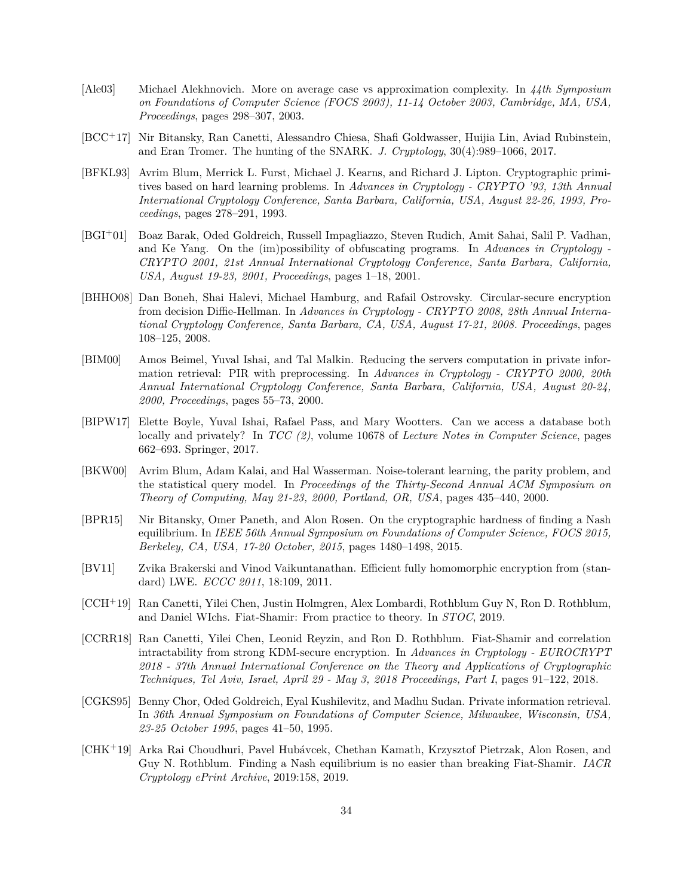- <span id="page-33-2"></span>[Ale03] Michael Alekhnovich. More on average case vs approximation complexity. In *44th Symposium on Foundations of Computer Science (FOCS 2003), 11-14 October 2003, Cambridge, MA, USA, Proceedings*, pages 298–307, 2003.
- <span id="page-33-4"></span>[BCC<sup>+</sup>17] Nir Bitansky, Ran Canetti, Alessandro Chiesa, Shafi Goldwasser, Huijia Lin, Aviad Rubinstein, and Eran Tromer. The hunting of the SNARK. *J. Cryptology*, 30(4):989–1066, 2017.
- <span id="page-33-0"></span>[BFKL93] Avrim Blum, Merrick L. Furst, Michael J. Kearns, and Richard J. Lipton. Cryptographic primitives based on hard learning problems. In *Advances in Cryptology - CRYPTO '93, 13th Annual International Cryptology Conference, Santa Barbara, California, USA, August 22-26, 1993, Proceedings*, pages 278–291, 1993.
- <span id="page-33-3"></span>[BGI<sup>+</sup>01] Boaz Barak, Oded Goldreich, Russell Impagliazzo, Steven Rudich, Amit Sahai, Salil P. Vadhan, and Ke Yang. On the (im)possibility of obfuscating programs. In *Advances in Cryptology - CRYPTO 2001, 21st Annual International Cryptology Conference, Santa Barbara, California, USA, August 19-23, 2001, Proceedings*, pages 1–18, 2001.
- <span id="page-33-13"></span>[BHHO08] Dan Boneh, Shai Halevi, Michael Hamburg, and Rafail Ostrovsky. Circular-secure encryption from decision Diffie-Hellman. In *Advances in Cryptology - CRYPTO 2008, 28th Annual International Cryptology Conference, Santa Barbara, CA, USA, August 17-21, 2008. Proceedings*, pages 108–125, 2008.
- <span id="page-33-12"></span>[BIM00] Amos Beimel, Yuval Ishai, and Tal Malkin. Reducing the servers computation in private information retrieval: PIR with preprocessing. In *Advances in Cryptology - CRYPTO 2000, 20th Annual International Cryptology Conference, Santa Barbara, California, USA, August 20-24, 2000, Proceedings*, pages 55–73, 2000.
- <span id="page-33-10"></span>[BIPW17] Elette Boyle, Yuval Ishai, Rafael Pass, and Mary Wootters. Can we access a database both locally and privately? In *TCC (2)*, volume 10678 of *Lecture Notes in Computer Science*, pages 662–693. Springer, 2017.
- <span id="page-33-1"></span>[BKW00] Avrim Blum, Adam Kalai, and Hal Wasserman. Noise-tolerant learning, the parity problem, and the statistical query model. In *Proceedings of the Thirty-Second Annual ACM Symposium on Theory of Computing, May 21-23, 2000, Portland, OR, USA*, pages 435–440, 2000.
- <span id="page-33-8"></span>[BPR15] Nir Bitansky, Omer Paneth, and Alon Rosen. On the cryptographic hardness of finding a Nash equilibrium. In *IEEE 56th Annual Symposium on Foundations of Computer Science, FOCS 2015, Berkeley, CA, USA, 17-20 October, 2015*, pages 1480–1498, 2015.
- <span id="page-33-5"></span>[BV11] Zvika Brakerski and Vinod Vaikuntanathan. Efficient fully homomorphic encryption from (standard) LWE. *ECCC 2011*, 18:109, 2011.
- <span id="page-33-7"></span>[CCH<sup>+</sup>19] Ran Canetti, Yilei Chen, Justin Holmgren, Alex Lombardi, Rothblum Guy N, Ron D. Rothblum, and Daniel WIchs. Fiat-Shamir: From practice to theory. In *STOC*, 2019.
- <span id="page-33-6"></span>[CCRR18] Ran Canetti, Yilei Chen, Leonid Reyzin, and Ron D. Rothblum. Fiat-Shamir and correlation intractability from strong KDM-secure encryption. In *Advances in Cryptology - EUROCRYPT 2018 - 37th Annual International Conference on the Theory and Applications of Cryptographic Techniques, Tel Aviv, Israel, April 29 - May 3, 2018 Proceedings, Part I*, pages 91–122, 2018.
- <span id="page-33-11"></span>[CGKS95] Benny Chor, Oded Goldreich, Eyal Kushilevitz, and Madhu Sudan. Private information retrieval. In *36th Annual Symposium on Foundations of Computer Science, Milwaukee, Wisconsin, USA, 23-25 October 1995*, pages 41–50, 1995.
- <span id="page-33-9"></span>[CHK<sup>+</sup>19] Arka Rai Choudhuri, Pavel Hubávcek, Chethan Kamath, Krzysztof Pietrzak, Alon Rosen, and Guy N. Rothblum. Finding a Nash equilibrium is no easier than breaking Fiat-Shamir. *IACR Cryptology ePrint Archive*, 2019:158, 2019.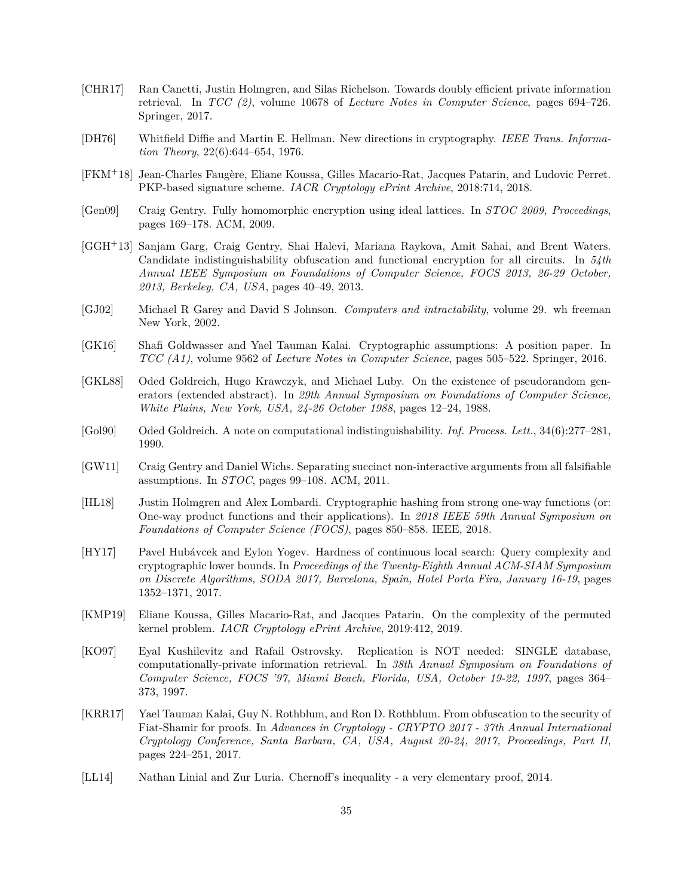- <span id="page-34-9"></span>[CHR17] Ran Canetti, Justin Holmgren, and Silas Richelson. Towards doubly efficient private information retrieval. In *TCC (2)*, volume 10678 of *Lecture Notes in Computer Science*, pages 694–726. Springer, 2017.
- <span id="page-34-0"></span>[DH76] Whitfield Diffie and Martin E. Hellman. New directions in cryptography. *IEEE Trans. Information Theory*, 22(6):644–654, 1976.
- <span id="page-34-12"></span>[FKM<sup>+</sup>18] Jean-Charles Faugère, Eliane Koussa, Gilles Macario-Rat, Jacques Patarin, and Ludovic Perret. PKP-based signature scheme. *IACR Cryptology ePrint Archive*, 2018:714, 2018.
- <span id="page-34-5"></span>[Gen09] Craig Gentry. Fully homomorphic encryption using ideal lattices. In *STOC 2009, Proceedings*, pages 169–178. ACM, 2009.
- <span id="page-34-2"></span>[GGH<sup>+</sup>13] Sanjam Garg, Craig Gentry, Shai Halevi, Mariana Raykova, Amit Sahai, and Brent Waters. Candidate indistinguishability obfuscation and functional encryption for all circuits. In *54th Annual IEEE Symposium on Foundations of Computer Science, FOCS 2013, 26-29 October, 2013, Berkeley, CA, USA*, pages 40–49, 2013.
- <span id="page-34-11"></span>[GJ02] Michael R Garey and David S Johnson. *Computers and intractability*, volume 29. wh freeman New York, 2002.
- <span id="page-34-4"></span>[GK16] Shafi Goldwasser and Yael Tauman Kalai. Cryptographic assumptions: A position paper. In *TCC (A1)*, volume 9562 of *Lecture Notes in Computer Science*, pages 505–522. Springer, 2016.
- <span id="page-34-1"></span>[GKL88] Oded Goldreich, Hugo Krawczyk, and Michael Luby. On the existence of pseudorandom generators (extended abstract). In *29th Annual Symposium on Foundations of Computer Science, White Plains, New York, USA, 24-26 October 1988*, pages 12–24, 1988.
- <span id="page-34-14"></span>[Gol90] Oded Goldreich. A note on computational indistinguishability. *Inf. Process. Lett.*, 34(6):277–281, 1990.
- <span id="page-34-3"></span>[GW11] Craig Gentry and Daniel Wichs. Separating succinct non-interactive arguments from all falsifiable assumptions. In *STOC*, pages 99–108. ACM, 2011.
- <span id="page-34-7"></span>[HL18] Justin Holmgren and Alex Lombardi. Cryptographic hashing from strong one-way functions (or: One-way product functions and their applications). In *2018 IEEE 59th Annual Symposium on Foundations of Computer Science (FOCS)*, pages 850–858. IEEE, 2018.
- <span id="page-34-8"></span>[HY17] Pavel Hubávcek and Eylon Yogev. Hardness of continuous local search: Query complexity and cryptographic lower bounds. In *Proceedings of the Twenty-Eighth Annual ACM-SIAM Symposium on Discrete Algorithms, SODA 2017, Barcelona, Spain, Hotel Porta Fira, January 16-19*, pages 1352–1371, 2017.
- <span id="page-34-13"></span>[KMP19] Eliane Koussa, Gilles Macario-Rat, and Jacques Patarin. On the complexity of the permuted kernel problem. *IACR Cryptology ePrint Archive*, 2019:412, 2019.
- <span id="page-34-10"></span>[KO97] Eyal Kushilevitz and Rafail Ostrovsky. Replication is NOT needed: SINGLE database, computationally-private information retrieval. In *38th Annual Symposium on Foundations of Computer Science, FOCS '97, Miami Beach, Florida, USA, October 19-22, 1997*, pages 364– 373, 1997.
- <span id="page-34-6"></span>[KRR17] Yael Tauman Kalai, Guy N. Rothblum, and Ron D. Rothblum. From obfuscation to the security of Fiat-Shamir for proofs. In *Advances in Cryptology - CRYPTO 2017 - 37th Annual International Cryptology Conference, Santa Barbara, CA, USA, August 20-24, 2017, Proceedings, Part II*, pages 224–251, 2017.
- <span id="page-34-15"></span>[LL14] Nathan Linial and Zur Luria. Chernoff's inequality - a very elementary proof, 2014.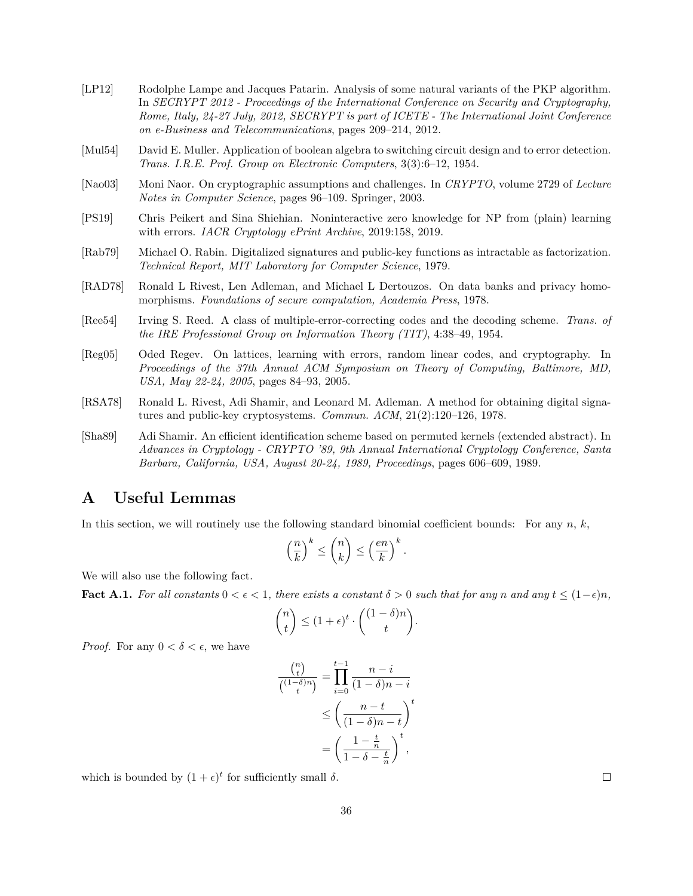- <span id="page-35-10"></span>[LP12] Rodolphe Lampe and Jacques Patarin. Analysis of some natural variants of the PKP algorithm. In *SECRYPT 2012 - Proceedings of the International Conference on Security and Cryptography, Rome, Italy, 24-27 July, 2012, SECRYPT is part of ICETE - The International Joint Conference on e-Business and Telecommunications*, pages 209–214, 2012.
- <span id="page-35-8"></span>[Mul54] David E. Muller. Application of boolean algebra to switching circuit design and to error detection. *Trans. I.R.E. Prof. Group on Electronic Computers*, 3(3):6–12, 1954.
- <span id="page-35-4"></span>[Nao03] Moni Naor. On cryptographic assumptions and challenges. In *CRYPTO*, volume 2729 of *Lecture Notes in Computer Science*, pages 96–109. Springer, 2003.
- <span id="page-35-6"></span>[PS19] Chris Peikert and Sina Shiehian. Noninteractive zero knowledge for NP from (plain) learning with errors. *IACR Cryptology ePrint Archive*, 2019:158, 2019.
- <span id="page-35-2"></span>[Rab79] Michael O. Rabin. Digitalized signatures and public-key functions as intractable as factorization. *Technical Report, MIT Laboratory for Computer Science*, 1979.
- <span id="page-35-5"></span>[RAD78] Ronald L Rivest, Len Adleman, and Michael L Dertouzos. On data banks and privacy homomorphisms. *Foundations of secure computation, Academia Press*, 1978.
- <span id="page-35-7"></span>[Ree54] Irving S. Reed. A class of multiple-error-correcting codes and the decoding scheme. *Trans. of the IRE Professional Group on Information Theory (TIT)*, 4:38–49, 1954.
- <span id="page-35-3"></span>[Reg05] Oded Regev. On lattices, learning with errors, random linear codes, and cryptography. In *Proceedings of the 37th Annual ACM Symposium on Theory of Computing, Baltimore, MD, USA, May 22-24, 2005*, pages 84–93, 2005.
- <span id="page-35-1"></span>[RSA78] Ronald L. Rivest, Adi Shamir, and Leonard M. Adleman. A method for obtaining digital signatures and public-key cryptosystems. *Commun. ACM*, 21(2):120–126, 1978.
- <span id="page-35-9"></span>[Sha89] Adi Shamir. An efficient identification scheme based on permuted kernels (extended abstract). In *Advances in Cryptology - CRYPTO '89, 9th Annual International Cryptology Conference, Santa Barbara, California, USA, August 20-24, 1989, Proceedings*, pages 606–609, 1989.

## <span id="page-35-0"></span>**A Useful Lemmas**

In this section, we will routinely use the following standard binomial coefficient bounds: For any  $n, k$ ,

$$
\left(\frac{n}{k}\right)^k \leq \binom{n}{k} \leq \left(\frac{en}{k}\right)^k.
$$

We will also use the following fact.

**Fact A.1.** For all constants  $0 < \epsilon < 1$ , there exists a constant  $\delta > 0$  such that for any n and any  $t < (1-\epsilon)n$ .

$$
\binom{n}{t} \le (1+\epsilon)^t \cdot \binom{(1-\delta)n}{t}.
$$

*Proof.* For any  $0 < \delta < \epsilon$ , we have

$$
\frac{\binom{n}{t}}{\binom{(1-\delta)n}{t}} = \prod_{i=0}^{t-1} \frac{n-i}{(1-\delta)n - i}
$$

$$
\leq \left(\frac{n-t}{(1-\delta)n - t}\right)^t
$$

$$
= \left(\frac{1 - \frac{t}{n}}{1 - \delta - \frac{t}{n}}\right)^t,
$$

which is bounded by  $(1 + \epsilon)^t$  for sufficiently small  $\delta$ .

 $\Box$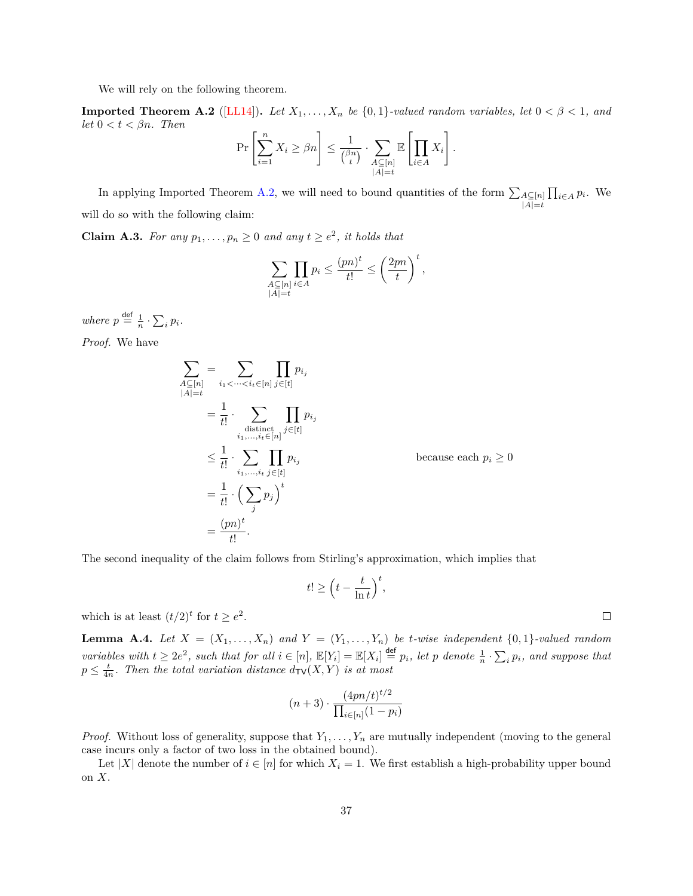We will rely on the following theorem.

<span id="page-36-1"></span>**Imported Theorem A.2** ([\[LL14\]](#page-34-15)). Let  $X_1, \ldots, X_n$  be  $\{0,1\}$ -valued random variables, let  $0 < \beta < 1$ , and *let*  $0 < t < \beta n$ *. Then* 

$$
\Pr\left[\sum_{i=1}^n X_i \ge \beta n\right] \le \frac{1}{\binom{\beta n}{t}} \cdot \sum_{\substack{A \subseteq [n] \\ |A| = t}} \mathbb{E}\left[\prod_{i \in A} X_i\right].
$$

In applying Imported Theorem [A.2,](#page-36-1) we will need to bound quantities of the form  $\sum_{A \subseteq [n]}$  $|A|=t$  $\prod_{i\in A} p_i$ . We will do so with the following claim:

<span id="page-36-2"></span>**Claim A.3.** For any  $p_1, \ldots, p_n \geq 0$  and any  $t \geq e^2$ , it holds that

$$
\sum_{\substack{A \subseteq [n] \\ |A| = t}} \prod_{i \in A} p_i \le \frac{(pn)^t}{t!} \le \left(\frac{2pn}{t}\right)^t,
$$

*where*  $p \stackrel{\text{def}}{=} \frac{1}{n} \cdot \sum_i p_i$ . *Proof.* We have

$$
\sum_{\substack{A \subseteq [n] \\ |A| = t}} = \sum_{i_1 < \dots < i_t \in [n] } \prod_{j \in [t]} p_{i_j}
$$
\n
$$
= \frac{1}{t!} \cdot \sum_{\substack{d is t in ct \\ i_1, \dots, i_t \in [n]}} \prod_{j \in [t]} p_{i_j}
$$
\n
$$
\leq \frac{1}{t!} \cdot \sum_{i_1, \dots, i_t} \prod_{j \in [t]} p_{i_j}
$$
\n
$$
= \frac{1}{t!} \cdot \left( \sum_j p_j \right)^t
$$
\n
$$
= \frac{(pn)^t}{t!}.
$$

The second inequality of the claim follows from Stirling's approximation, which implies that

$$
t! \ge \left(t - \frac{t}{\ln t}\right)^t,
$$

which is at least  $(t/2)^t$  for  $t \ge e^2$ .

<span id="page-36-0"></span>**Lemma A.4.** Let  $X = (X_1, \ldots, X_n)$  and  $Y = (Y_1, \ldots, Y_n)$  be *t*-wise independent  $\{0,1\}$ -valued random *variables with*  $t \geq 2e^2$ , such that for all  $i \in [n]$ ,  $\mathbb{E}[Y_i] = \mathbb{E}[X_i] \stackrel{\text{def}}{=} p_i$ , let p denote  $\frac{1}{n} \cdot \sum_i p_i$ , and suppose that  $p \leq \frac{t}{4n}$ . Then the total variation distance  $d_{\text{TV}}(X, Y)$  is at most

$$
(n+3) \cdot \frac{(4pn/t)^{t/2}}{\prod_{i \in [n]} (1-p_i)}
$$

*Proof.* Without loss of generality, suppose that  $Y_1, \ldots, Y_n$  are mutually independent (moving to the general case incurs only a factor of two loss in the obtained bound).

<span id="page-36-3"></span>Let |X| denote the number of  $i \in [n]$  for which  $X_i = 1$ . We first establish a high-probability upper bound on  $X$ .

 $\Box$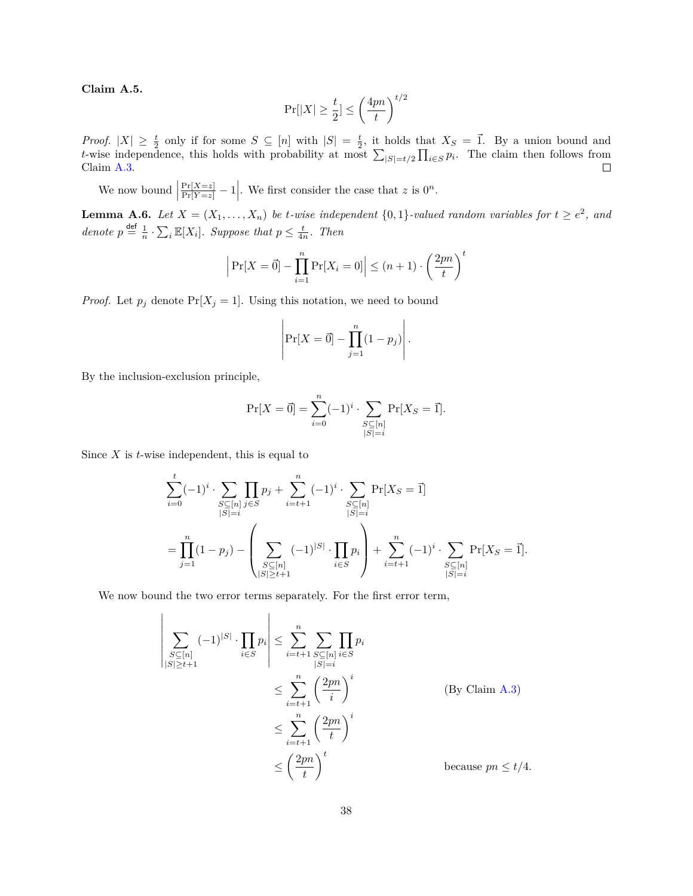**Claim A.5.**

$$
\Pr[|X| \ge \frac{t}{2}] \le \left(\frac{4pn}{t}\right)^{t/2}
$$

*Proof.*  $|X| \geq \frac{t}{2}$  only if for some  $S \subseteq [n]$  with  $|S| = \frac{t}{2}$ , it holds that  $X_S = \vec{1}$ . By a union bound and t-wise independence, this holds with probability at most  $\sum_{|S|=t/2} \prod_{i \in S} p_i$ . The claim then follows from Claim [A.3.](#page-36-2)  $\Box$ 

We now bound  $\Big|$  $\frac{\Pr[X=z]}{\Pr[Y=z]} - 1$ . We first consider the case that z is  $0^n$ .

<span id="page-37-0"></span>**Lemma A.6.** Let  $X = (X_1, \ldots, X_n)$  be t-wise independent  $\{0,1\}$ -valued random variables for  $t \ge e^2$ , and *denote*  $p \stackrel{\text{def}}{=} \frac{1}{n} \cdot \sum_{i} \mathbb{E}[X_i]$ *. Suppose that*  $p \leq \frac{t}{4n}$ *. Then* 

$$
\left| \Pr[X = \vec{0}] - \prod_{i=1}^{n} \Pr[X_i = 0] \right| \le (n+1) \cdot \left(\frac{2pn}{t}\right)^t
$$

*Proof.* Let  $p_j$  denote  $Pr[X_j = 1]$ . Using this notation, we need to bound

$$
\left|\Pr[X=\vec{0}] - \prod_{j=1}^{n} (1-p_j)\right|.
$$

By the inclusion-exclusion principle,

 $\overline{\phantom{a}}$  $\bigg|$  $\bigg|$  $\overline{\phantom{a}}$  $\overline{\phantom{a}}$  $\bigg|$  $\bigg|$  $\vert$ 

$$
\Pr[X = \vec{0}] = \sum_{i=0}^{n} (-1)^{i} \cdot \sum_{\substack{S \subseteq [n] \\ |S| = i}} \Pr[X_{S} = \vec{1}].
$$

Since  $X$  is  $t$ -wise independent, this is equal to

$$
\sum_{i=0}^{t} (-1)^{i} \cdot \sum_{\substack{S \subseteq [n] \\ |S|=i}} \prod_{j \in S} p_{j} + \sum_{i=t+1}^{n} (-1)^{i} \cdot \sum_{\substack{S \subseteq [n] \\ |S|=i}} \Pr[X_{S} = \vec{1}]
$$
  
= 
$$
\prod_{j=1}^{n} (1-p_{j}) - \left( \sum_{\substack{S \subseteq [n] \\ |S| \ge t+1}} (-1)^{|S|} \cdot \prod_{i \in S} p_{i} \right) + \sum_{i=t+1}^{n} (-1)^{i} \cdot \sum_{\substack{S \subseteq [n] \\ |S|=i}} \Pr[X_{S} = \vec{1}].
$$

We now bound the two error terms separately. For the first error term,

$$
\sum_{\substack{S \subseteq [n] \\ |S| \ge t+1}} (-1)^{|S|} \cdot \prod_{i \in S} p_i \left| \le \sum_{i=t+1}^n \sum_{\substack{S \subseteq [n] \\ |S| = i}} \prod_{i \in S} p_i \right|
$$
\n
$$
\le \sum_{i=t+1}^n \left(\frac{2pn}{i}\right)^i \qquad \qquad \text{(By Claim A.3)}
$$
\n
$$
\le \sum_{i=t+1}^n \left(\frac{2pn}{t}\right)^i
$$
\n
$$
\le \left(\frac{2pn}{t}\right)^t \qquad \qquad \text{because } pn \le t/4.
$$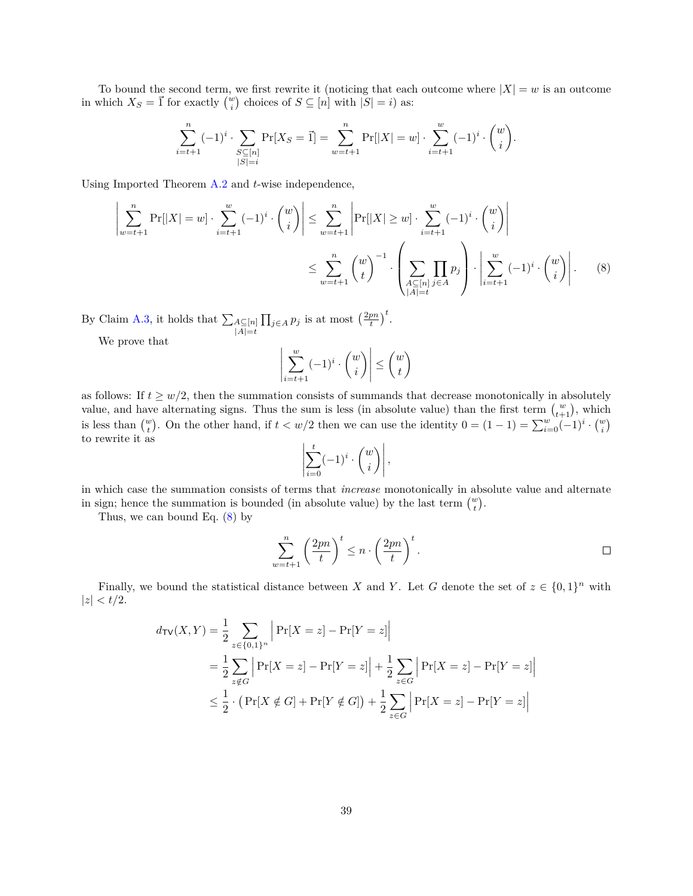To bound the second term, we first rewrite it (noticing that each outcome where  $|X| = w$  is an outcome in which  $X_S = \vec{1}$  for exactly  $\binom{w}{i}$  choices of  $S \subseteq [n]$  with  $|S| = i$ ) as:

$$
\sum_{i=t+1}^n (-1)^i \cdot \sum_{\substack{S \subseteq [n] \\ |S|=i}} \Pr[X_S = \overrightarrow{1}] = \sum_{w=t+1}^n \Pr[|X| = w] \cdot \sum_{i=t+1}^w (-1)^i \cdot \binom{w}{i}.
$$

Using Imported Theorem  $A.2$  and  $t$ -wise independence,

$$
\left|\sum_{w=t+1}^{n} \Pr[|X| = w] \cdot \sum_{i=t+1}^{w} (-1)^{i} \cdot \binom{w}{i}\right| \leq \sum_{w=t+1}^{n} \left|\Pr[|X| \geq w] \cdot \sum_{i=t+1}^{w} (-1)^{i} \cdot \binom{w}{i}\right|
$$

$$
\leq \sum_{w=t+1}^{n} \binom{w}{t}^{-1} \cdot \left(\sum_{\substack{A \subseteq [n] \\ |A| = t}} \prod_{j \in A} p_{j}\right) \cdot \left|\sum_{i=t+1}^{w} (-1)^{i} \cdot \binom{w}{i}\right|.
$$
(8)

By Claim [A.3,](#page-36-2) it holds that  $\sum_{A \subseteq [n]}$  $|A|=t$  $\prod_{j\in A} p_j$  is at most  $\left(\frac{2pn}{t}\right)^t$ .

We prove that

<span id="page-38-0"></span>
$$
\left| \sum_{i=t+1}^{w} (-1)^{i} \cdot \binom{w}{i} \right| \le \binom{w}{t}
$$

as follows: If  $t \geq w/2$ , then the summation consists of summands that decrease monotonically in absolutely value, and have alternating signs. Thus the sum is less (in absolute value) than the first term  $\binom{w}{t+1}$ , which is less than  $\binom{w}{t}$ . On the other hand, if  $t < w/2$  then we can use the identity  $0 = (1 - 1) = \sum_{i=0}^{w} (-1)^i \cdot \binom{w}{i}$ to rewrite it as

$$
\left| \sum_{i=0}^t (-1)^i \cdot \binom{w}{i} \right|,
$$

in which case the summation consists of terms that *increase* monotonically in absolute value and alternate in sign; hence the summation is bounded (in absolute value) by the last term  $\binom{w}{t}$ .

Thus, we can bound Eq. [\(8\)](#page-38-0) by

$$
\sum_{w=t+1}^{n} \left(\frac{2pn}{t}\right)^t \leq n \cdot \left(\frac{2pn}{t}\right)^t.
$$

Finally, we bound the statistical distance between X and Y. Let G denote the set of  $z \in \{0,1\}^n$  with  $|z| < t/2.$ 

$$
d_{\text{TV}}(X, Y) = \frac{1}{2} \sum_{z \in \{0, 1\}^n} \left| \Pr[X = z] - \Pr[Y = z] \right|
$$
  
=  $\frac{1}{2} \sum_{z \notin G} \left| \Pr[X = z] - \Pr[Y = z] \right| + \frac{1}{2} \sum_{z \in G} \left| \Pr[X = z] - \Pr[Y = z] \right|$   
 $\leq \frac{1}{2} \cdot \left( \Pr[X \notin G] + \Pr[Y \notin G] \right) + \frac{1}{2} \sum_{z \in G} \left| \Pr[X = z] - \Pr[Y = z] \right|$